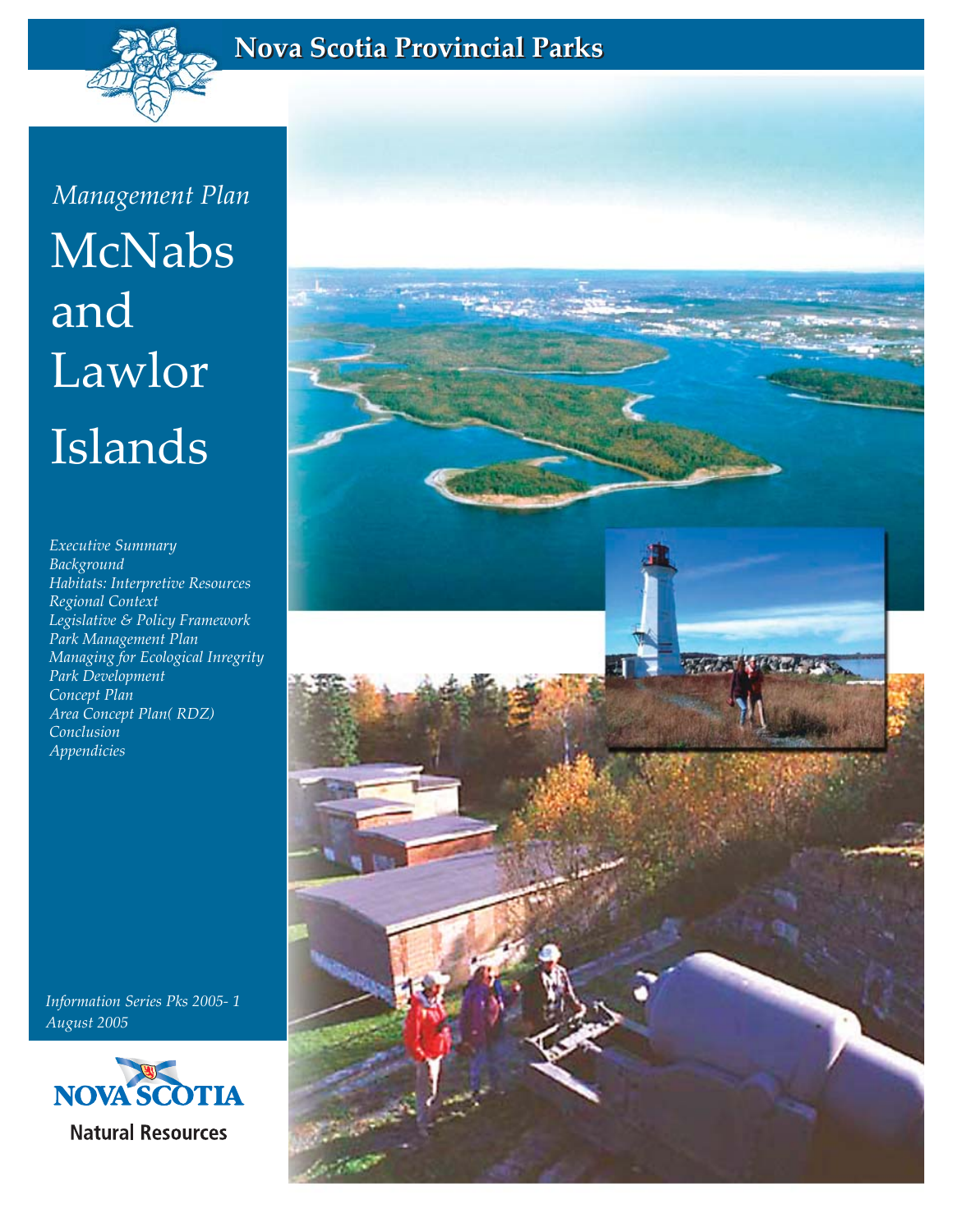

## **Nova Scotia Provincial Parks Nova Scotia Provincial Parks**

McNabs and Lawlor Islands *Management Plan*

*Executive Summary Background Habitats: Interpretive Resources Regional Context Legislative & Policy Framework Park Management Plan Managing for Ecological Inregrity Park Development Concept Plan Area Concept Plan( RDZ) Conclusion Appendicies*

*Information Series Pks 2005- 1 August 2005*



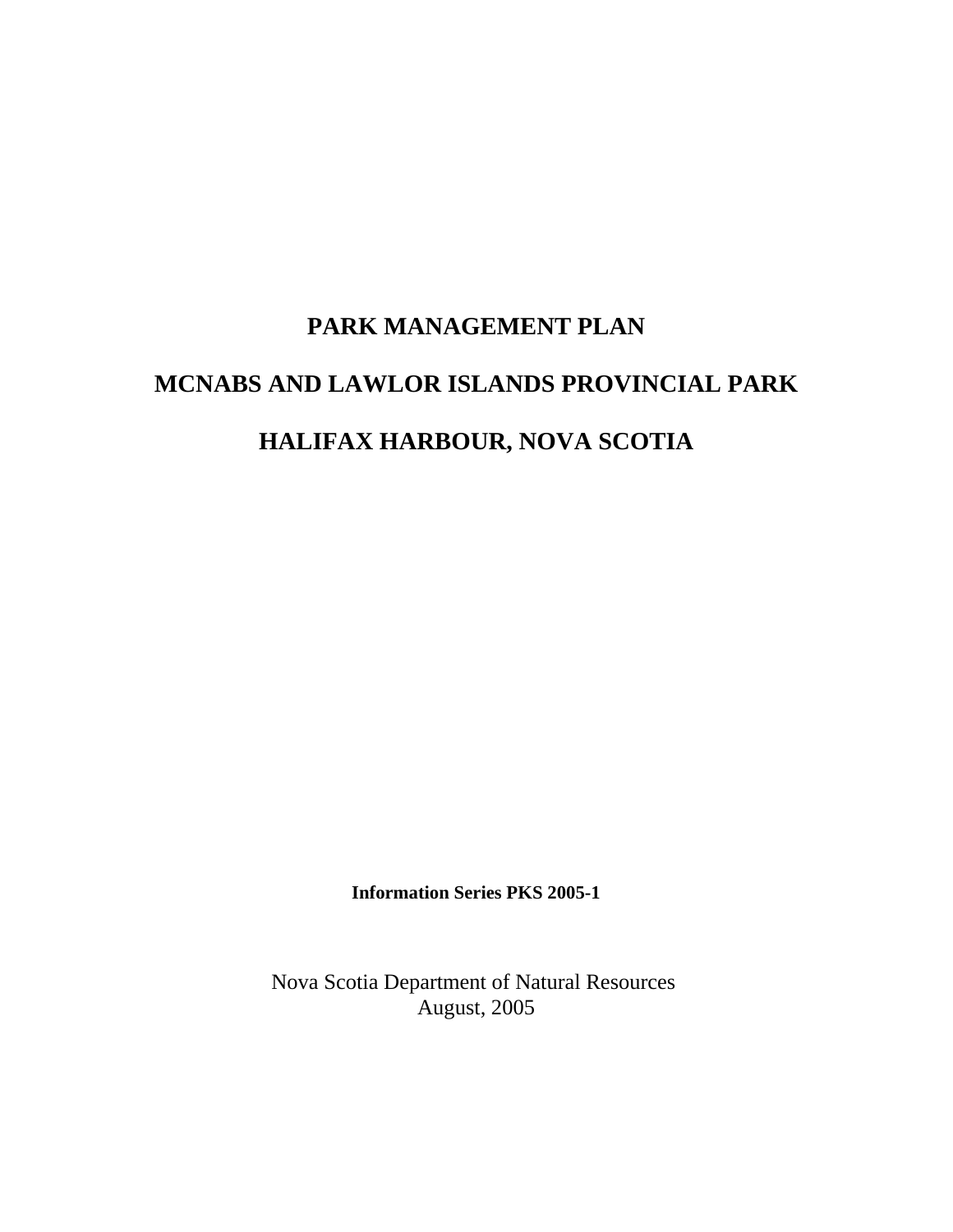# **PARK MANAGEMENT PLAN MCNABS AND LAWLOR ISLANDS PROVINCIAL PARK HALIFAX HARBOUR, NOVA SCOTIA**

**Information Series PKS 2005-1**

Nova Scotia Department of Natural Resources August, 2005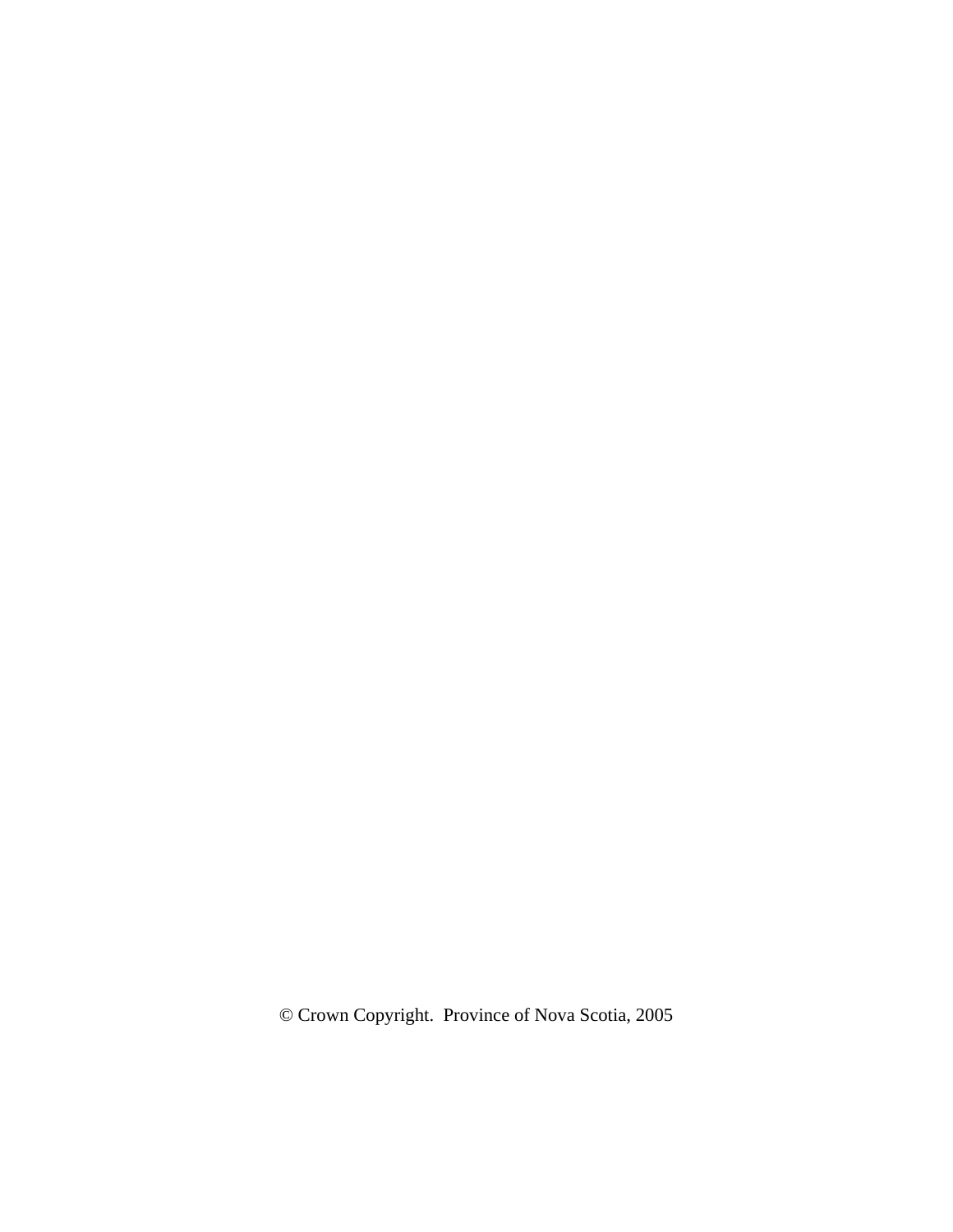© Crown Copyright. Province of Nova Scotia, 2005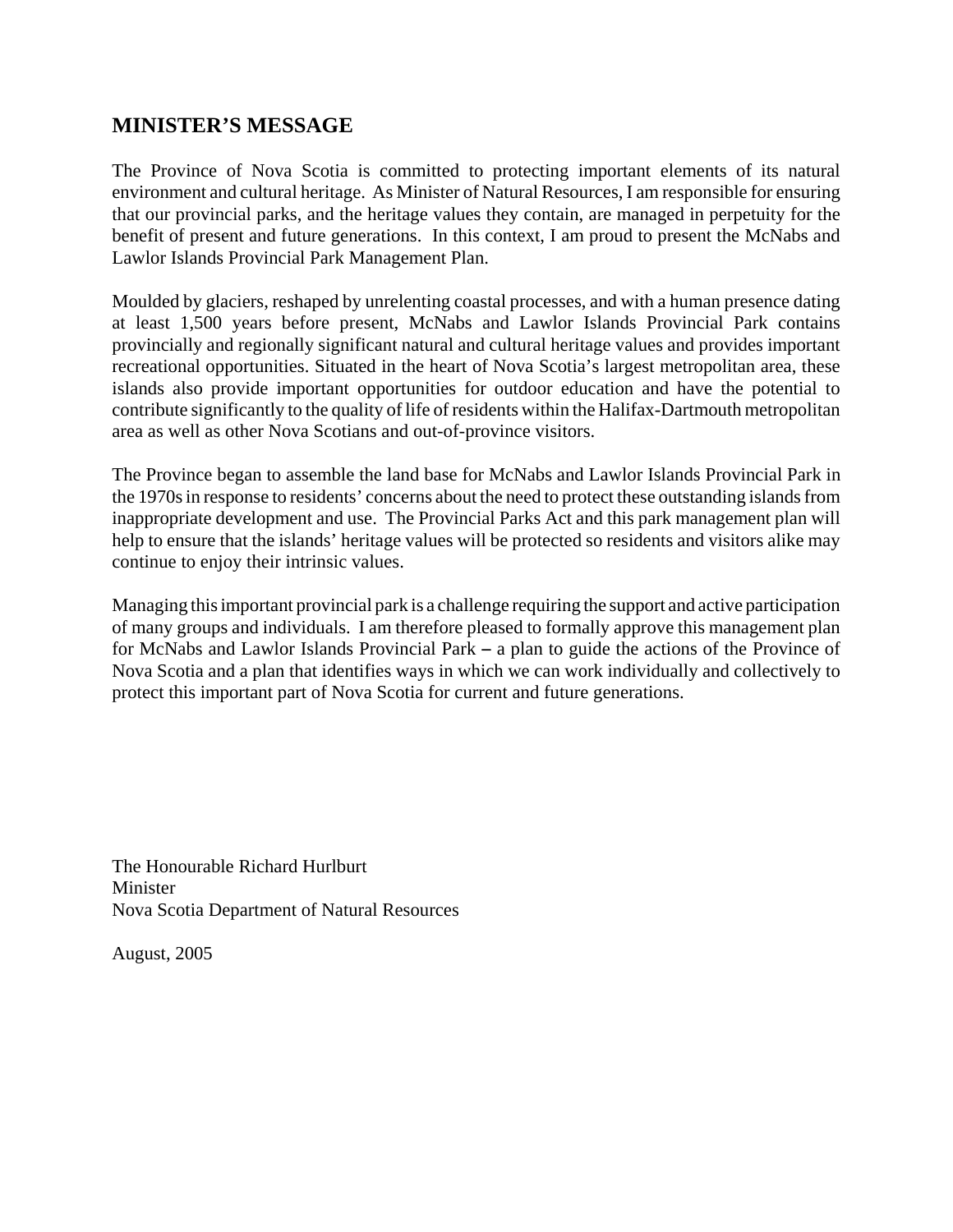### **MINISTER'S MESSAGE**

The Province of Nova Scotia is committed to protecting important elements of its natural environment and cultural heritage. As Minister of Natural Resources, I am responsible for ensuring that our provincial parks, and the heritage values they contain, are managed in perpetuity for the benefit of present and future generations. In this context, I am proud to present the McNabs and Lawlor Islands Provincial Park Management Plan.

Moulded by glaciers, reshaped by unrelenting coastal processes, and with a human presence dating at least 1,500 years before present, McNabs and Lawlor Islands Provincial Park contains provincially and regionally significant natural and cultural heritage values and provides important recreational opportunities. Situated in the heart of Nova Scotia's largest metropolitan area, these islands also provide important opportunities for outdoor education and have the potential to contribute significantly to the quality of life of residents within the Halifax-Dartmouth metropolitan area as well as other Nova Scotians and out-of-province visitors.

The Province began to assemble the land base for McNabs and Lawlor Islands Provincial Park in the 1970s in response to residents' concerns about the need to protect these outstanding islands from inappropriate development and use. The Provincial Parks Act and this park management plan will help to ensure that the islands' heritage values will be protected so residents and visitors alike may continue to enjoy their intrinsic values.

Managing this important provincial park is a challenge requiring the support and active participation of many groups and individuals. I am therefore pleased to formally approve this management plan for McNabs and Lawlor Islands Provincial Park  $-$  a plan to guide the actions of the Province of Nova Scotia and a plan that identifies ways in which we can work individually and collectively to protect this important part of Nova Scotia for current and future generations.

The Honourable Richard Hurlburt Minister Nova Scotia Department of Natural Resources

August, 2005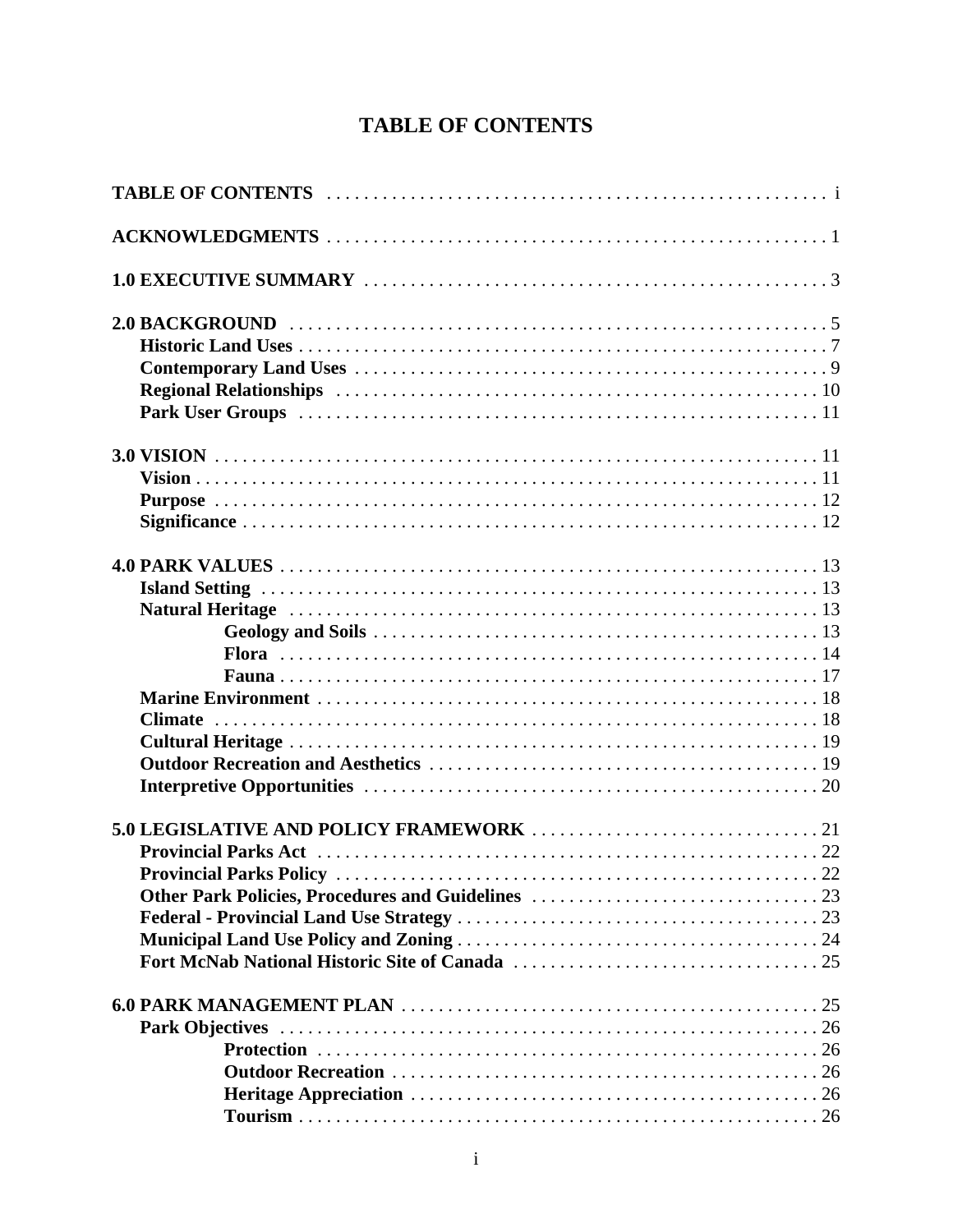## **TABLE OF CONTENTS**

| <b>Provincial Parks Policy</b> |  |
|--------------------------------|--|
|                                |  |
|                                |  |
|                                |  |
|                                |  |
|                                |  |
|                                |  |
|                                |  |
|                                |  |
|                                |  |
|                                |  |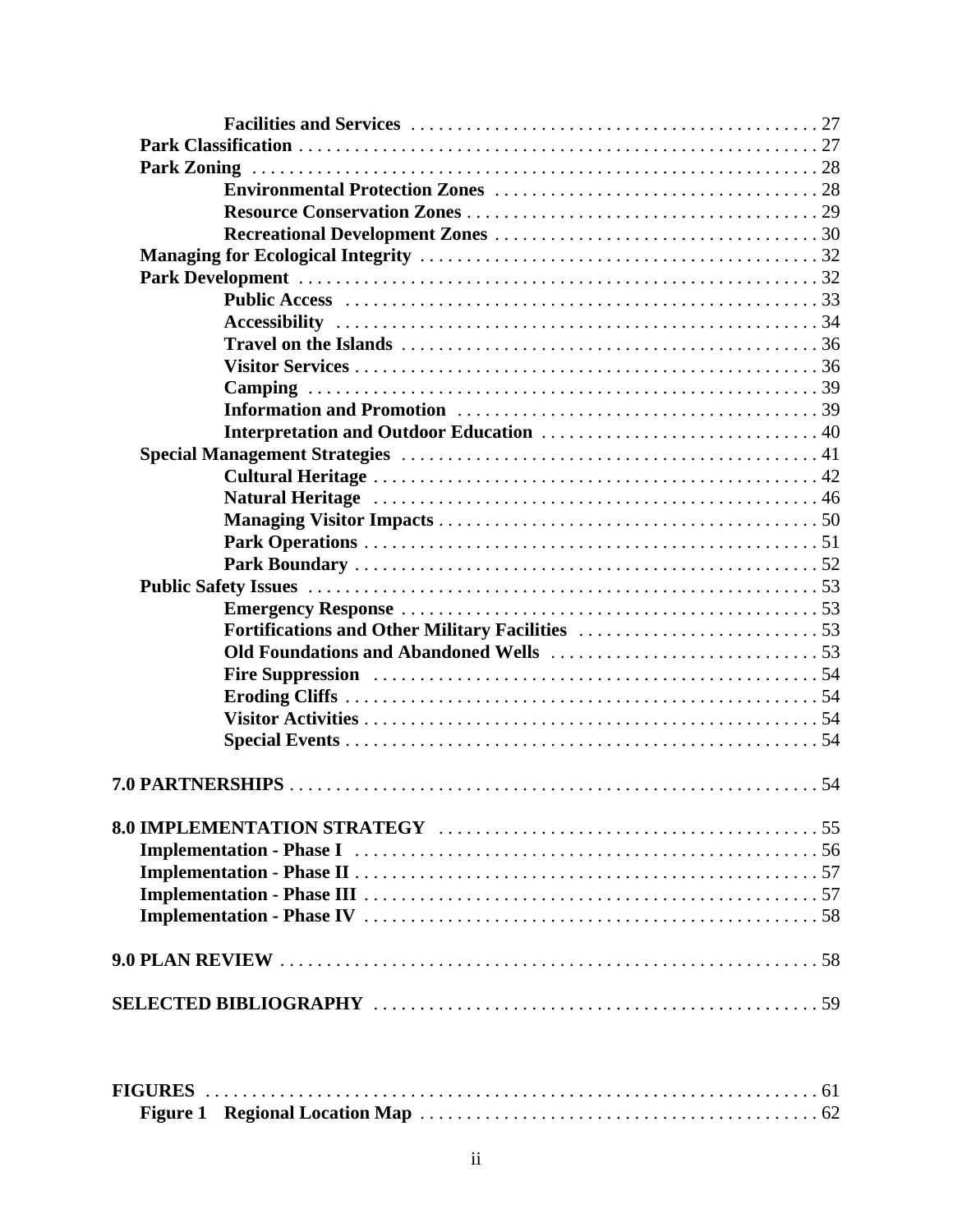| EICHDEC |  |  |
|---------|--|--|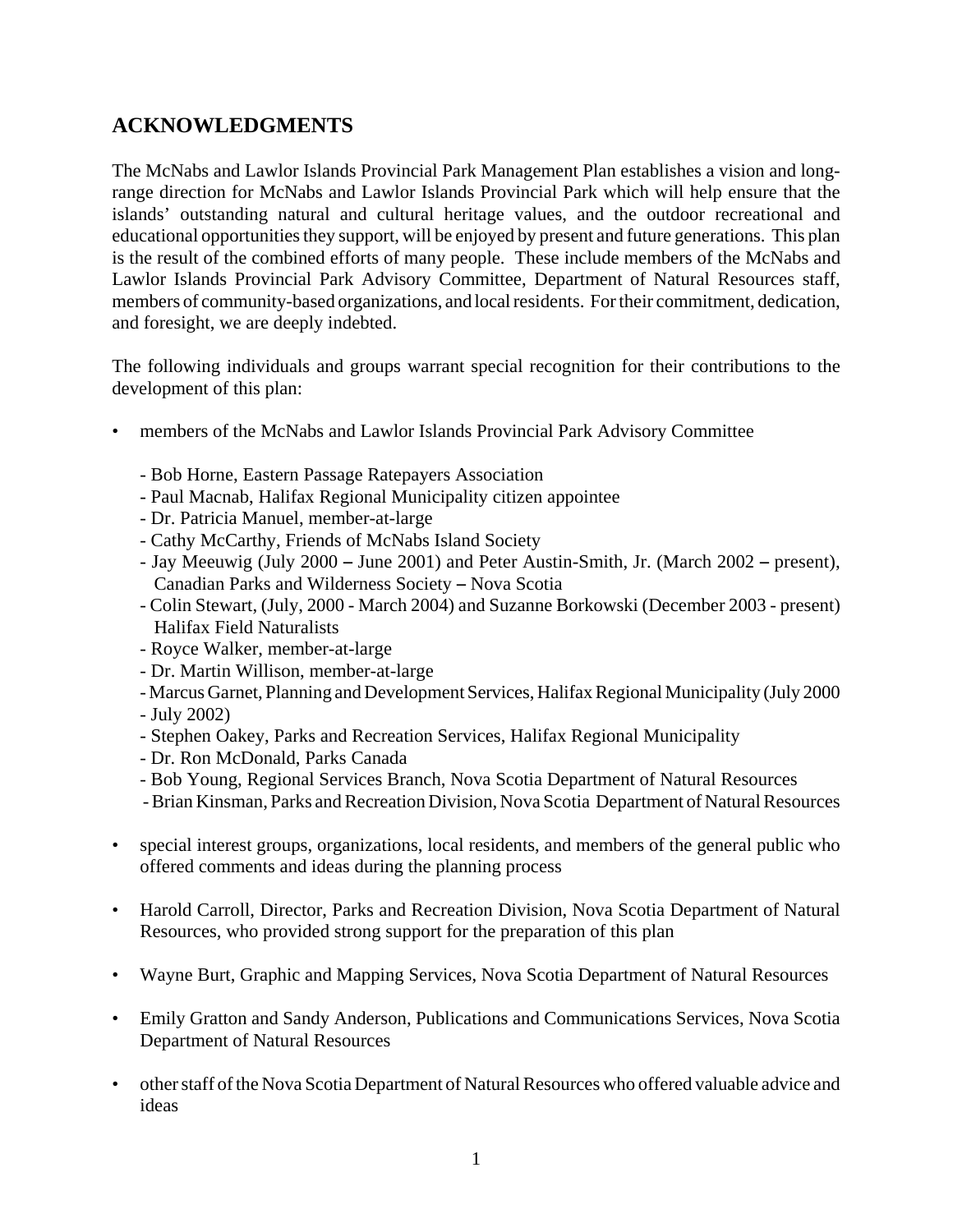## **ACKNOWLEDGMENTS**

The McNabs and Lawlor Islands Provincial Park Management Plan establishes a vision and longrange direction for McNabs and Lawlor Islands Provincial Park which will help ensure that the islands' outstanding natural and cultural heritage values, and the outdoor recreational and educational opportunities they support, will be enjoyed by present and future generations. This plan is the result of the combined efforts of many people. These include members of the McNabs and Lawlor Islands Provincial Park Advisory Committee, Department of Natural Resources staff, members of community-based organizations, and local residents. For their commitment, dedication, and foresight, we are deeply indebted.

The following individuals and groups warrant special recognition for their contributions to the development of this plan:

- members of the McNabs and Lawlor Islands Provincial Park Advisory Committee
	- Bob Horne, Eastern Passage Ratepayers Association
	- Paul Macnab, Halifax Regional Municipality citizen appointee
	- Dr. Patricia Manuel, member-at-large
	- Cathy McCarthy, Friends of McNabs Island Society
	- Jay Meeuwig (July  $2000$  June  $2001$ ) and Peter Austin-Smith, Jr. (March  $2002$  present), Canadian Parks and Wilderness Society - Nova Scotia
	- Colin Stewart, (July, 2000 March 2004) and Suzanne Borkowski (December 2003 present) Halifax Field Naturalists
	- Royce Walker, member-at-large
	- Dr. Martin Willison, member-at-large
	- Marcus Garnet, Planning and Development Services, Halifax Regional Municipality (July 2000
	- July 2002)
	- Stephen Oakey, Parks and Recreation Services, Halifax Regional Municipality
	- Dr. Ron McDonald, Parks Canada
	- Bob Young, Regional Services Branch, Nova Scotia Department of Natural Resources
	- Brian Kinsman, Parks and Recreation Division, Nova Scotia Department of Natural Resources
- special interest groups, organizations, local residents, and members of the general public who offered comments and ideas during the planning process
- Harold Carroll, Director, Parks and Recreation Division, Nova Scotia Department of Natural Resources, who provided strong support for the preparation of this plan
- Wayne Burt, Graphic and Mapping Services, Nova Scotia Department of Natural Resources
- Emily Gratton and Sandy Anderson, Publications and Communications Services, Nova Scotia Department of Natural Resources
- other staff of the Nova Scotia Department of Natural Resources who offered valuable advice and ideas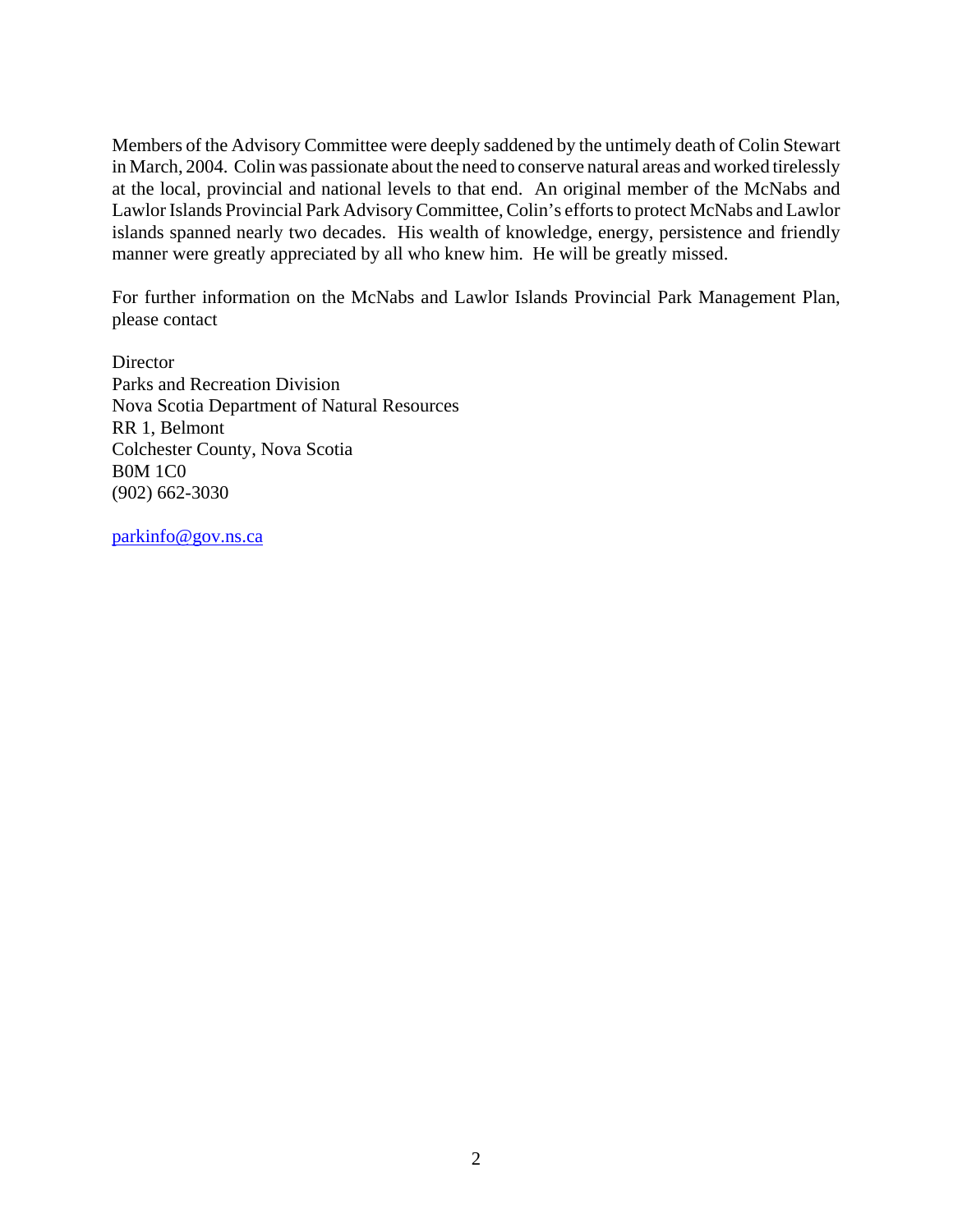Members of the Advisory Committee were deeply saddened by the untimely death of Colin Stewart in March, 2004. Colin was passionate about the need to conserve natural areas and worked tirelessly at the local, provincial and national levels to that end. An original member of the McNabs and Lawlor Islands Provincial Park Advisory Committee, Colin's efforts to protect McNabs and Lawlor islands spanned nearly two decades. His wealth of knowledge, energy, persistence and friendly manner were greatly appreciated by all who knew him. He will be greatly missed.

For further information on the McNabs and Lawlor Islands Provincial Park Management Plan, please contact

**Director** Parks and Recreation Division Nova Scotia Department of Natural Resources RR 1, Belmont Colchester County, Nova Scotia B0M 1C0 (902) 662-3030

parkinfo@gov.ns.ca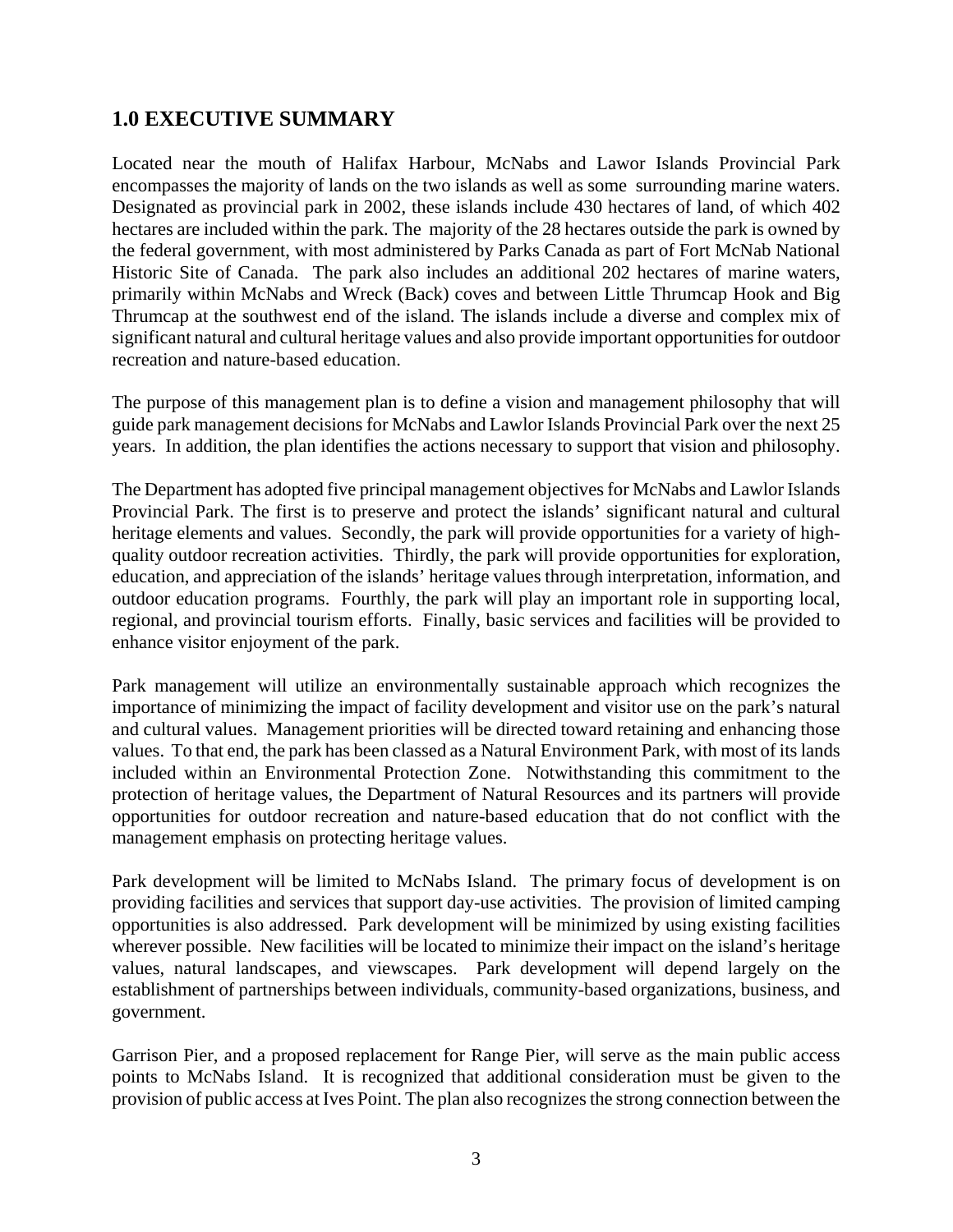## **1.0 EXECUTIVE SUMMARY**

Located near the mouth of Halifax Harbour, McNabs and Lawor Islands Provincial Park encompasses the majority of lands on the two islands as well as some surrounding marine waters. Designated as provincial park in 2002, these islands include 430 hectares of land, of which 402 hectares are included within the park. The majority of the 28 hectares outside the park is owned by the federal government, with most administered by Parks Canada as part of Fort McNab National Historic Site of Canada. The park also includes an additional 202 hectares of marine waters, primarily within McNabs and Wreck (Back) coves and between Little Thrumcap Hook and Big Thrumcap at the southwest end of the island. The islands include a diverse and complex mix of significant natural and cultural heritage values and also provide important opportunities for outdoor recreation and nature-based education.

The purpose of this management plan is to define a vision and management philosophy that will guide park management decisions for McNabs and Lawlor Islands Provincial Park over the next 25 years. In addition, the plan identifies the actions necessary to support that vision and philosophy.

The Department has adopted five principal management objectives for McNabs and Lawlor Islands Provincial Park. The first is to preserve and protect the islands' significant natural and cultural heritage elements and values. Secondly, the park will provide opportunities for a variety of highquality outdoor recreation activities. Thirdly, the park will provide opportunities for exploration, education, and appreciation of the islands' heritage values through interpretation, information, and outdoor education programs. Fourthly, the park will play an important role in supporting local, regional, and provincial tourism efforts. Finally, basic services and facilities will be provided to enhance visitor enjoyment of the park.

Park management will utilize an environmentally sustainable approach which recognizes the importance of minimizing the impact of facility development and visitor use on the park's natural and cultural values. Management priorities will be directed toward retaining and enhancing those values. To that end, the park has been classed as a Natural Environment Park, with most of its lands included within an Environmental Protection Zone. Notwithstanding this commitment to the protection of heritage values, the Department of Natural Resources and its partners will provide opportunities for outdoor recreation and nature-based education that do not conflict with the management emphasis on protecting heritage values.

Park development will be limited to McNabs Island. The primary focus of development is on providing facilities and services that support day-use activities. The provision of limited camping opportunities is also addressed. Park development will be minimized by using existing facilities wherever possible. New facilities will be located to minimize their impact on the island's heritage values, natural landscapes, and viewscapes. Park development will depend largely on the establishment of partnerships between individuals, community-based organizations, business, and government.

Garrison Pier, and a proposed replacement for Range Pier, will serve as the main public access points to McNabs Island. It is recognized that additional consideration must be given to the provision of public access at Ives Point. The plan also recognizes the strong connection between the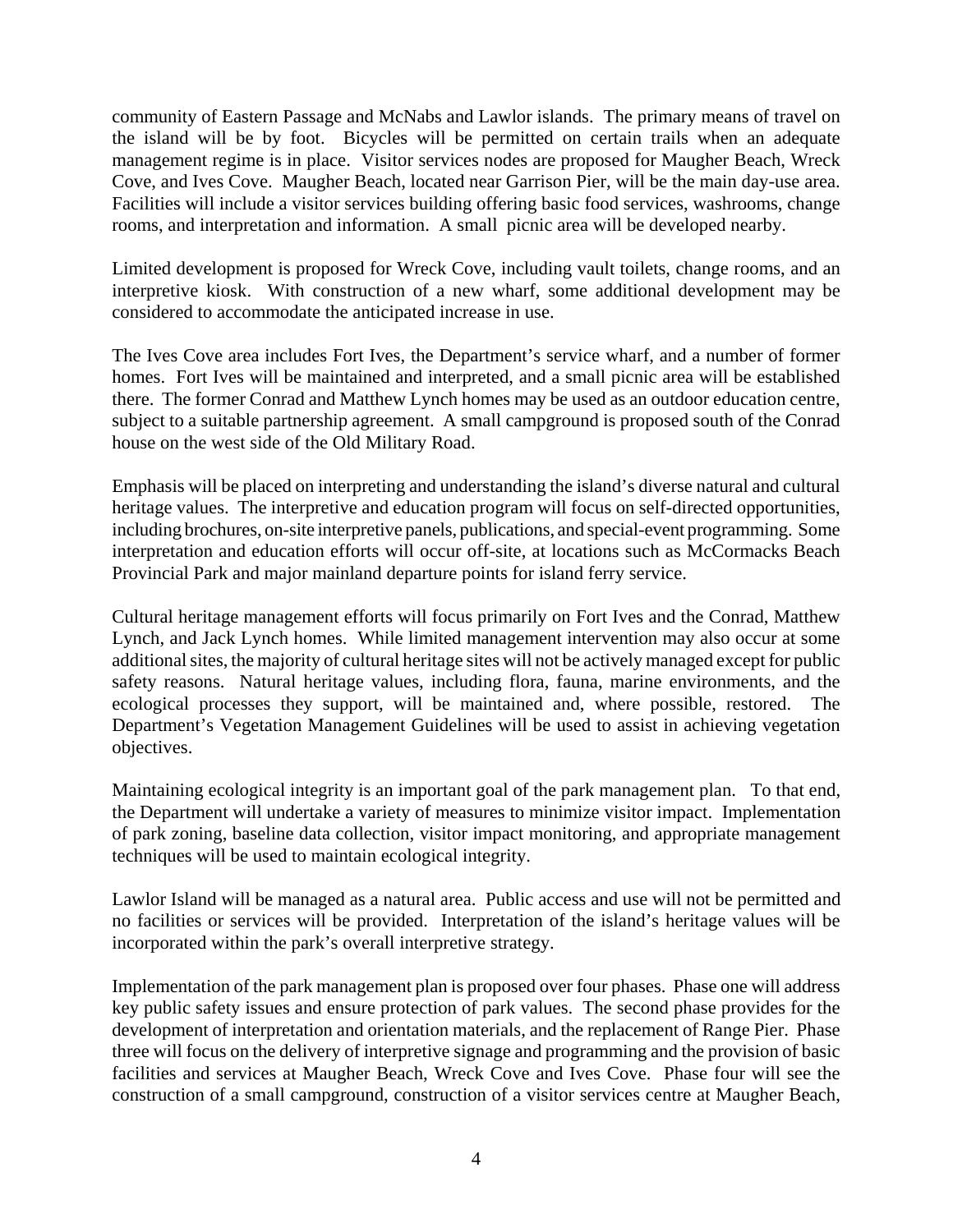community of Eastern Passage and McNabs and Lawlor islands. The primary means of travel on the island will be by foot. Bicycles will be permitted on certain trails when an adequate management regime is in place. Visitor services nodes are proposed for Maugher Beach, Wreck Cove, and Ives Cove. Maugher Beach, located near Garrison Pier, will be the main day-use area. Facilities will include a visitor services building offering basic food services, washrooms, change rooms, and interpretation and information. A small picnic area will be developed nearby.

Limited development is proposed for Wreck Cove, including vault toilets, change rooms, and an interpretive kiosk. With construction of a new wharf, some additional development may be considered to accommodate the anticipated increase in use.

The Ives Cove area includes Fort Ives, the Department's service wharf, and a number of former homes. Fort Ives will be maintained and interpreted, and a small picnic area will be established there. The former Conrad and Matthew Lynch homes may be used as an outdoor education centre, subject to a suitable partnership agreement. A small campground is proposed south of the Conrad house on the west side of the Old Military Road.

Emphasis will be placed on interpreting and understanding the island's diverse natural and cultural heritage values. The interpretive and education program will focus on self-directed opportunities, including brochures, on-site interpretive panels, publications, and special-event programming. Some interpretation and education efforts will occur off-site, at locations such as McCormacks Beach Provincial Park and major mainland departure points for island ferry service.

Cultural heritage management efforts will focus primarily on Fort Ives and the Conrad, Matthew Lynch, and Jack Lynch homes. While limited management intervention may also occur at some additional sites, the majority of cultural heritage sites will not be actively managed except for public safety reasons. Natural heritage values, including flora, fauna, marine environments, and the ecological processes they support, will be maintained and, where possible, restored. The Department's Vegetation Management Guidelines will be used to assist in achieving vegetation objectives.

Maintaining ecological integrity is an important goal of the park management plan. To that end, the Department will undertake a variety of measures to minimize visitor impact. Implementation of park zoning, baseline data collection, visitor impact monitoring, and appropriate management techniques will be used to maintain ecological integrity.

Lawlor Island will be managed as a natural area. Public access and use will not be permitted and no facilities or services will be provided. Interpretation of the island's heritage values will be incorporated within the park's overall interpretive strategy.

Implementation of the park management plan is proposed over four phases. Phase one will address key public safety issues and ensure protection of park values. The second phase provides for the development of interpretation and orientation materials, and the replacement of Range Pier. Phase three will focus on the delivery of interpretive signage and programming and the provision of basic facilities and services at Maugher Beach, Wreck Cove and Ives Cove. Phase four will see the construction of a small campground, construction of a visitor services centre at Maugher Beach,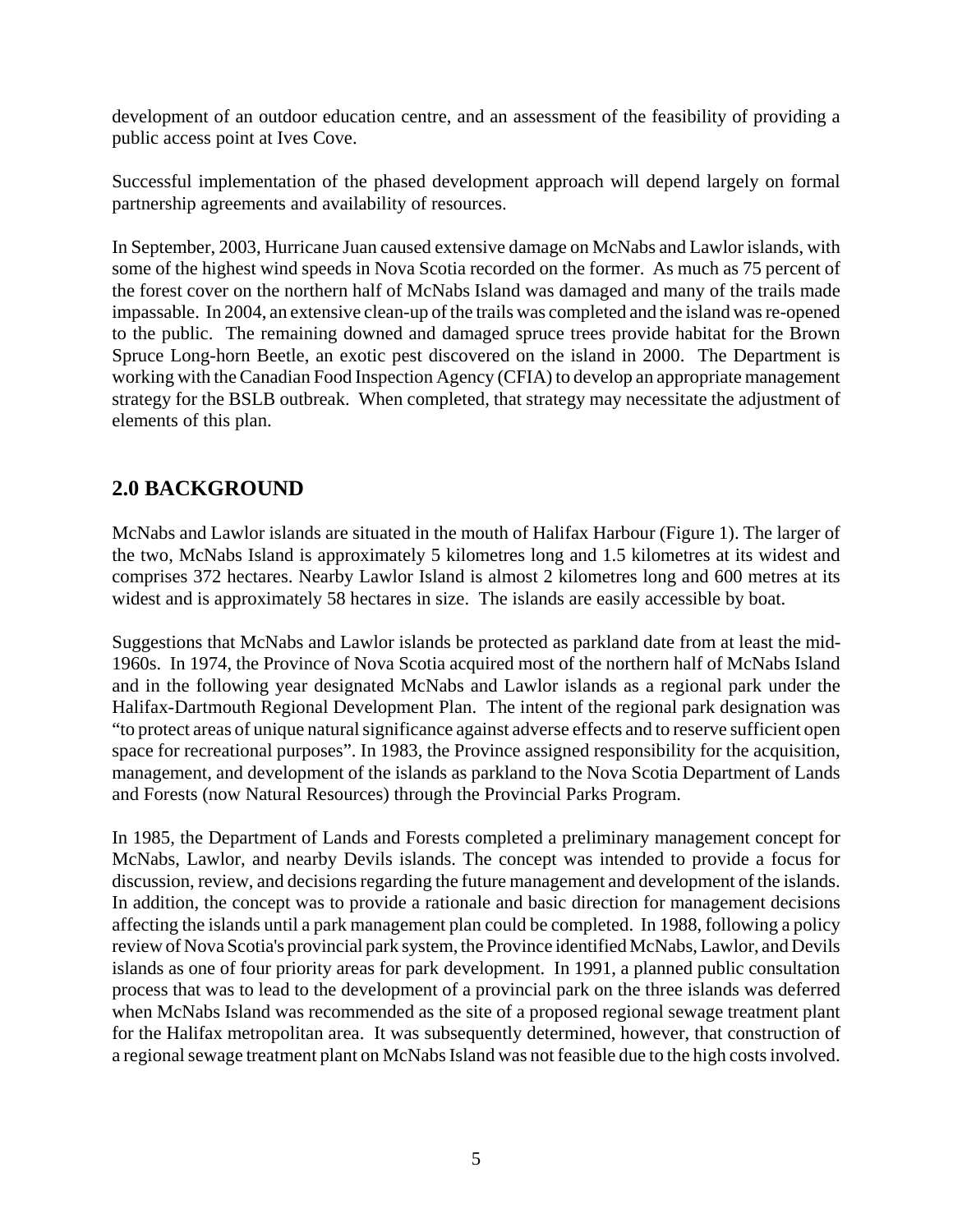development of an outdoor education centre, and an assessment of the feasibility of providing a public access point at Ives Cove.

Successful implementation of the phased development approach will depend largely on formal partnership agreements and availability of resources.

In September, 2003, Hurricane Juan caused extensive damage on McNabs and Lawlor islands, with some of the highest wind speeds in Nova Scotia recorded on the former. As much as 75 percent of the forest cover on the northern half of McNabs Island was damaged and many of the trails made impassable. In 2004, an extensive clean-up of the trails was completed and the island was re-opened to the public. The remaining downed and damaged spruce trees provide habitat for the Brown Spruce Long-horn Beetle, an exotic pest discovered on the island in 2000. The Department is working with the Canadian Food Inspection Agency (CFIA) to develop an appropriate management strategy for the BSLB outbreak. When completed, that strategy may necessitate the adjustment of elements of this plan.

## **2.0 BACKGROUND**

McNabs and Lawlor islands are situated in the mouth of Halifax Harbour (Figure 1). The larger of the two, McNabs Island is approximately 5 kilometres long and 1.5 kilometres at its widest and comprises 372 hectares. Nearby Lawlor Island is almost 2 kilometres long and 600 metres at its widest and is approximately 58 hectares in size. The islands are easily accessible by boat.

Suggestions that McNabs and Lawlor islands be protected as parkland date from at least the mid-1960s. In 1974, the Province of Nova Scotia acquired most of the northern half of McNabs Island and in the following year designated McNabs and Lawlor islands as a regional park under the Halifax-Dartmouth Regional Development Plan. The intent of the regional park designation was "to protect areas of unique natural significance against adverse effects and to reserve sufficient open space for recreational purposes". In 1983, the Province assigned responsibility for the acquisition, management, and development of the islands as parkland to the Nova Scotia Department of Lands and Forests (now Natural Resources) through the Provincial Parks Program.

In 1985, the Department of Lands and Forests completed a preliminary management concept for McNabs, Lawlor, and nearby Devils islands. The concept was intended to provide a focus for discussion, review, and decisions regarding the future management and development of the islands. In addition, the concept was to provide a rationale and basic direction for management decisions affecting the islands until a park management plan could be completed. In 1988, following a policy review of Nova Scotia's provincial park system, the Province identified McNabs, Lawlor, and Devils islands as one of four priority areas for park development. In 1991, a planned public consultation process that was to lead to the development of a provincial park on the three islands was deferred when McNabs Island was recommended as the site of a proposed regional sewage treatment plant for the Halifax metropolitan area. It was subsequently determined, however, that construction of a regional sewage treatment plant on McNabs Island was not feasible due to the high costs involved.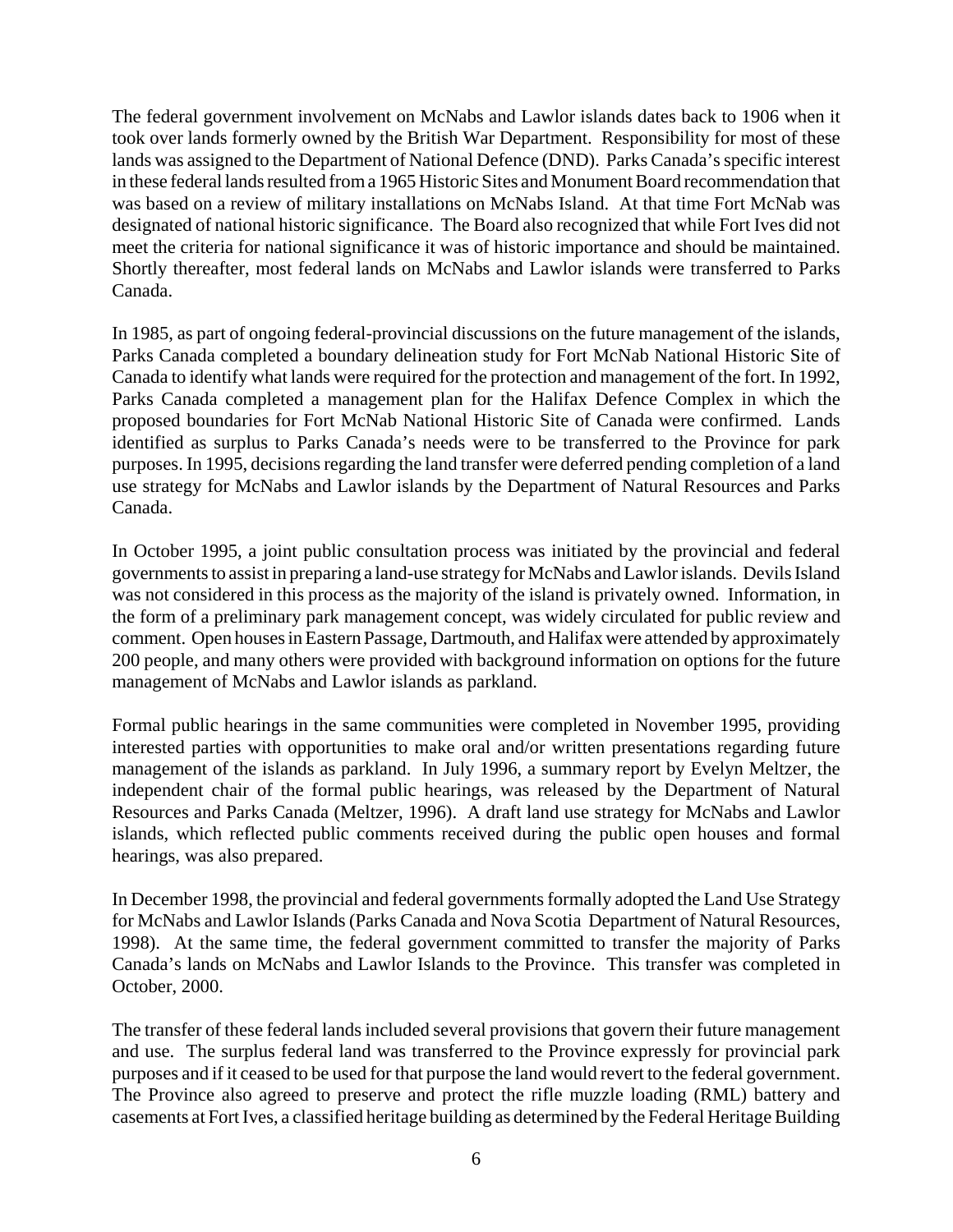The federal government involvement on McNabs and Lawlor islands dates back to 1906 when it took over lands formerly owned by the British War Department. Responsibility for most of these lands was assigned to the Department of National Defence (DND). Parks Canada's specific interest in these federal lands resulted from a 1965 Historic Sites and Monument Board recommendation that was based on a review of military installations on McNabs Island. At that time Fort McNab was designated of national historic significance. The Board also recognized that while Fort Ives did not meet the criteria for national significance it was of historic importance and should be maintained. Shortly thereafter, most federal lands on McNabs and Lawlor islands were transferred to Parks Canada.

In 1985, as part of ongoing federal-provincial discussions on the future management of the islands, Parks Canada completed a boundary delineation study for Fort McNab National Historic Site of Canada to identify what lands were required for the protection and management of the fort. In 1992, Parks Canada completed a management plan for the Halifax Defence Complex in which the proposed boundaries for Fort McNab National Historic Site of Canada were confirmed. Lands identified as surplus to Parks Canada's needs were to be transferred to the Province for park purposes. In 1995, decisions regarding the land transfer were deferred pending completion of a land use strategy for McNabs and Lawlor islands by the Department of Natural Resources and Parks Canada.

In October 1995, a joint public consultation process was initiated by the provincial and federal governments to assist in preparing a land-use strategy for McNabs and Lawlor islands. Devils Island was not considered in this process as the majority of the island is privately owned. Information, in the form of a preliminary park management concept, was widely circulated for public review and comment. Open houses in Eastern Passage, Dartmouth, and Halifax were attended by approximately 200 people, and many others were provided with background information on options for the future management of McNabs and Lawlor islands as parkland.

Formal public hearings in the same communities were completed in November 1995, providing interested parties with opportunities to make oral and/or written presentations regarding future management of the islands as parkland. In July 1996, a summary report by Evelyn Meltzer, the independent chair of the formal public hearings, was released by the Department of Natural Resources and Parks Canada (Meltzer, 1996). A draft land use strategy for McNabs and Lawlor islands, which reflected public comments received during the public open houses and formal hearings, was also prepared.

In December 1998, the provincial and federal governments formally adopted the Land Use Strategy for McNabs and Lawlor Islands (Parks Canada and Nova Scotia Department of Natural Resources, 1998). At the same time, the federal government committed to transfer the majority of Parks Canada's lands on McNabs and Lawlor Islands to the Province. This transfer was completed in October, 2000.

The transfer of these federal lands included several provisions that govern their future management and use. The surplus federal land was transferred to the Province expressly for provincial park purposes and if it ceased to be used for that purpose the land would revert to the federal government. The Province also agreed to preserve and protect the rifle muzzle loading (RML) battery and casements at Fort Ives, a classified heritage building as determined by the Federal Heritage Building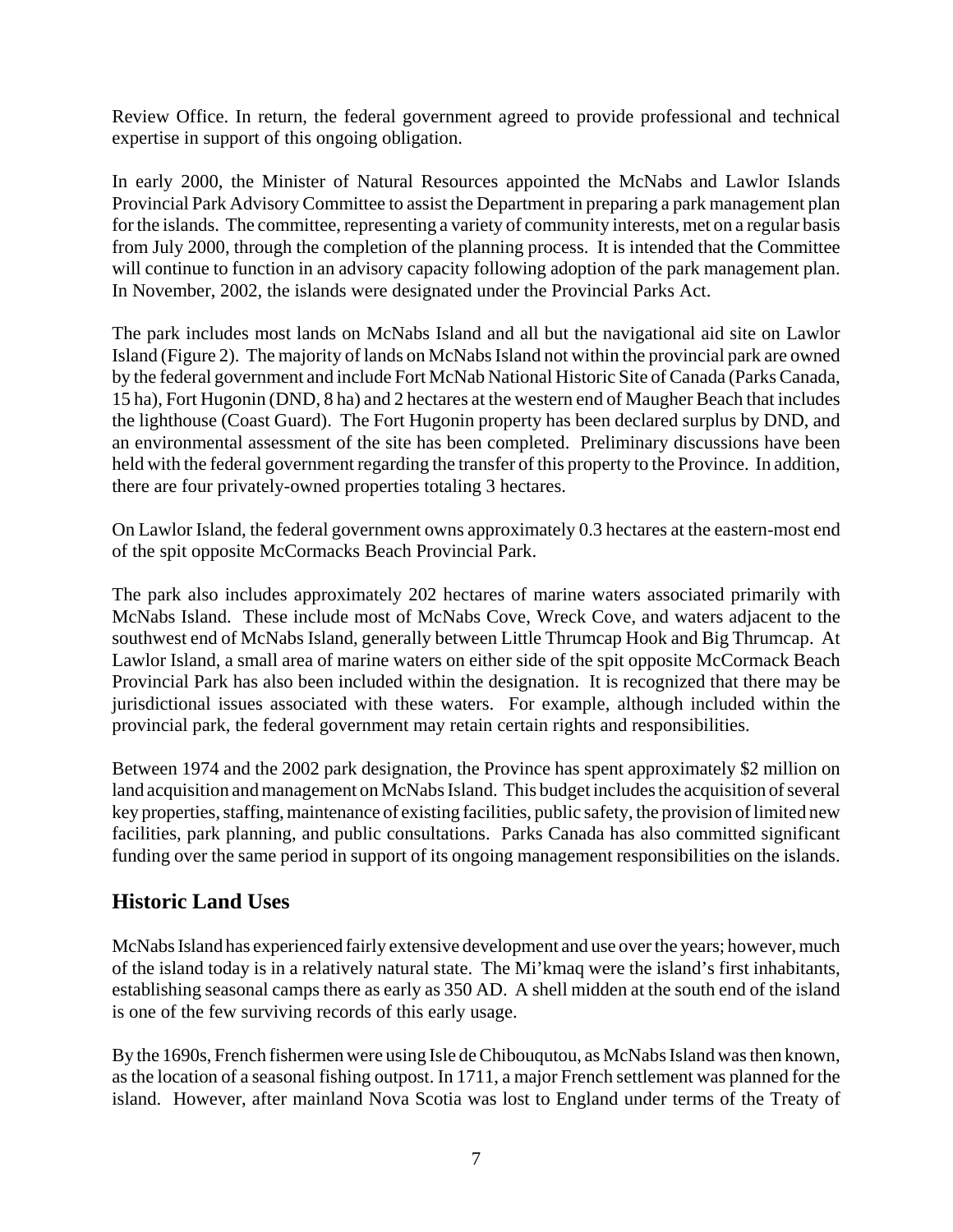Review Office. In return, the federal government agreed to provide professional and technical expertise in support of this ongoing obligation.

In early 2000, the Minister of Natural Resources appointed the McNabs and Lawlor Islands Provincial Park Advisory Committee to assist the Department in preparing a park management plan for the islands. The committee, representing a variety of community interests, met on a regular basis from July 2000, through the completion of the planning process. It is intended that the Committee will continue to function in an advisory capacity following adoption of the park management plan. In November, 2002, the islands were designated under the Provincial Parks Act.

The park includes most lands on McNabs Island and all but the navigational aid site on Lawlor Island (Figure 2). The majority of lands on McNabs Island not within the provincial park are owned by the federal government and include Fort McNab National Historic Site of Canada (Parks Canada, 15 ha), Fort Hugonin (DND, 8 ha) and 2 hectares at the western end of Maugher Beach that includes the lighthouse (Coast Guard). The Fort Hugonin property has been declared surplus by DND, and an environmental assessment of the site has been completed. Preliminary discussions have been held with the federal government regarding the transfer of this property to the Province. In addition, there are four privately-owned properties totaling 3 hectares.

On Lawlor Island, the federal government owns approximately 0.3 hectares at the eastern-most end of the spit opposite McCormacks Beach Provincial Park.

The park also includes approximately 202 hectares of marine waters associated primarily with McNabs Island. These include most of McNabs Cove, Wreck Cove, and waters adjacent to the southwest end of McNabs Island, generally between Little Thrumcap Hook and Big Thrumcap. At Lawlor Island, a small area of marine waters on either side of the spit opposite McCormack Beach Provincial Park has also been included within the designation. It is recognized that there may be jurisdictional issues associated with these waters. For example, although included within the provincial park, the federal government may retain certain rights and responsibilities.

Between 1974 and the 2002 park designation, the Province has spent approximately \$2 million on land acquisition and management on McNabs Island. This budget includes the acquisition of several key properties, staffing, maintenance of existing facilities, public safety, the provision of limited new facilities, park planning, and public consultations. Parks Canada has also committed significant funding over the same period in support of its ongoing management responsibilities on the islands.

## **Historic Land Uses**

McNabs Island has experienced fairly extensive development and use over the years; however, much of the island today is in a relatively natural state. The Mi'kmaq were the island's first inhabitants, establishing seasonal camps there as early as 350 AD. A shell midden at the south end of the island is one of the few surviving records of this early usage.

By the 1690s, French fishermen were using Isle de Chibouqutou, as McNabs Island was then known, as the location of a seasonal fishing outpost. In 1711, a major French settlement was planned for the island. However, after mainland Nova Scotia was lost to England under terms of the Treaty of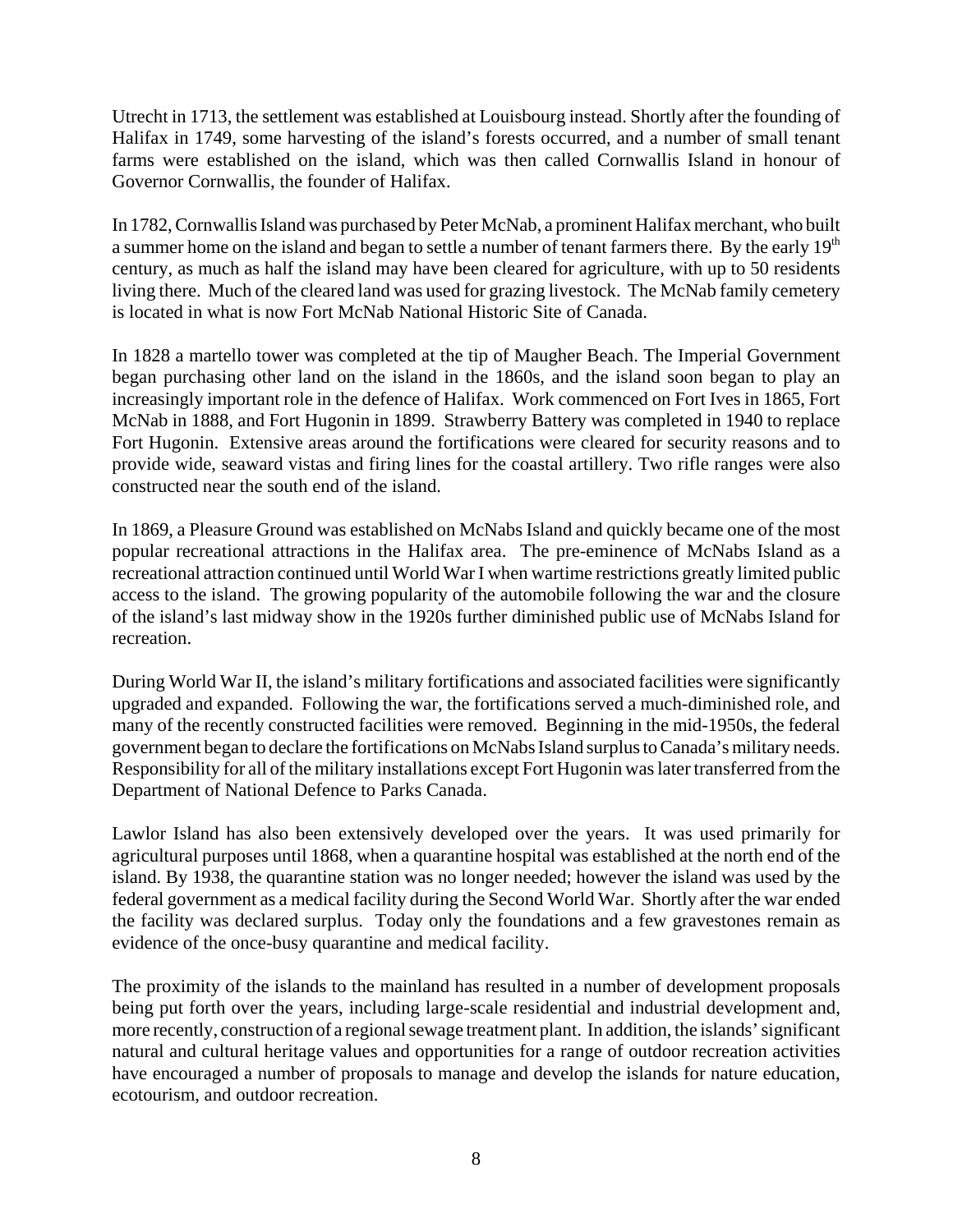Utrecht in 1713, the settlement was established at Louisbourg instead. Shortly after the founding of Halifax in 1749, some harvesting of the island's forests occurred, and a number of small tenant farms were established on the island, which was then called Cornwallis Island in honour of Governor Cornwallis, the founder of Halifax.

In 1782, Cornwallis Island was purchased by Peter McNab, a prominent Halifax merchant, who built a summer home on the island and began to settle a number of tenant farmers there. By the early 19<sup>th</sup> century, as much as half the island may have been cleared for agriculture, with up to 50 residents living there. Much of the cleared land was used for grazing livestock. The McNab family cemetery is located in what is now Fort McNab National Historic Site of Canada.

In 1828 a martello tower was completed at the tip of Maugher Beach. The Imperial Government began purchasing other land on the island in the 1860s, and the island soon began to play an increasingly important role in the defence of Halifax. Work commenced on Fort Ives in 1865, Fort McNab in 1888, and Fort Hugonin in 1899. Strawberry Battery was completed in 1940 to replace Fort Hugonin. Extensive areas around the fortifications were cleared for security reasons and to provide wide, seaward vistas and firing lines for the coastal artillery. Two rifle ranges were also constructed near the south end of the island.

In 1869, a Pleasure Ground was established on McNabs Island and quickly became one of the most popular recreational attractions in the Halifax area. The pre-eminence of McNabs Island as a recreational attraction continued until World War I when wartime restrictions greatly limited public access to the island. The growing popularity of the automobile following the war and the closure of the island's last midway show in the 1920s further diminished public use of McNabs Island for recreation.

During World War II, the island's military fortifications and associated facilities were significantly upgraded and expanded. Following the war, the fortifications served a much-diminished role, and many of the recently constructed facilities were removed. Beginning in the mid-1950s, the federal government began to declare the fortifications on McNabs Island surplus to Canada's military needs. Responsibility for all of the military installations except Fort Hugonin was later transferred from the Department of National Defence to Parks Canada.

Lawlor Island has also been extensively developed over the years. It was used primarily for agricultural purposes until 1868, when a quarantine hospital was established at the north end of the island. By 1938, the quarantine station was no longer needed; however the island was used by the federal government as a medical facility during the Second World War. Shortly after the war ended the facility was declared surplus. Today only the foundations and a few gravestones remain as evidence of the once-busy quarantine and medical facility.

The proximity of the islands to the mainland has resulted in a number of development proposals being put forth over the years, including large-scale residential and industrial development and, more recently, construction of a regional sewage treatment plant. In addition, the islands' significant natural and cultural heritage values and opportunities for a range of outdoor recreation activities have encouraged a number of proposals to manage and develop the islands for nature education, ecotourism, and outdoor recreation.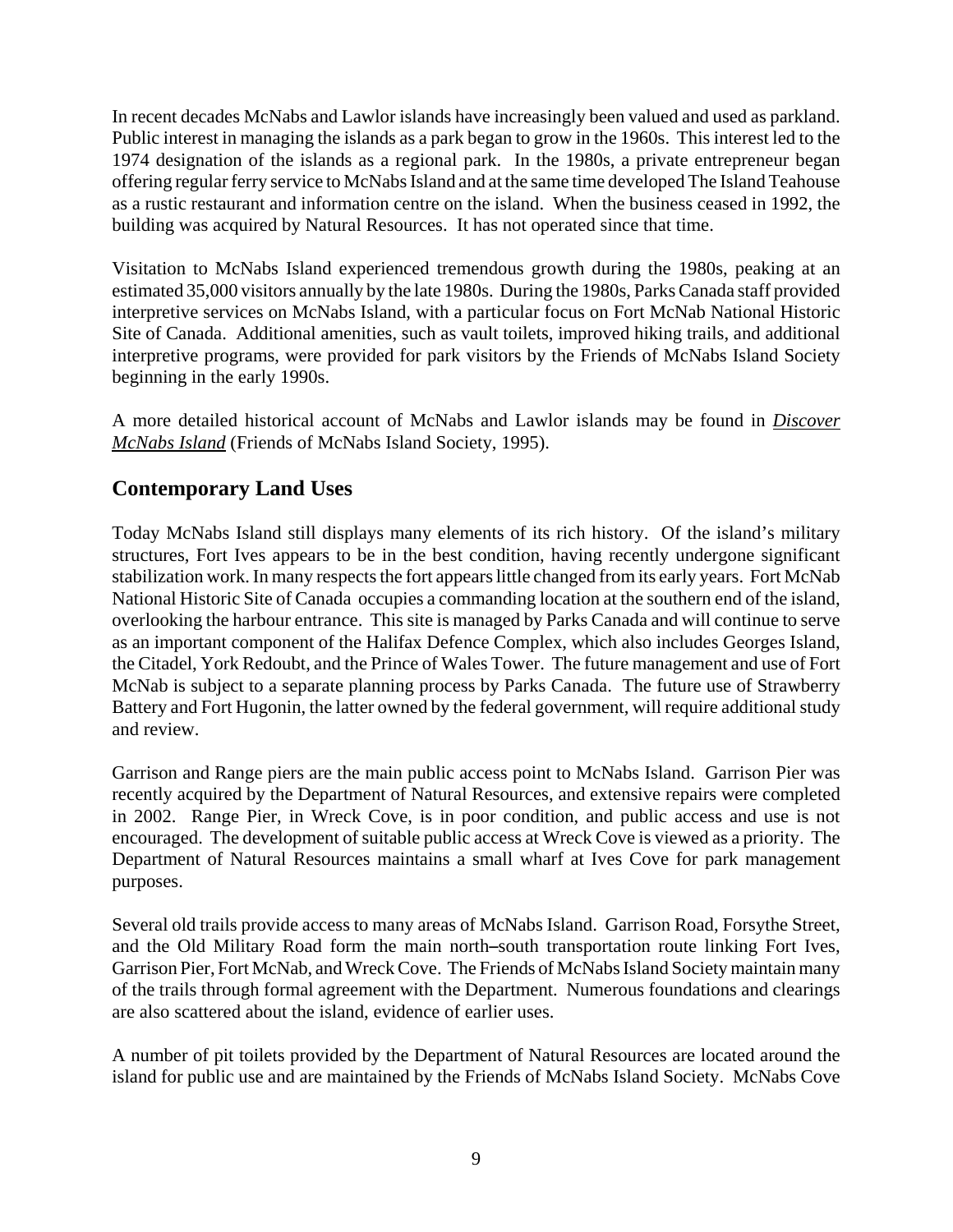In recent decades McNabs and Lawlor islands have increasingly been valued and used as parkland. Public interest in managing the islands as a park began to grow in the 1960s. This interest led to the 1974 designation of the islands as a regional park. In the 1980s, a private entrepreneur began offering regular ferry service to McNabs Island and at the same time developed The Island Teahouse as a rustic restaurant and information centre on the island. When the business ceased in 1992, the building was acquired by Natural Resources. It has not operated since that time.

Visitation to McNabs Island experienced tremendous growth during the 1980s, peaking at an estimated 35,000 visitors annually by the late 1980s. During the 1980s, Parks Canada staff provided interpretive services on McNabs Island, with a particular focus on Fort McNab National Historic Site of Canada. Additional amenities, such as vault toilets, improved hiking trails, and additional interpretive programs, were provided for park visitors by the Friends of McNabs Island Society beginning in the early 1990s.

A more detailed historical account of McNabs and Lawlor islands may be found in *Discover McNabs Island* (Friends of McNabs Island Society, 1995).

## **Contemporary Land Uses**

Today McNabs Island still displays many elements of its rich history. Of the island's military structures, Fort Ives appears to be in the best condition, having recently undergone significant stabilization work. In many respects the fort appears little changed from its early years. Fort McNab National Historic Site of Canada occupies a commanding location at the southern end of the island, overlooking the harbour entrance. This site is managed by Parks Canada and will continue to serve as an important component of the Halifax Defence Complex, which also includes Georges Island, the Citadel, York Redoubt, and the Prince of Wales Tower. The future management and use of Fort McNab is subject to a separate planning process by Parks Canada. The future use of Strawberry Battery and Fort Hugonin, the latter owned by the federal government, will require additional study and review.

Garrison and Range piers are the main public access point to McNabs Island. Garrison Pier was recently acquired by the Department of Natural Resources, and extensive repairs were completed in 2002. Range Pier, in Wreck Cove, is in poor condition, and public access and use is not encouraged. The development of suitable public access at Wreck Cove is viewed as a priority. The Department of Natural Resources maintains a small wharf at Ives Cove for park management purposes.

Several old trails provide access to many areas of McNabs Island. Garrison Road, Forsythe Street, and the Old Military Road form the main north-south transportation route linking Fort Ives, Garrison Pier, Fort McNab, and Wreck Cove. The Friends of McNabs Island Society maintain many of the trails through formal agreement with the Department. Numerous foundations and clearings are also scattered about the island, evidence of earlier uses.

A number of pit toilets provided by the Department of Natural Resources are located around the island for public use and are maintained by the Friends of McNabs Island Society. McNabs Cove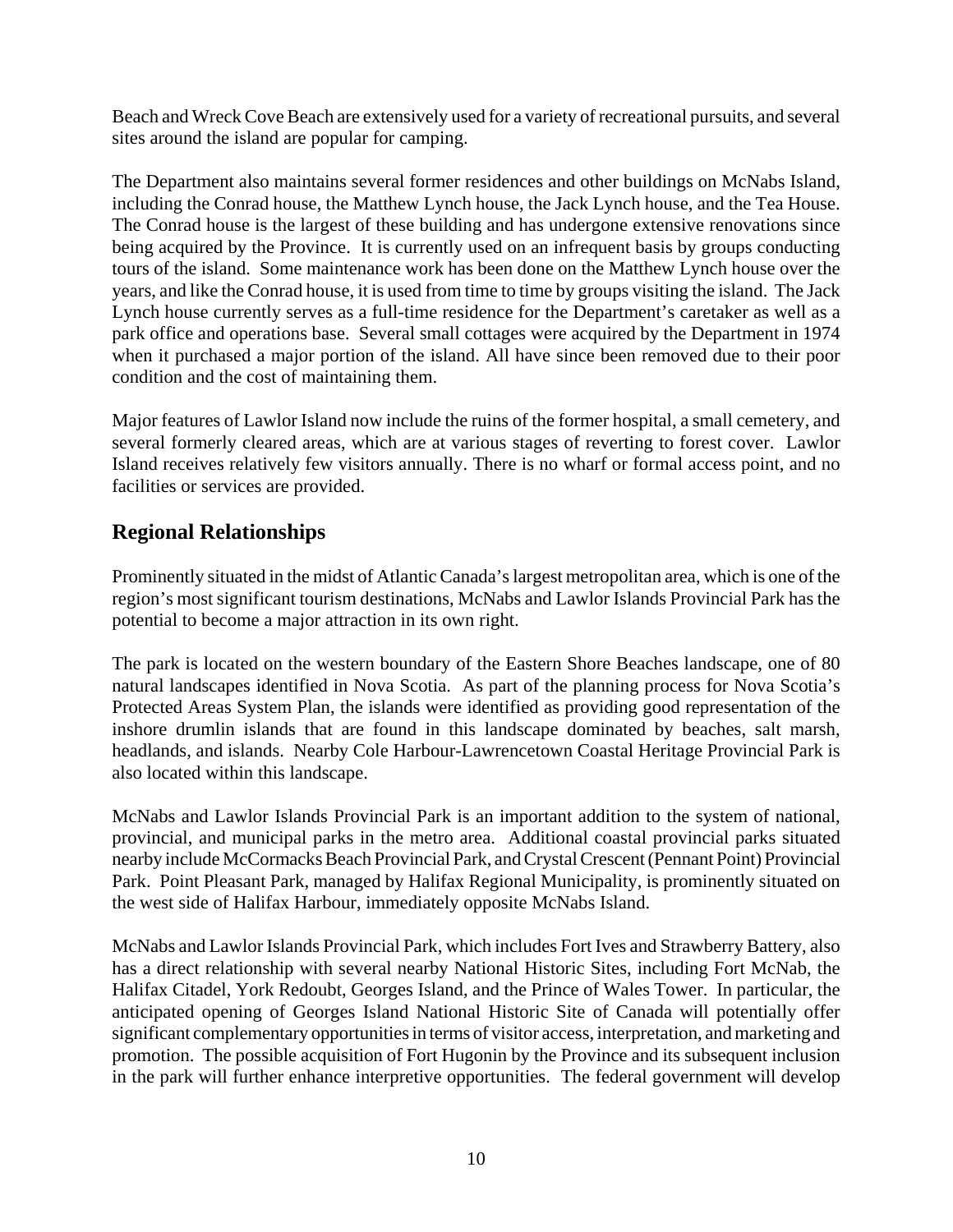Beach and Wreck Cove Beach are extensively used for a variety of recreational pursuits, and several sites around the island are popular for camping.

The Department also maintains several former residences and other buildings on McNabs Island, including the Conrad house, the Matthew Lynch house, the Jack Lynch house, and the Tea House. The Conrad house is the largest of these building and has undergone extensive renovations since being acquired by the Province. It is currently used on an infrequent basis by groups conducting tours of the island. Some maintenance work has been done on the Matthew Lynch house over the years, and like the Conrad house, it is used from time to time by groups visiting the island. The Jack Lynch house currently serves as a full-time residence for the Department's caretaker as well as a park office and operations base. Several small cottages were acquired by the Department in 1974 when it purchased a major portion of the island. All have since been removed due to their poor condition and the cost of maintaining them.

Major features of Lawlor Island now include the ruins of the former hospital, a small cemetery, and several formerly cleared areas, which are at various stages of reverting to forest cover. Lawlor Island receives relatively few visitors annually. There is no wharf or formal access point, and no facilities or services are provided.

## **Regional Relationships**

Prominently situated in the midst of Atlantic Canada's largest metropolitan area, which is one of the region's most significant tourism destinations, McNabs and Lawlor Islands Provincial Park has the potential to become a major attraction in its own right.

The park is located on the western boundary of the Eastern Shore Beaches landscape, one of 80 natural landscapes identified in Nova Scotia. As part of the planning process for Nova Scotia's Protected Areas System Plan, the islands were identified as providing good representation of the inshore drumlin islands that are found in this landscape dominated by beaches, salt marsh, headlands, and islands. Nearby Cole Harbour-Lawrencetown Coastal Heritage Provincial Park is also located within this landscape.

McNabs and Lawlor Islands Provincial Park is an important addition to the system of national, provincial, and municipal parks in the metro area. Additional coastal provincial parks situated nearby include McCormacks Beach Provincial Park, and Crystal Crescent (Pennant Point) Provincial Park. Point Pleasant Park, managed by Halifax Regional Municipality, is prominently situated on the west side of Halifax Harbour, immediately opposite McNabs Island.

McNabs and Lawlor Islands Provincial Park, which includes Fort Ives and Strawberry Battery, also has a direct relationship with several nearby National Historic Sites, including Fort McNab, the Halifax Citadel, York Redoubt, Georges Island, and the Prince of Wales Tower. In particular, the anticipated opening of Georges Island National Historic Site of Canada will potentially offer significant complementary opportunities in terms of visitor access, interpretation, and marketing and promotion. The possible acquisition of Fort Hugonin by the Province and its subsequent inclusion in the park will further enhance interpretive opportunities. The federal government will develop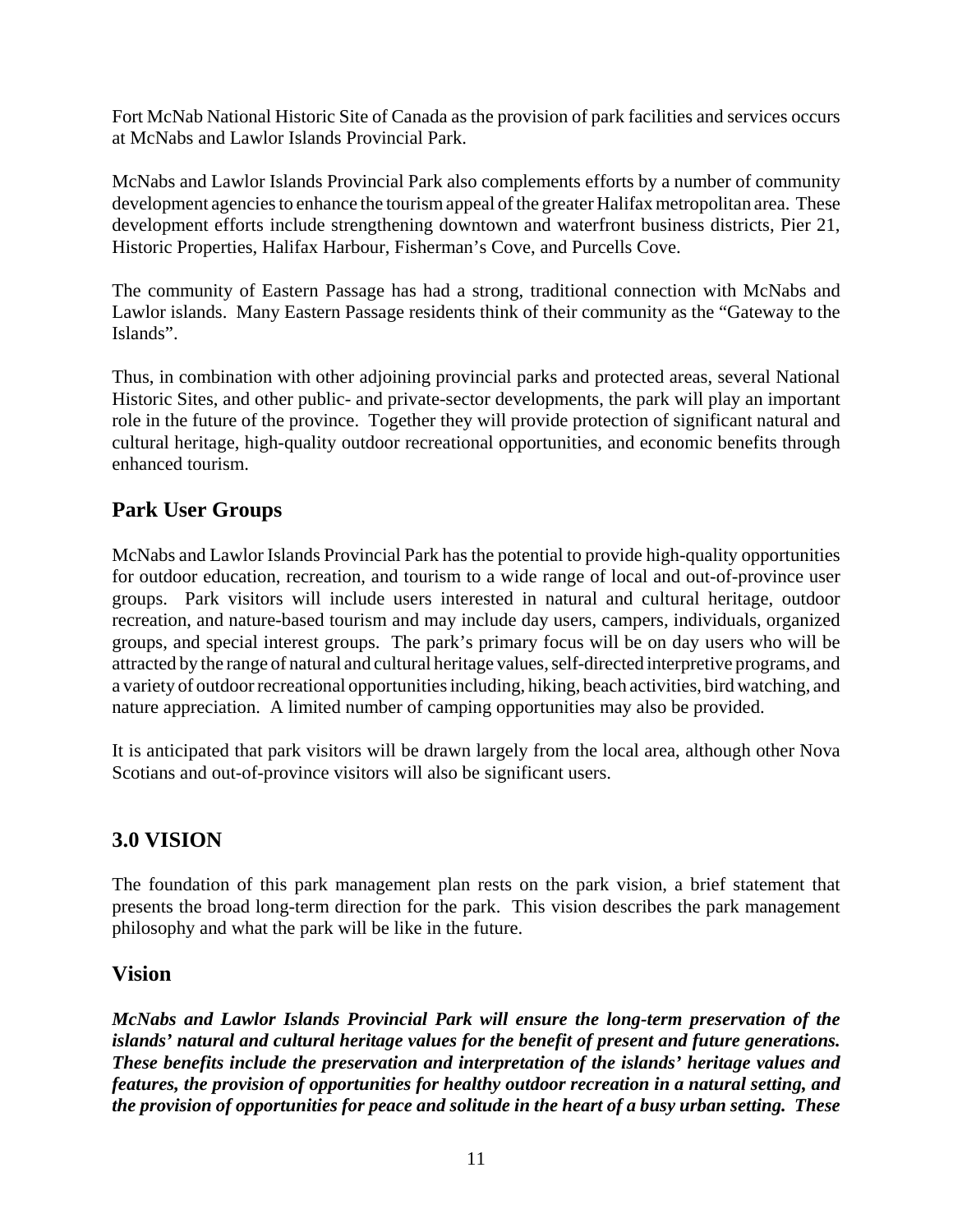Fort McNab National Historic Site of Canada as the provision of park facilities and services occurs at McNabs and Lawlor Islands Provincial Park.

McNabs and Lawlor Islands Provincial Park also complements efforts by a number of community development agencies to enhance the tourism appeal of the greater Halifax metropolitan area. These development efforts include strengthening downtown and waterfront business districts, Pier 21, Historic Properties, Halifax Harbour, Fisherman's Cove, and Purcells Cove.

The community of Eastern Passage has had a strong, traditional connection with McNabs and Lawlor islands. Many Eastern Passage residents think of their community as the "Gateway to the Islands".

Thus, in combination with other adjoining provincial parks and protected areas, several National Historic Sites, and other public- and private-sector developments, the park will play an important role in the future of the province. Together they will provide protection of significant natural and cultural heritage, high-quality outdoor recreational opportunities, and economic benefits through enhanced tourism.

## **Park User Groups**

McNabs and Lawlor Islands Provincial Park has the potential to provide high-quality opportunities for outdoor education, recreation, and tourism to a wide range of local and out-of-province user groups. Park visitors will include users interested in natural and cultural heritage, outdoor recreation, and nature-based tourism and may include day users, campers, individuals, organized groups, and special interest groups. The park's primary focus will be on day users who will be attracted by the range of natural and cultural heritage values, self-directed interpretive programs, and a variety of outdoor recreational opportunities including, hiking, beach activities, bird watching, and nature appreciation. A limited number of camping opportunities may also be provided.

It is anticipated that park visitors will be drawn largely from the local area, although other Nova Scotians and out-of-province visitors will also be significant users.

## **3.0 VISION**

The foundation of this park management plan rests on the park vision, a brief statement that presents the broad long-term direction for the park. This vision describes the park management philosophy and what the park will be like in the future.

## **Vision**

*McNabs and Lawlor Islands Provincial Park will ensure the long-term preservation of the islands' natural and cultural heritage values for the benefit of present and future generations. These benefits include the preservation and interpretation of the islands' heritage values and features, the provision of opportunities for healthy outdoor recreation in a natural setting, and the provision of opportunities for peace and solitude in the heart of a busy urban setting. These*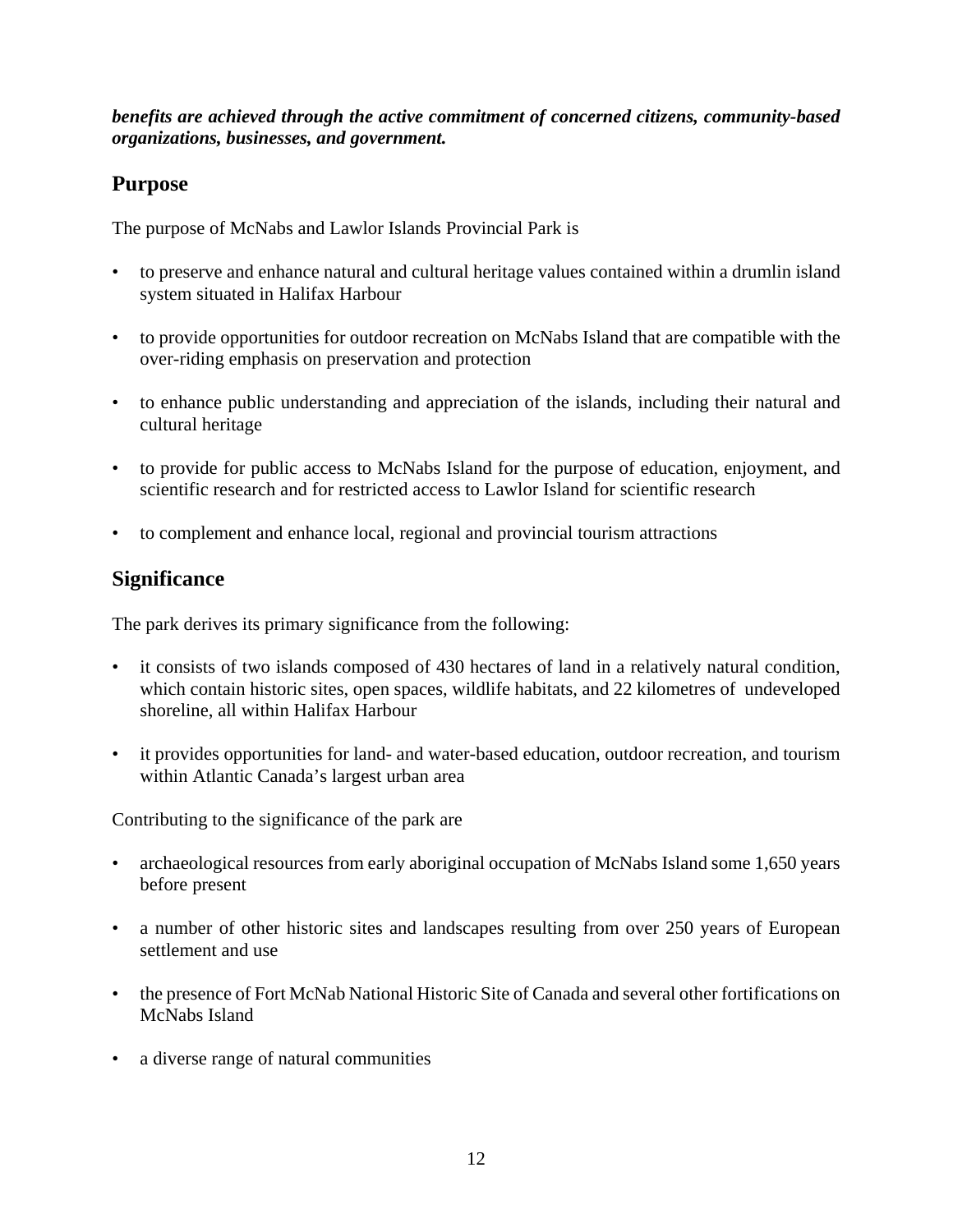*benefits are achieved through the active commitment of concerned citizens, community-based organizations, businesses, and government.*

## **Purpose**

The purpose of McNabs and Lawlor Islands Provincial Park is

- to preserve and enhance natural and cultural heritage values contained within a drumlin island system situated in Halifax Harbour
- to provide opportunities for outdoor recreation on McNabs Island that are compatible with the over-riding emphasis on preservation and protection
- to enhance public understanding and appreciation of the islands, including their natural and cultural heritage
- to provide for public access to McNabs Island for the purpose of education, enjoyment, and scientific research and for restricted access to Lawlor Island for scientific research
- to complement and enhance local, regional and provincial tourism attractions

## **Significance**

The park derives its primary significance from the following:

- it consists of two islands composed of 430 hectares of land in a relatively natural condition, which contain historic sites, open spaces, wildlife habitats, and 22 kilometres of undeveloped shoreline, all within Halifax Harbour
- it provides opportunities for land- and water-based education, outdoor recreation, and tourism within Atlantic Canada's largest urban area

Contributing to the significance of the park are

- archaeological resources from early aboriginal occupation of McNabs Island some 1,650 years before present
- a number of other historic sites and landscapes resulting from over 250 years of European settlement and use
- the presence of Fort McNab National Historic Site of Canada and several other fortifications on McNabs Island
- a diverse range of natural communities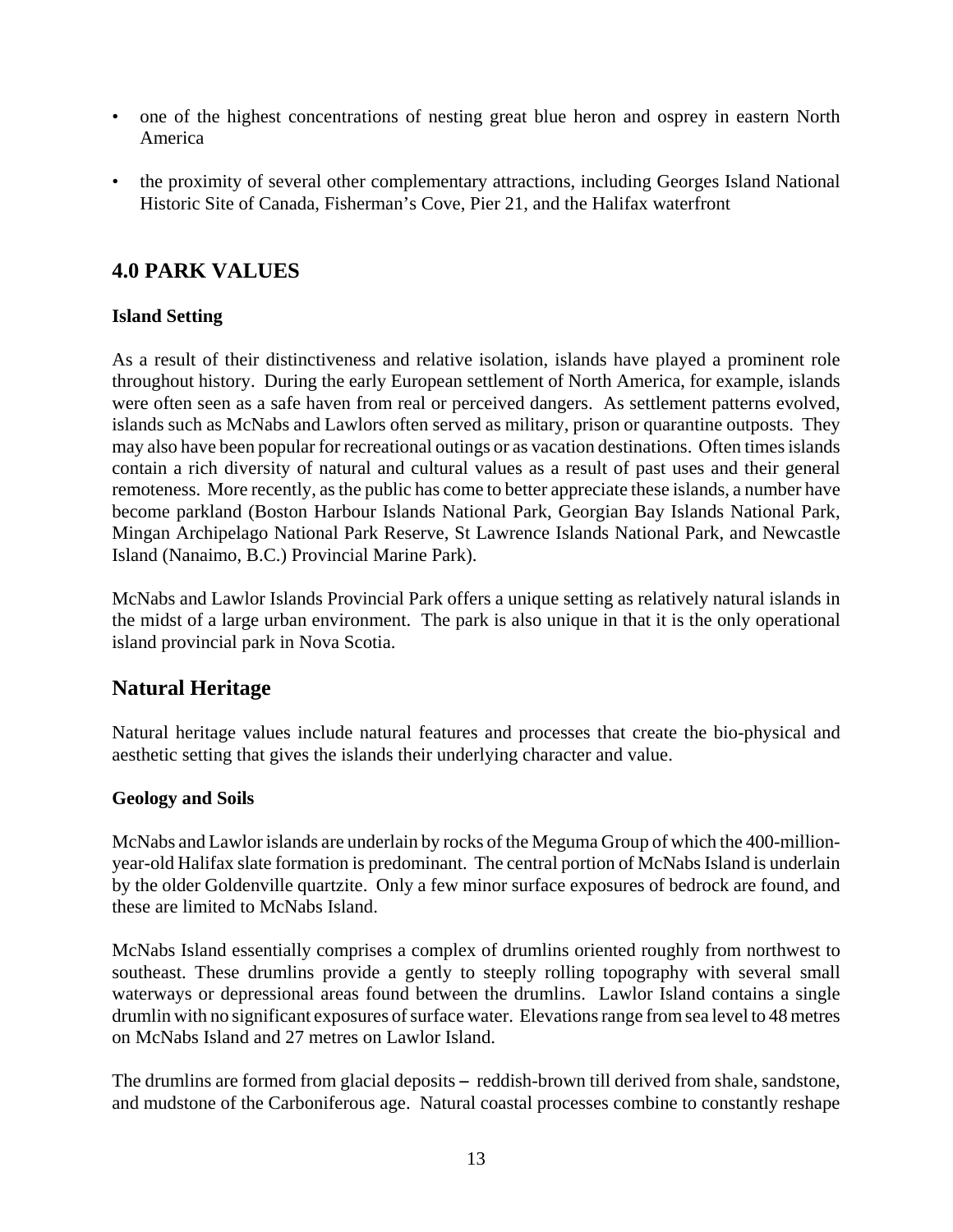- one of the highest concentrations of nesting great blue heron and osprey in eastern North America
- the proximity of several other complementary attractions, including Georges Island National Historic Site of Canada, Fisherman's Cove, Pier 21, and the Halifax waterfront

## **4.0 PARK VALUES**

#### **Island Setting**

As a result of their distinctiveness and relative isolation, islands have played a prominent role throughout history. During the early European settlement of North America, for example, islands were often seen as a safe haven from real or perceived dangers. As settlement patterns evolved, islands such as McNabs and Lawlors often served as military, prison or quarantine outposts. They may also have been popular for recreational outings or as vacation destinations. Often times islands contain a rich diversity of natural and cultural values as a result of past uses and their general remoteness. More recently, as the public has come to better appreciate these islands, a number have become parkland (Boston Harbour Islands National Park, Georgian Bay Islands National Park, Mingan Archipelago National Park Reserve, St Lawrence Islands National Park, and Newcastle Island (Nanaimo, B.C.) Provincial Marine Park).

McNabs and Lawlor Islands Provincial Park offers a unique setting as relatively natural islands in the midst of a large urban environment. The park is also unique in that it is the only operational island provincial park in Nova Scotia.

## **Natural Heritage**

Natural heritage values include natural features and processes that create the bio-physical and aesthetic setting that gives the islands their underlying character and value.

#### **Geology and Soils**

McNabs and Lawlor islands are underlain by rocks of the Meguma Group of which the 400-millionyear-old Halifax slate formation is predominant. The central portion of McNabs Island is underlain by the older Goldenville quartzite. Only a few minor surface exposures of bedrock are found, and these are limited to McNabs Island.

McNabs Island essentially comprises a complex of drumlins oriented roughly from northwest to southeast. These drumlins provide a gently to steeply rolling topography with several small waterways or depressional areas found between the drumlins. Lawlor Island contains a single drumlin with no significant exposures of surface water. Elevations range from sea level to 48 metres on McNabs Island and 27 metres on Lawlor Island.

The drumlins are formed from glacial deposits – reddish-brown till derived from shale, sandstone, and mudstone of the Carboniferous age. Natural coastal processes combine to constantly reshape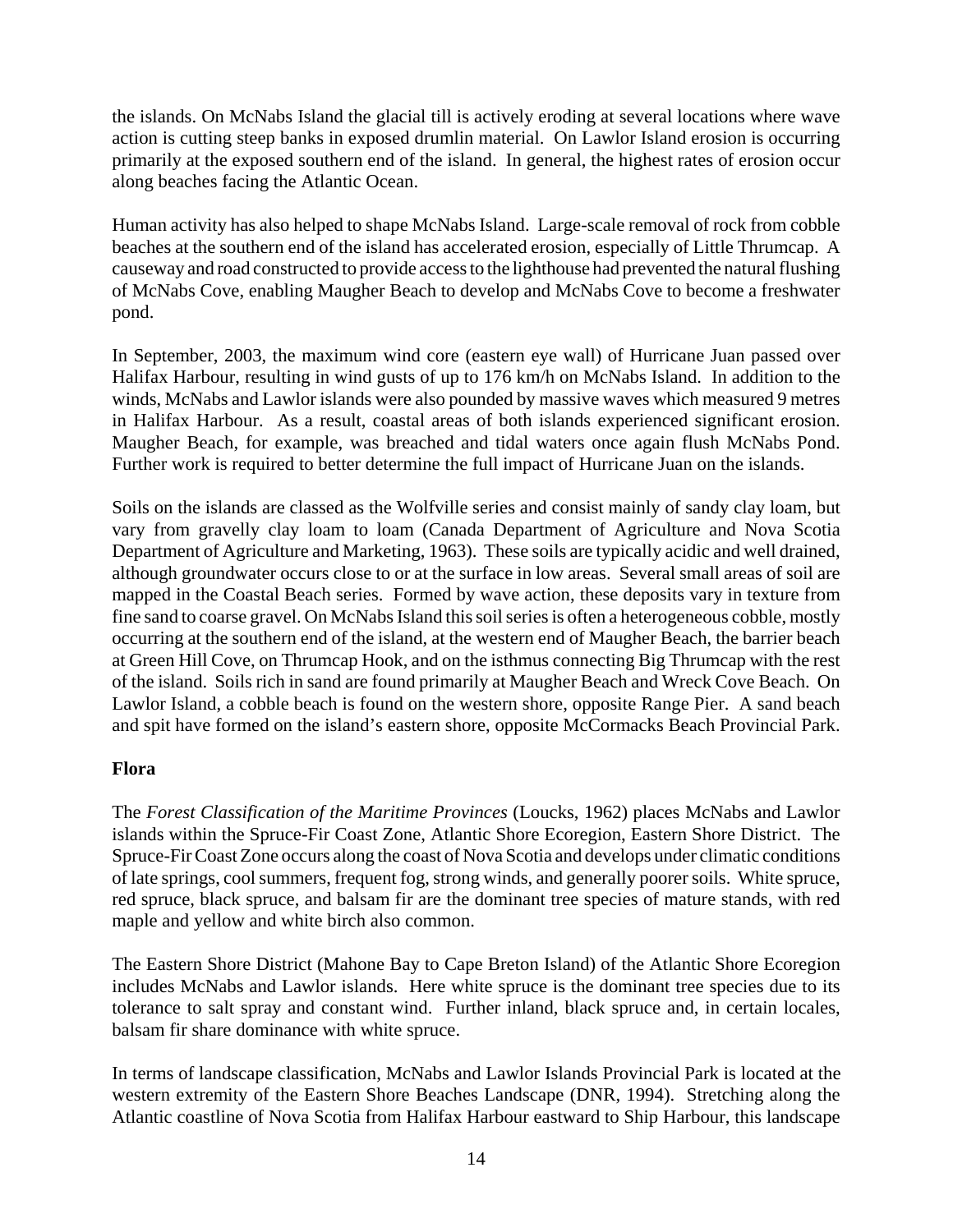the islands. On McNabs Island the glacial till is actively eroding at several locations where wave action is cutting steep banks in exposed drumlin material. On Lawlor Island erosion is occurring primarily at the exposed southern end of the island. In general, the highest rates of erosion occur along beaches facing the Atlantic Ocean.

Human activity has also helped to shape McNabs Island. Large-scale removal of rock from cobble beaches at the southern end of the island has accelerated erosion, especially of Little Thrumcap. A causeway and road constructed to provide access to the lighthouse had prevented the natural flushing of McNabs Cove, enabling Maugher Beach to develop and McNabs Cove to become a freshwater pond.

In September, 2003, the maximum wind core (eastern eye wall) of Hurricane Juan passed over Halifax Harbour, resulting in wind gusts of up to 176 km/h on McNabs Island. In addition to the winds, McNabs and Lawlor islands were also pounded by massive waves which measured 9 metres in Halifax Harbour. As a result, coastal areas of both islands experienced significant erosion. Maugher Beach, for example, was breached and tidal waters once again flush McNabs Pond. Further work is required to better determine the full impact of Hurricane Juan on the islands.

Soils on the islands are classed as the Wolfville series and consist mainly of sandy clay loam, but vary from gravelly clay loam to loam (Canada Department of Agriculture and Nova Scotia Department of Agriculture and Marketing, 1963). These soils are typically acidic and well drained, although groundwater occurs close to or at the surface in low areas. Several small areas of soil are mapped in the Coastal Beach series. Formed by wave action, these deposits vary in texture from fine sand to coarse gravel. On McNabs Island this soil series is often a heterogeneous cobble, mostly occurring at the southern end of the island, at the western end of Maugher Beach, the barrier beach at Green Hill Cove, on Thrumcap Hook, and on the isthmus connecting Big Thrumcap with the rest of the island. Soils rich in sand are found primarily at Maugher Beach and Wreck Cove Beach. On Lawlor Island, a cobble beach is found on the western shore, opposite Range Pier. A sand beach and spit have formed on the island's eastern shore, opposite McCormacks Beach Provincial Park.

#### **Flora**

The *Forest Classification of the Maritime Provinces* (Loucks, 1962) places McNabs and Lawlor islands within the Spruce-Fir Coast Zone, Atlantic Shore Ecoregion, Eastern Shore District. The Spruce-Fir Coast Zone occurs along the coast of Nova Scotia and develops under climatic conditions of late springs, cool summers, frequent fog, strong winds, and generally poorer soils. White spruce, red spruce, black spruce, and balsam fir are the dominant tree species of mature stands, with red maple and yellow and white birch also common.

The Eastern Shore District (Mahone Bay to Cape Breton Island) of the Atlantic Shore Ecoregion includes McNabs and Lawlor islands. Here white spruce is the dominant tree species due to its tolerance to salt spray and constant wind. Further inland, black spruce and, in certain locales, balsam fir share dominance with white spruce.

In terms of landscape classification, McNabs and Lawlor Islands Provincial Park is located at the western extremity of the Eastern Shore Beaches Landscape (DNR, 1994). Stretching along the Atlantic coastline of Nova Scotia from Halifax Harbour eastward to Ship Harbour, this landscape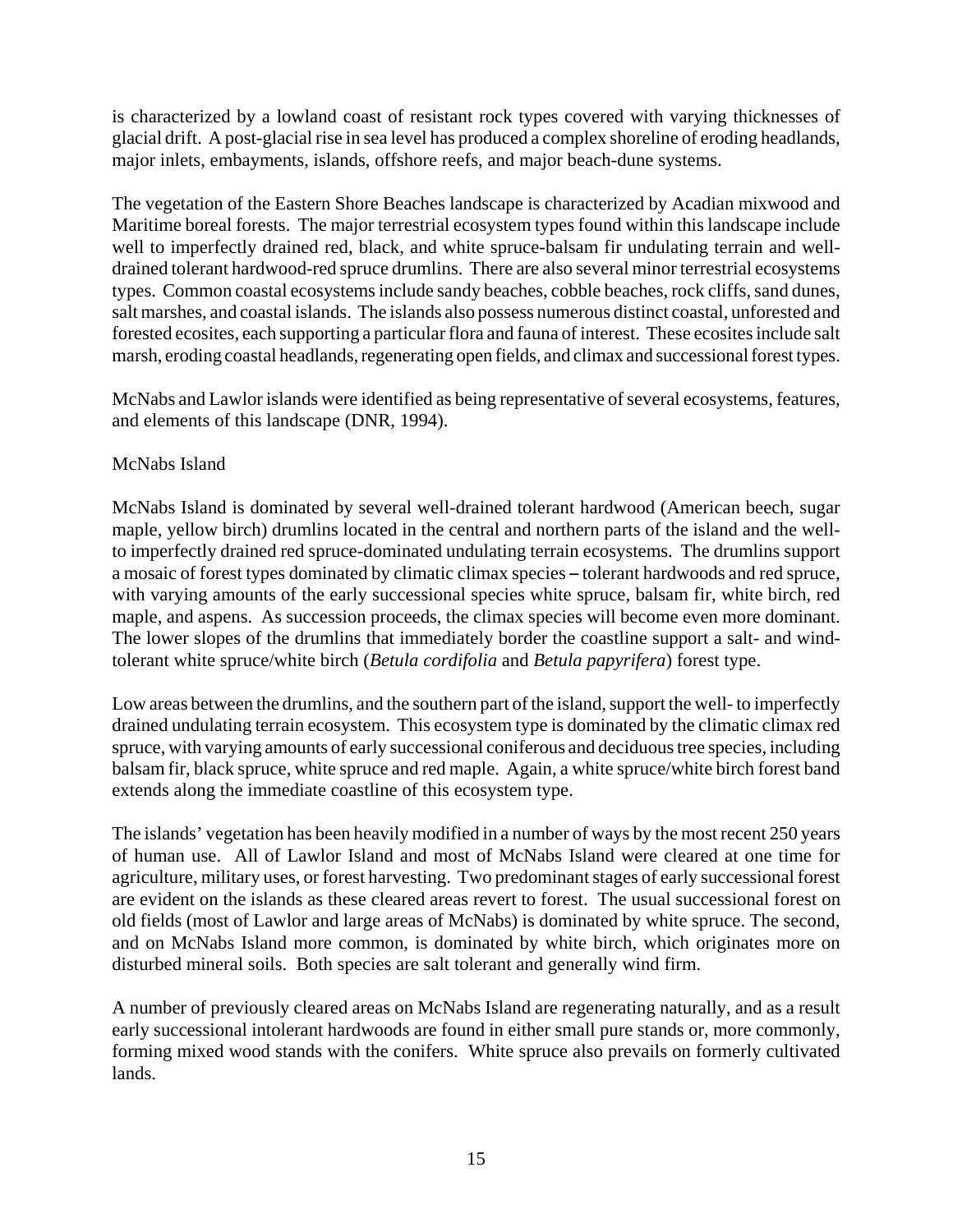is characterized by a lowland coast of resistant rock types covered with varying thicknesses of glacial drift. A post-glacial rise in sea level has produced a complex shoreline of eroding headlands, major inlets, embayments, islands, offshore reefs, and major beach-dune systems.

The vegetation of the Eastern Shore Beaches landscape is characterized by Acadian mixwood and Maritime boreal forests. The major terrestrial ecosystem types found within this landscape include well to imperfectly drained red, black, and white spruce-balsam fir undulating terrain and welldrained tolerant hardwood-red spruce drumlins. There are also several minor terrestrial ecosystems types. Common coastal ecosystems include sandy beaches, cobble beaches, rock cliffs, sand dunes, salt marshes, and coastal islands. The islands also possess numerous distinct coastal, unforested and forested ecosites, each supporting a particular flora and fauna of interest. These ecosites include salt marsh, eroding coastal headlands, regenerating open fields, and climax and successional forest types.

McNabs and Lawlor islands were identified as being representative of several ecosystems, features, and elements of this landscape (DNR, 1994).

#### McNabs Island

McNabs Island is dominated by several well-drained tolerant hardwood (American beech, sugar maple, yellow birch) drumlins located in the central and northern parts of the island and the wellto imperfectly drained red spruce-dominated undulating terrain ecosystems. The drumlins support a mosaic of forest types dominated by climatic climax species – tolerant hardwoods and red spruce, with varying amounts of the early successional species white spruce, balsam fir, white birch, red maple, and aspens. As succession proceeds, the climax species will become even more dominant. The lower slopes of the drumlins that immediately border the coastline support a salt- and windtolerant white spruce/white birch (*Betula cordifolia* and *Betula papyrifera*) forest type.

Low areas between the drumlins, and the southern part of the island, support the well- to imperfectly drained undulating terrain ecosystem. This ecosystem type is dominated by the climatic climax red spruce, with varying amounts of early successional coniferous and deciduous tree species, including balsam fir, black spruce, white spruce and red maple. Again, a white spruce/white birch forest band extends along the immediate coastline of this ecosystem type.

The islands' vegetation has been heavily modified in a number of ways by the most recent 250 years of human use. All of Lawlor Island and most of McNabs Island were cleared at one time for agriculture, military uses, or forest harvesting. Two predominant stages of early successional forest are evident on the islands as these cleared areas revert to forest. The usual successional forest on old fields (most of Lawlor and large areas of McNabs) is dominated by white spruce. The second, and on McNabs Island more common, is dominated by white birch, which originates more on disturbed mineral soils. Both species are salt tolerant and generally wind firm.

A number of previously cleared areas on McNabs Island are regenerating naturally, and as a result early successional intolerant hardwoods are found in either small pure stands or, more commonly, forming mixed wood stands with the conifers. White spruce also prevails on formerly cultivated lands.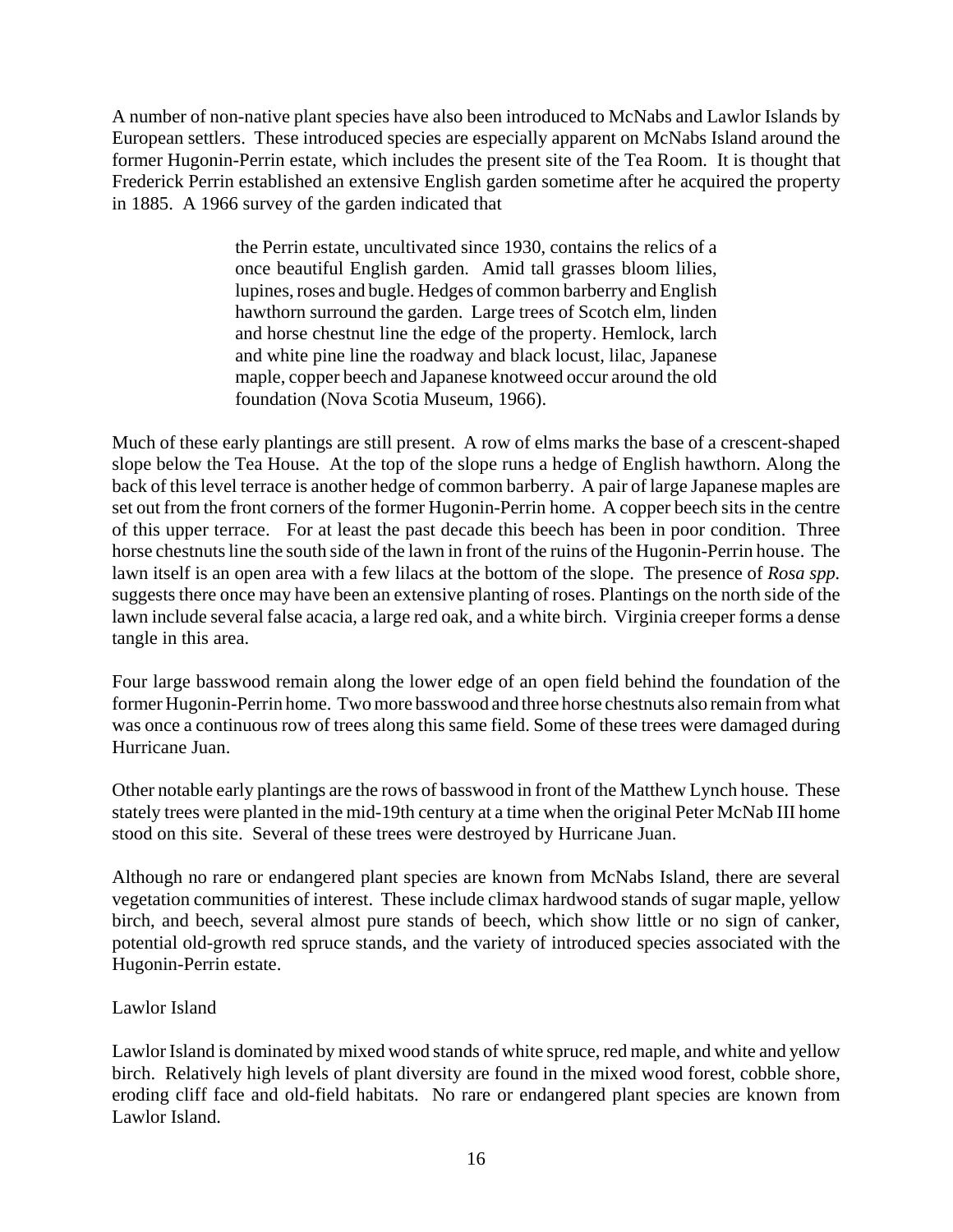A number of non-native plant species have also been introduced to McNabs and Lawlor Islands by European settlers. These introduced species are especially apparent on McNabs Island around the former Hugonin-Perrin estate, which includes the present site of the Tea Room. It is thought that Frederick Perrin established an extensive English garden sometime after he acquired the property in 1885. A 1966 survey of the garden indicated that

> the Perrin estate, uncultivated since 1930, contains the relics of a once beautiful English garden. Amid tall grasses bloom lilies, lupines, roses and bugle. Hedges of common barberry and English hawthorn surround the garden. Large trees of Scotch elm, linden and horse chestnut line the edge of the property. Hemlock, larch and white pine line the roadway and black locust, lilac, Japanese maple, copper beech and Japanese knotweed occur around the old foundation (Nova Scotia Museum, 1966).

Much of these early plantings are still present. A row of elms marks the base of a crescent-shaped slope below the Tea House. At the top of the slope runs a hedge of English hawthorn. Along the back of this level terrace is another hedge of common barberry. A pair of large Japanese maples are set out from the front corners of the former Hugonin-Perrin home. A copper beech sits in the centre of this upper terrace. For at least the past decade this beech has been in poor condition. Three horse chestnuts line the south side of the lawn in front of the ruins of the Hugonin-Perrin house. The lawn itself is an open area with a few lilacs at the bottom of the slope. The presence of *Rosa spp.* suggests there once may have been an extensive planting of roses. Plantings on the north side of the lawn include several false acacia, a large red oak, and a white birch. Virginia creeper forms a dense tangle in this area.

Four large basswood remain along the lower edge of an open field behind the foundation of the former Hugonin-Perrin home. Two more basswood and three horse chestnuts also remain from what was once a continuous row of trees along this same field. Some of these trees were damaged during Hurricane Juan.

Other notable early plantings are the rows of basswood in front of the Matthew Lynch house. These stately trees were planted in the mid-19th century at a time when the original Peter McNab III home stood on this site. Several of these trees were destroyed by Hurricane Juan.

Although no rare or endangered plant species are known from McNabs Island, there are several vegetation communities of interest. These include climax hardwood stands of sugar maple, yellow birch, and beech, several almost pure stands of beech, which show little or no sign of canker, potential old-growth red spruce stands, and the variety of introduced species associated with the Hugonin-Perrin estate.

#### Lawlor Island

Lawlor Island is dominated by mixed wood stands of white spruce, red maple, and white and yellow birch. Relatively high levels of plant diversity are found in the mixed wood forest, cobble shore, eroding cliff face and old-field habitats. No rare or endangered plant species are known from Lawlor Island.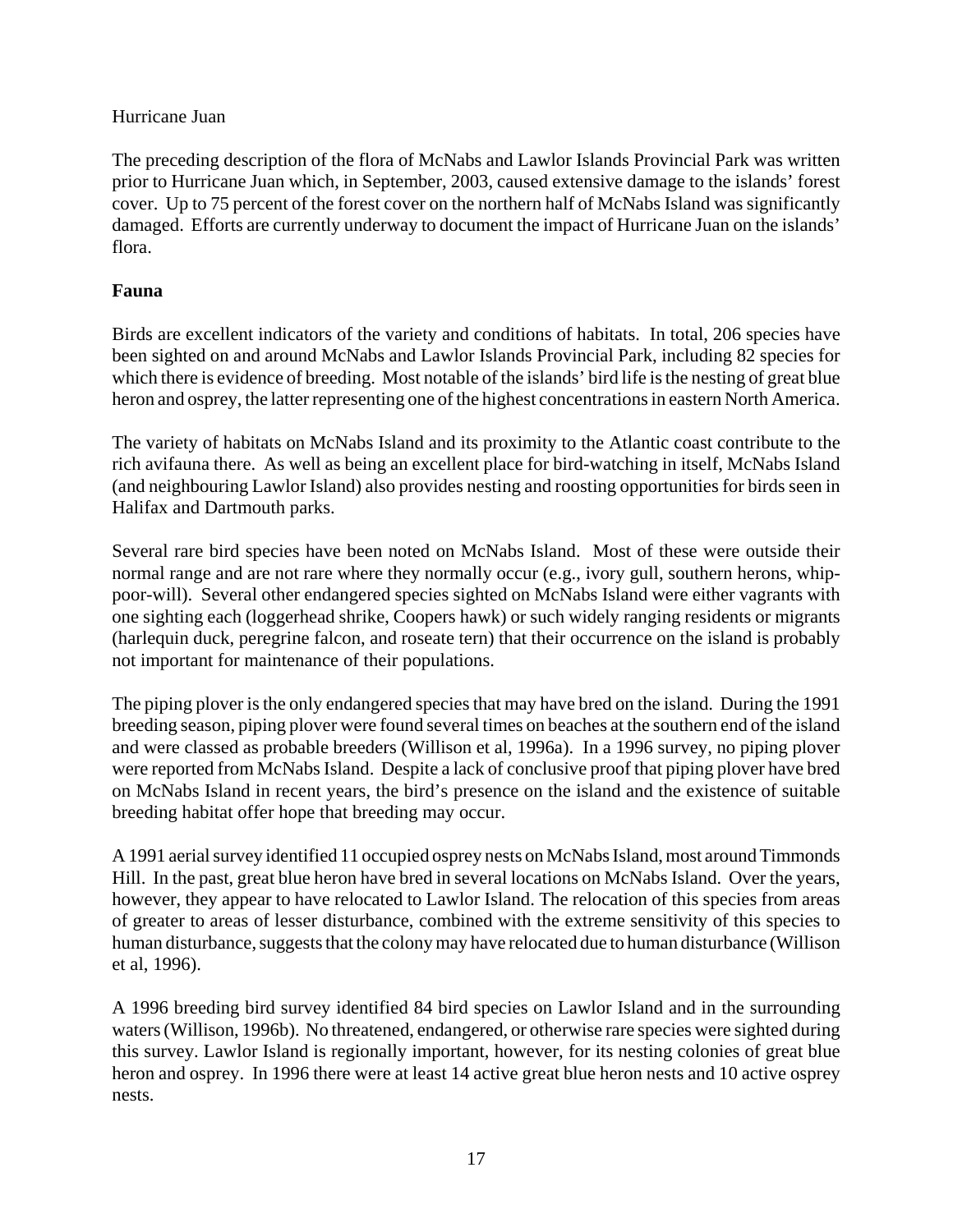#### Hurricane Juan

The preceding description of the flora of McNabs and Lawlor Islands Provincial Park was written prior to Hurricane Juan which, in September, 2003, caused extensive damage to the islands' forest cover. Up to 75 percent of the forest cover on the northern half of McNabs Island was significantly damaged. Efforts are currently underway to document the impact of Hurricane Juan on the islands' flora.

#### **Fauna**

Birds are excellent indicators of the variety and conditions of habitats. In total, 206 species have been sighted on and around McNabs and Lawlor Islands Provincial Park, including 82 species for which there is evidence of breeding. Most notable of the islands' bird life is the nesting of great blue heron and osprey, the latter representing one of the highest concentrations in eastern North America.

The variety of habitats on McNabs Island and its proximity to the Atlantic coast contribute to the rich avifauna there. As well as being an excellent place for bird-watching in itself, McNabs Island (and neighbouring Lawlor Island) also provides nesting and roosting opportunities for birds seen in Halifax and Dartmouth parks.

Several rare bird species have been noted on McNabs Island. Most of these were outside their normal range and are not rare where they normally occur (e.g., ivory gull, southern herons, whippoor-will). Several other endangered species sighted on McNabs Island were either vagrants with one sighting each (loggerhead shrike, Coopers hawk) or such widely ranging residents or migrants (harlequin duck, peregrine falcon, and roseate tern) that their occurrence on the island is probably not important for maintenance of their populations.

The piping plover is the only endangered species that may have bred on the island. During the 1991 breeding season, piping plover were found several times on beaches at the southern end of the island and were classed as probable breeders (Willison et al, 1996a). In a 1996 survey, no piping plover were reported from McNabs Island. Despite a lack of conclusive proof that piping plover have bred on McNabs Island in recent years, the bird's presence on the island and the existence of suitable breeding habitat offer hope that breeding may occur.

A 1991 aerial survey identified 11 occupied osprey nests on McNabs Island, most around Timmonds Hill. In the past, great blue heron have bred in several locations on McNabs Island. Over the years, however, they appear to have relocated to Lawlor Island. The relocation of this species from areas of greater to areas of lesser disturbance, combined with the extreme sensitivity of this species to human disturbance, suggests that the colony may have relocated due to human disturbance (Willison et al, 1996).

A 1996 breeding bird survey identified 84 bird species on Lawlor Island and in the surrounding waters (Willison, 1996b). No threatened, endangered, or otherwise rare species were sighted during this survey. Lawlor Island is regionally important, however, for its nesting colonies of great blue heron and osprey. In 1996 there were at least 14 active great blue heron nests and 10 active osprey nests.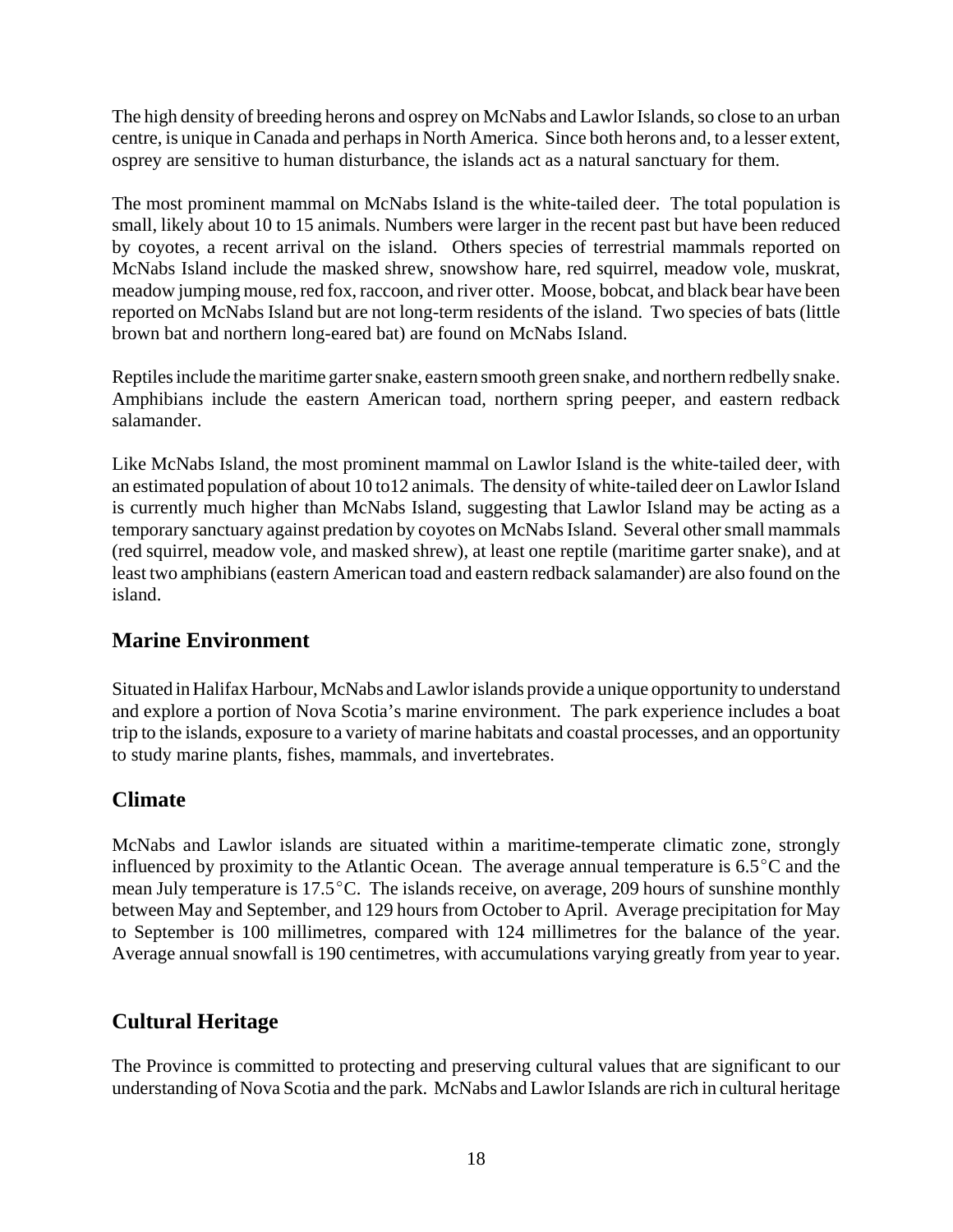The high density of breeding herons and osprey on McNabs and Lawlor Islands, so close to an urban centre, is unique in Canada and perhaps in North America. Since both herons and, to a lesser extent, osprey are sensitive to human disturbance, the islands act as a natural sanctuary for them.

The most prominent mammal on McNabs Island is the white-tailed deer. The total population is small, likely about 10 to 15 animals. Numbers were larger in the recent past but have been reduced by coyotes, a recent arrival on the island. Others species of terrestrial mammals reported on McNabs Island include the masked shrew, snowshow hare, red squirrel, meadow vole, muskrat, meadow jumping mouse, red fox, raccoon, and river otter. Moose, bobcat, and black bear have been reported on McNabs Island but are not long-term residents of the island. Two species of bats (little brown bat and northern long-eared bat) are found on McNabs Island.

Reptiles include the maritime garter snake, eastern smooth green snake, and northern redbelly snake. Amphibians include the eastern American toad, northern spring peeper, and eastern redback salamander.

Like McNabs Island, the most prominent mammal on Lawlor Island is the white-tailed deer, with an estimated population of about 10 to12 animals. The density of white-tailed deer on Lawlor Island is currently much higher than McNabs Island, suggesting that Lawlor Island may be acting as a temporary sanctuary against predation by coyotes on McNabs Island. Several other small mammals (red squirrel, meadow vole, and masked shrew), at least one reptile (maritime garter snake), and at least two amphibians (eastern American toad and eastern redback salamander) are also found on the island.

## **Marine Environment**

Situated in Halifax Harbour, McNabs and Lawlor islands provide a unique opportunity to understand and explore a portion of Nova Scotia's marine environment. The park experience includes a boat trip to the islands, exposure to a variety of marine habitats and coastal processes, and an opportunity to study marine plants, fishes, mammals, and invertebrates.

## **Climate**

McNabs and Lawlor islands are situated within a maritime-temperate climatic zone, strongly influenced by proximity to the Atlantic Ocean. The average annual temperature is  $6.5^{\circ}$ C and the mean July temperature is  $17.5^{\circ}$ C. The islands receive, on average, 209 hours of sunshine monthly between May and September, and 129 hours from October to April. Average precipitation for May to September is 100 millimetres, compared with 124 millimetres for the balance of the year. Average annual snowfall is 190 centimetres, with accumulations varying greatly from year to year.

## **Cultural Heritage**

The Province is committed to protecting and preserving cultural values that are significant to our understanding of Nova Scotia and the park. McNabs and Lawlor Islands are rich in cultural heritage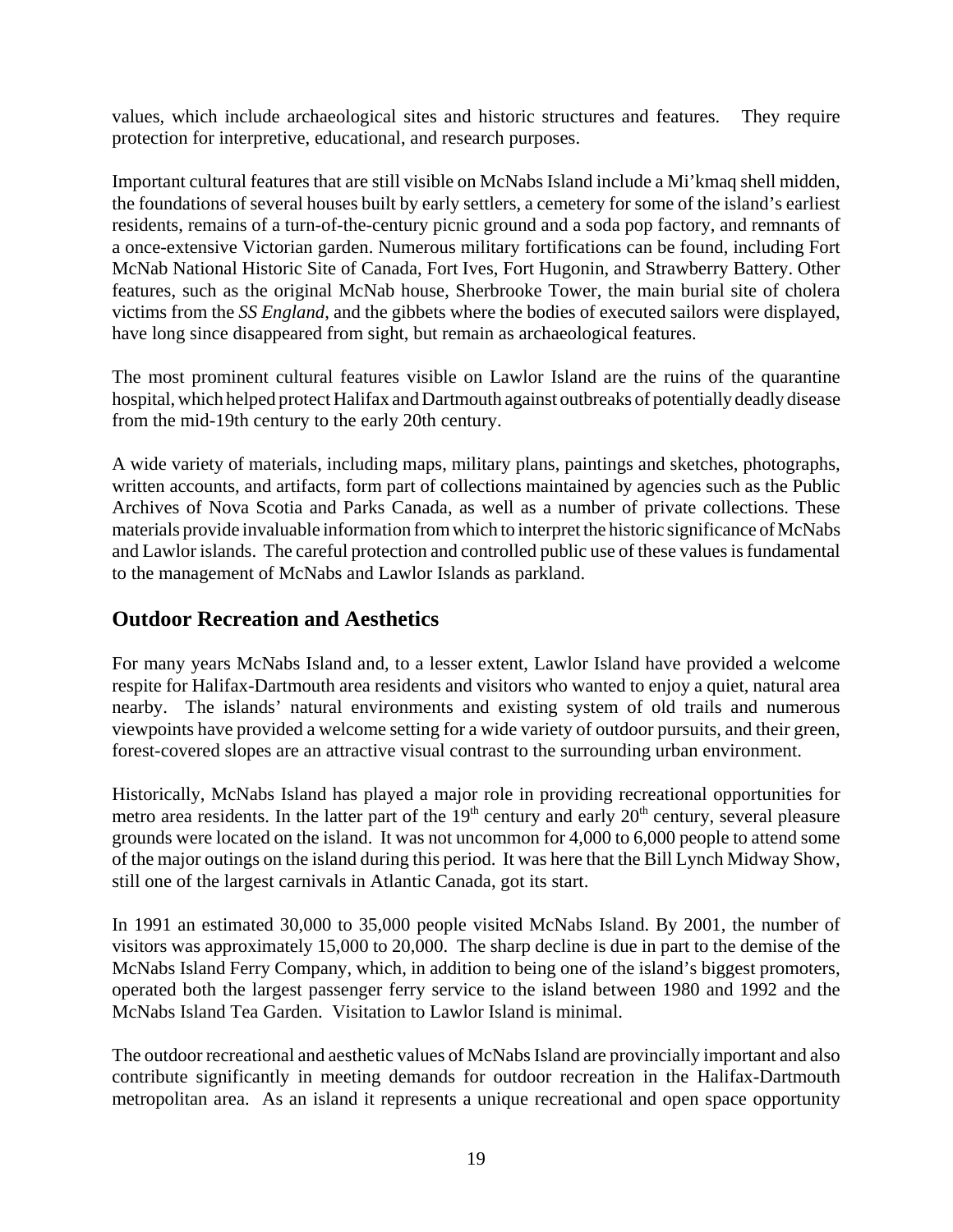values, which include archaeological sites and historic structures and features. They require protection for interpretive, educational, and research purposes.

Important cultural features that are still visible on McNabs Island include a Mi'kmaq shell midden, the foundations of several houses built by early settlers, a cemetery for some of the island's earliest residents, remains of a turn-of-the-century picnic ground and a soda pop factory, and remnants of a once-extensive Victorian garden. Numerous military fortifications can be found, including Fort McNab National Historic Site of Canada, Fort Ives, Fort Hugonin, and Strawberry Battery. Other features, such as the original McNab house, Sherbrooke Tower, the main burial site of cholera victims from the *SS England*, and the gibbets where the bodies of executed sailors were displayed, have long since disappeared from sight, but remain as archaeological features.

The most prominent cultural features visible on Lawlor Island are the ruins of the quarantine hospital, which helped protect Halifax and Dartmouth against outbreaks of potentially deadly disease from the mid-19th century to the early 20th century.

A wide variety of materials, including maps, military plans, paintings and sketches, photographs, written accounts, and artifacts, form part of collections maintained by agencies such as the Public Archives of Nova Scotia and Parks Canada, as well as a number of private collections. These materials provide invaluable information from which to interpret the historic significance of McNabs and Lawlor islands. The careful protection and controlled public use of these values is fundamental to the management of McNabs and Lawlor Islands as parkland.

## **Outdoor Recreation and Aesthetics**

For many years McNabs Island and, to a lesser extent, Lawlor Island have provided a welcome respite for Halifax-Dartmouth area residents and visitors who wanted to enjoy a quiet, natural area nearby. The islands' natural environments and existing system of old trails and numerous viewpoints have provided a welcome setting for a wide variety of outdoor pursuits, and their green, forest-covered slopes are an attractive visual contrast to the surrounding urban environment.

Historically, McNabs Island has played a major role in providing recreational opportunities for metro area residents. In the latter part of the  $19<sup>th</sup>$  century and early  $20<sup>th</sup>$  century, several pleasure grounds were located on the island. It was not uncommon for 4,000 to 6,000 people to attend some of the major outings on the island during this period. It was here that the Bill Lynch Midway Show, still one of the largest carnivals in Atlantic Canada, got its start.

In 1991 an estimated 30,000 to 35,000 people visited McNabs Island. By 2001, the number of visitors was approximately 15,000 to 20,000. The sharp decline is due in part to the demise of the McNabs Island Ferry Company, which, in addition to being one of the island's biggest promoters, operated both the largest passenger ferry service to the island between 1980 and 1992 and the McNabs Island Tea Garden. Visitation to Lawlor Island is minimal.

The outdoor recreational and aesthetic values of McNabs Island are provincially important and also contribute significantly in meeting demands for outdoor recreation in the Halifax-Dartmouth metropolitan area. As an island it represents a unique recreational and open space opportunity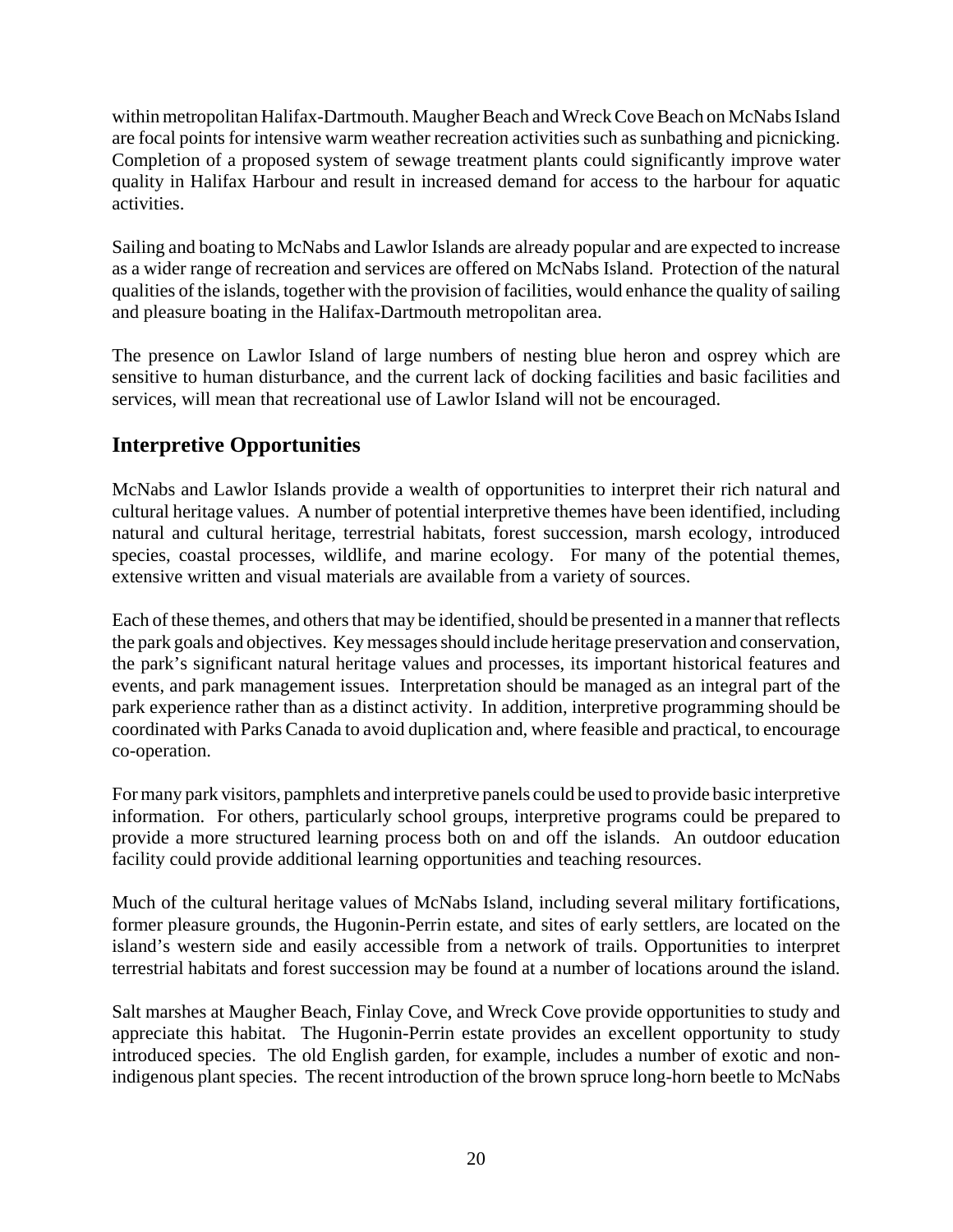within metropolitan Halifax-Dartmouth. Maugher Beach and Wreck Cove Beach on McNabs Island are focal points for intensive warm weather recreation activities such as sunbathing and picnicking. Completion of a proposed system of sewage treatment plants could significantly improve water quality in Halifax Harbour and result in increased demand for access to the harbour for aquatic activities.

Sailing and boating to McNabs and Lawlor Islands are already popular and are expected to increase as a wider range of recreation and services are offered on McNabs Island. Protection of the natural qualities of the islands, together with the provision of facilities, would enhance the quality of sailing and pleasure boating in the Halifax-Dartmouth metropolitan area.

The presence on Lawlor Island of large numbers of nesting blue heron and osprey which are sensitive to human disturbance, and the current lack of docking facilities and basic facilities and services, will mean that recreational use of Lawlor Island will not be encouraged.

## **Interpretive Opportunities**

McNabs and Lawlor Islands provide a wealth of opportunities to interpret their rich natural and cultural heritage values. A number of potential interpretive themes have been identified, including natural and cultural heritage, terrestrial habitats, forest succession, marsh ecology, introduced species, coastal processes, wildlife, and marine ecology. For many of the potential themes, extensive written and visual materials are available from a variety of sources.

Each of these themes, and others that may be identified, should be presented in a manner that reflects the park goals and objectives. Key messages should include heritage preservation and conservation, the park's significant natural heritage values and processes, its important historical features and events, and park management issues. Interpretation should be managed as an integral part of the park experience rather than as a distinct activity. In addition, interpretive programming should be coordinated with Parks Canada to avoid duplication and, where feasible and practical, to encourage co-operation.

For many park visitors, pamphlets and interpretive panels could be used to provide basic interpretive information. For others, particularly school groups, interpretive programs could be prepared to provide a more structured learning process both on and off the islands. An outdoor education facility could provide additional learning opportunities and teaching resources.

Much of the cultural heritage values of McNabs Island, including several military fortifications, former pleasure grounds, the Hugonin-Perrin estate, and sites of early settlers, are located on the island's western side and easily accessible from a network of trails. Opportunities to interpret terrestrial habitats and forest succession may be found at a number of locations around the island.

Salt marshes at Maugher Beach, Finlay Cove, and Wreck Cove provide opportunities to study and appreciate this habitat. The Hugonin-Perrin estate provides an excellent opportunity to study introduced species. The old English garden, for example, includes a number of exotic and nonindigenous plant species. The recent introduction of the brown spruce long-horn beetle to McNabs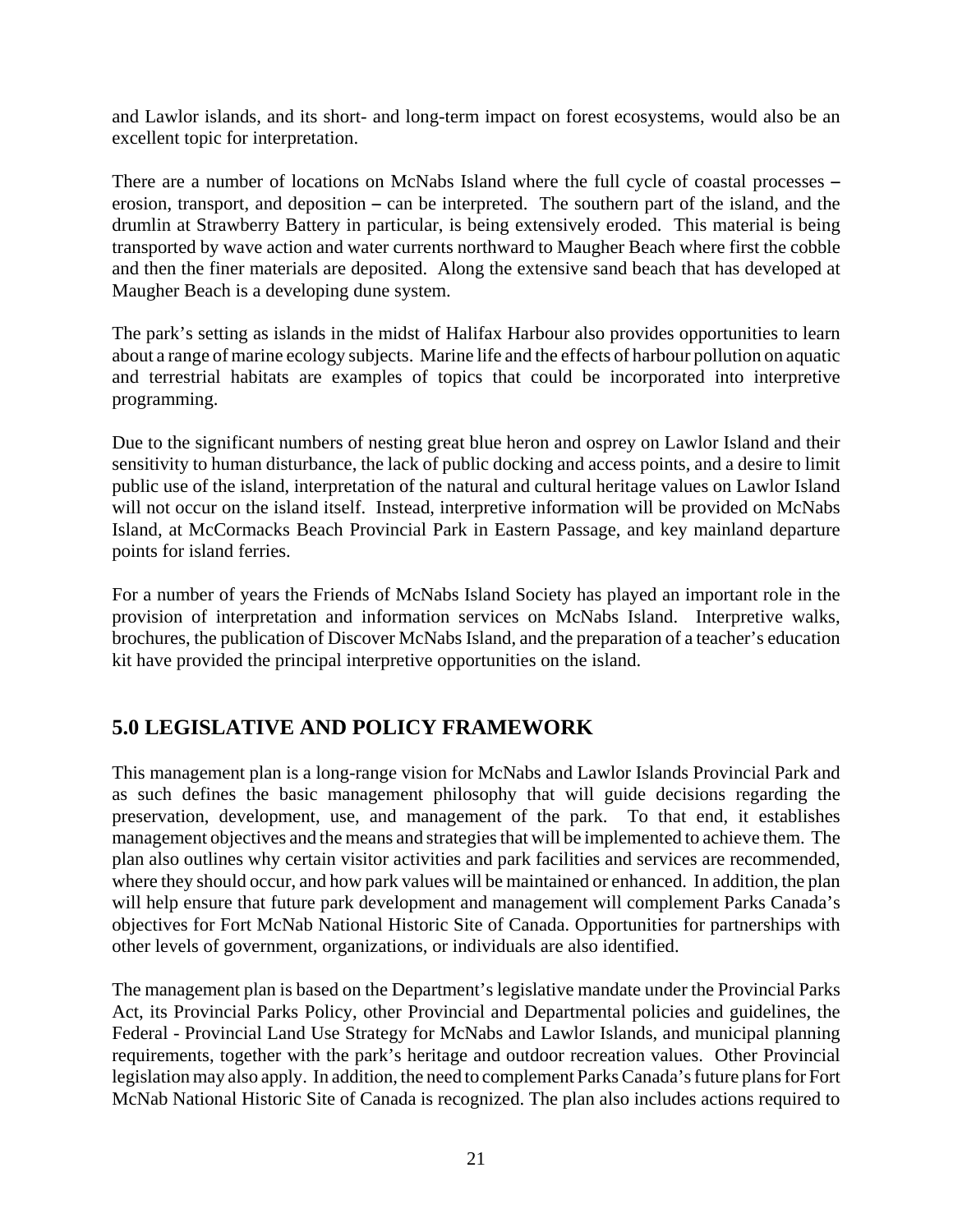and Lawlor islands, and its short- and long-term impact on forest ecosystems, would also be an excellent topic for interpretation.

There are a number of locations on McNabs Island where the full cycle of coastal processes erosion, transport, and deposition  $-$  can be interpreted. The southern part of the island, and the drumlin at Strawberry Battery in particular, is being extensively eroded. This material is being transported by wave action and water currents northward to Maugher Beach where first the cobble and then the finer materials are deposited. Along the extensive sand beach that has developed at Maugher Beach is a developing dune system.

The park's setting as islands in the midst of Halifax Harbour also provides opportunities to learn about a range of marine ecology subjects. Marine life and the effects of harbour pollution on aquatic and terrestrial habitats are examples of topics that could be incorporated into interpretive programming.

Due to the significant numbers of nesting great blue heron and osprey on Lawlor Island and their sensitivity to human disturbance, the lack of public docking and access points, and a desire to limit public use of the island, interpretation of the natural and cultural heritage values on Lawlor Island will not occur on the island itself. Instead, interpretive information will be provided on McNabs Island, at McCormacks Beach Provincial Park in Eastern Passage, and key mainland departure points for island ferries.

For a number of years the Friends of McNabs Island Society has played an important role in the provision of interpretation and information services on McNabs Island. Interpretive walks, brochures, the publication of Discover McNabs Island, and the preparation of a teacher's education kit have provided the principal interpretive opportunities on the island.

## **5.0 LEGISLATIVE AND POLICY FRAMEWORK**

This management plan is a long-range vision for McNabs and Lawlor Islands Provincial Park and as such defines the basic management philosophy that will guide decisions regarding the preservation, development, use, and management of the park. To that end, it establishes management objectives and the means and strategies that will be implemented to achieve them. The plan also outlines why certain visitor activities and park facilities and services are recommended, where they should occur, and how park values will be maintained or enhanced. In addition, the plan will help ensure that future park development and management will complement Parks Canada's objectives for Fort McNab National Historic Site of Canada. Opportunities for partnerships with other levels of government, organizations, or individuals are also identified.

The management plan is based on the Department's legislative mandate under the Provincial Parks Act, its Provincial Parks Policy, other Provincial and Departmental policies and guidelines, the Federal - Provincial Land Use Strategy for McNabs and Lawlor Islands, and municipal planning requirements, together with the park's heritage and outdoor recreation values. Other Provincial legislation may also apply. In addition, the need to complement Parks Canada's future plans for Fort McNab National Historic Site of Canada is recognized. The plan also includes actions required to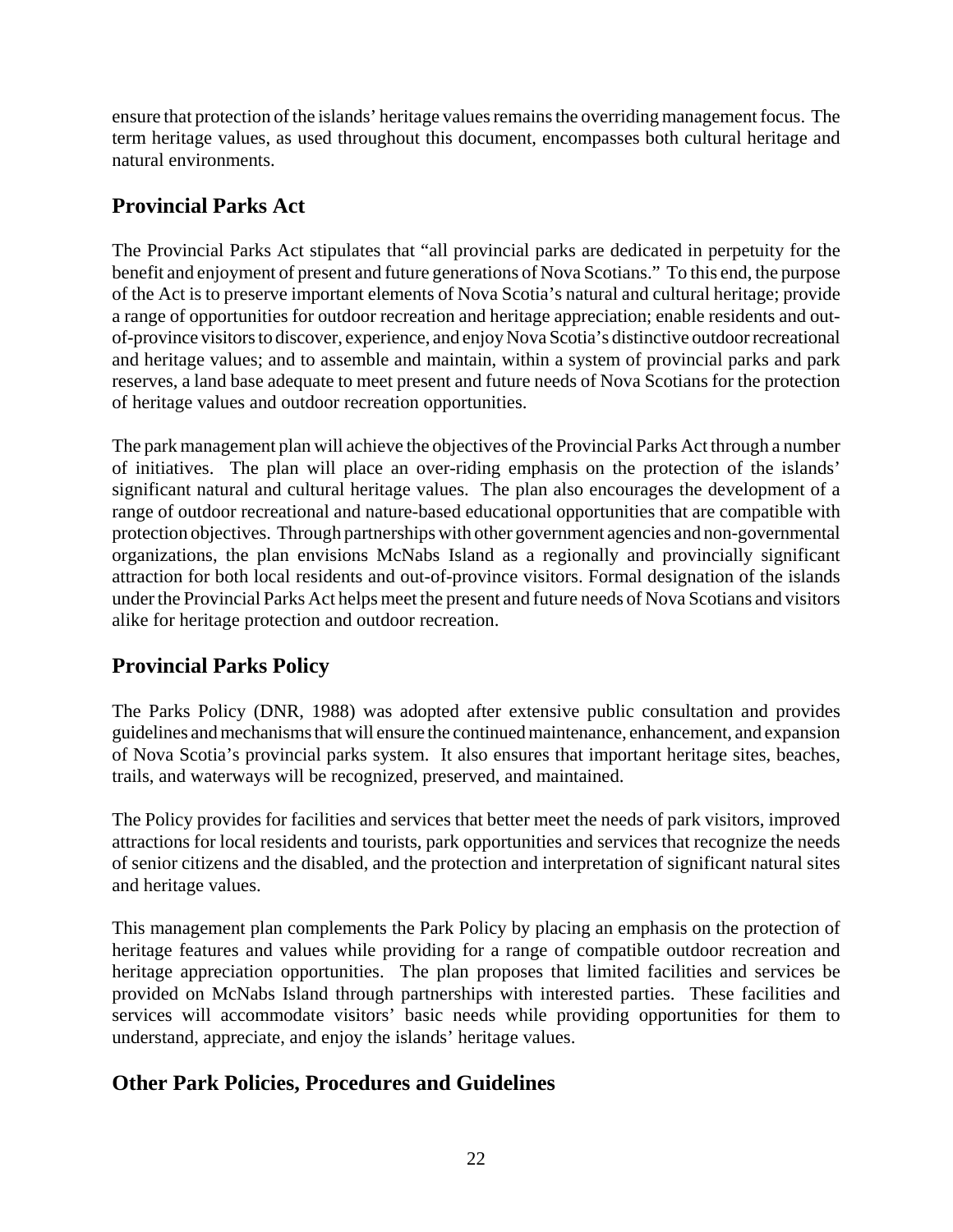ensure that protection of the islands' heritage values remains the overriding management focus. The term heritage values, as used throughout this document, encompasses both cultural heritage and natural environments.

## **Provincial Parks Act**

The Provincial Parks Act stipulates that "all provincial parks are dedicated in perpetuity for the benefit and enjoyment of present and future generations of Nova Scotians." To this end, the purpose of the Act is to preserve important elements of Nova Scotia's natural and cultural heritage; provide a range of opportunities for outdoor recreation and heritage appreciation; enable residents and outof-province visitors to discover, experience, and enjoy Nova Scotia's distinctive outdoor recreational and heritage values; and to assemble and maintain, within a system of provincial parks and park reserves, a land base adequate to meet present and future needs of Nova Scotians for the protection of heritage values and outdoor recreation opportunities.

The park management plan will achieve the objectives of the Provincial Parks Act through a number of initiatives. The plan will place an over-riding emphasis on the protection of the islands' significant natural and cultural heritage values. The plan also encourages the development of a range of outdoor recreational and nature-based educational opportunities that are compatible with protection objectives. Through partnerships with other government agencies and non-governmental organizations, the plan envisions McNabs Island as a regionally and provincially significant attraction for both local residents and out-of-province visitors. Formal designation of the islands under the Provincial Parks Act helps meet the present and future needs of Nova Scotians and visitors alike for heritage protection and outdoor recreation.

## **Provincial Parks Policy**

The Parks Policy (DNR, 1988) was adopted after extensive public consultation and provides guidelines and mechanisms that will ensure the continued maintenance, enhancement, and expansion of Nova Scotia's provincial parks system. It also ensures that important heritage sites, beaches, trails, and waterways will be recognized, preserved, and maintained.

The Policy provides for facilities and services that better meet the needs of park visitors, improved attractions for local residents and tourists, park opportunities and services that recognize the needs of senior citizens and the disabled, and the protection and interpretation of significant natural sites and heritage values.

This management plan complements the Park Policy by placing an emphasis on the protection of heritage features and values while providing for a range of compatible outdoor recreation and heritage appreciation opportunities. The plan proposes that limited facilities and services be provided on McNabs Island through partnerships with interested parties. These facilities and services will accommodate visitors' basic needs while providing opportunities for them to understand, appreciate, and enjoy the islands' heritage values.

## **Other Park Policies, Procedures and Guidelines**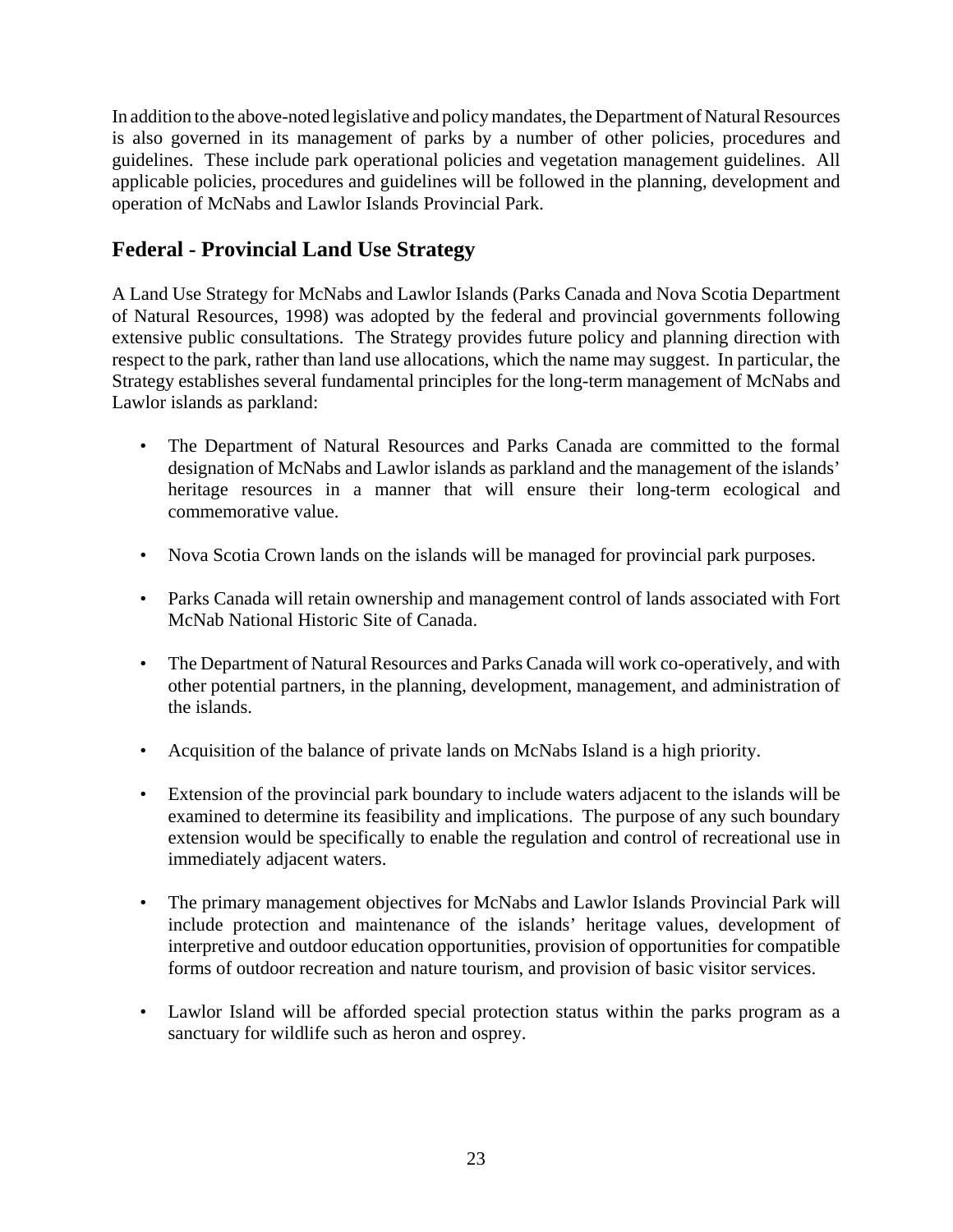In addition to the above-noted legislative and policy mandates, the Department of Natural Resources is also governed in its management of parks by a number of other policies, procedures and guidelines. These include park operational policies and vegetation management guidelines. All applicable policies, procedures and guidelines will be followed in the planning, development and operation of McNabs and Lawlor Islands Provincial Park.

## **Federal - Provincial Land Use Strategy**

A Land Use Strategy for McNabs and Lawlor Islands (Parks Canada and Nova Scotia Department of Natural Resources, 1998) was adopted by the federal and provincial governments following extensive public consultations. The Strategy provides future policy and planning direction with respect to the park, rather than land use allocations, which the name may suggest. In particular, the Strategy establishes several fundamental principles for the long-term management of McNabs and Lawlor islands as parkland:

- The Department of Natural Resources and Parks Canada are committed to the formal designation of McNabs and Lawlor islands as parkland and the management of the islands' heritage resources in a manner that will ensure their long-term ecological and commemorative value.
- Nova Scotia Crown lands on the islands will be managed for provincial park purposes.
- Parks Canada will retain ownership and management control of lands associated with Fort McNab National Historic Site of Canada.
- The Department of Natural Resources and Parks Canada will work co-operatively, and with other potential partners, in the planning, development, management, and administration of the islands.
- Acquisition of the balance of private lands on McNabs Island is a high priority.
- Extension of the provincial park boundary to include waters adjacent to the islands will be examined to determine its feasibility and implications. The purpose of any such boundary extension would be specifically to enable the regulation and control of recreational use in immediately adjacent waters.
- The primary management objectives for McNabs and Lawlor Islands Provincial Park will include protection and maintenance of the islands' heritage values, development of interpretive and outdoor education opportunities, provision of opportunities for compatible forms of outdoor recreation and nature tourism, and provision of basic visitor services.
- Lawlor Island will be afforded special protection status within the parks program as a sanctuary for wildlife such as heron and osprey.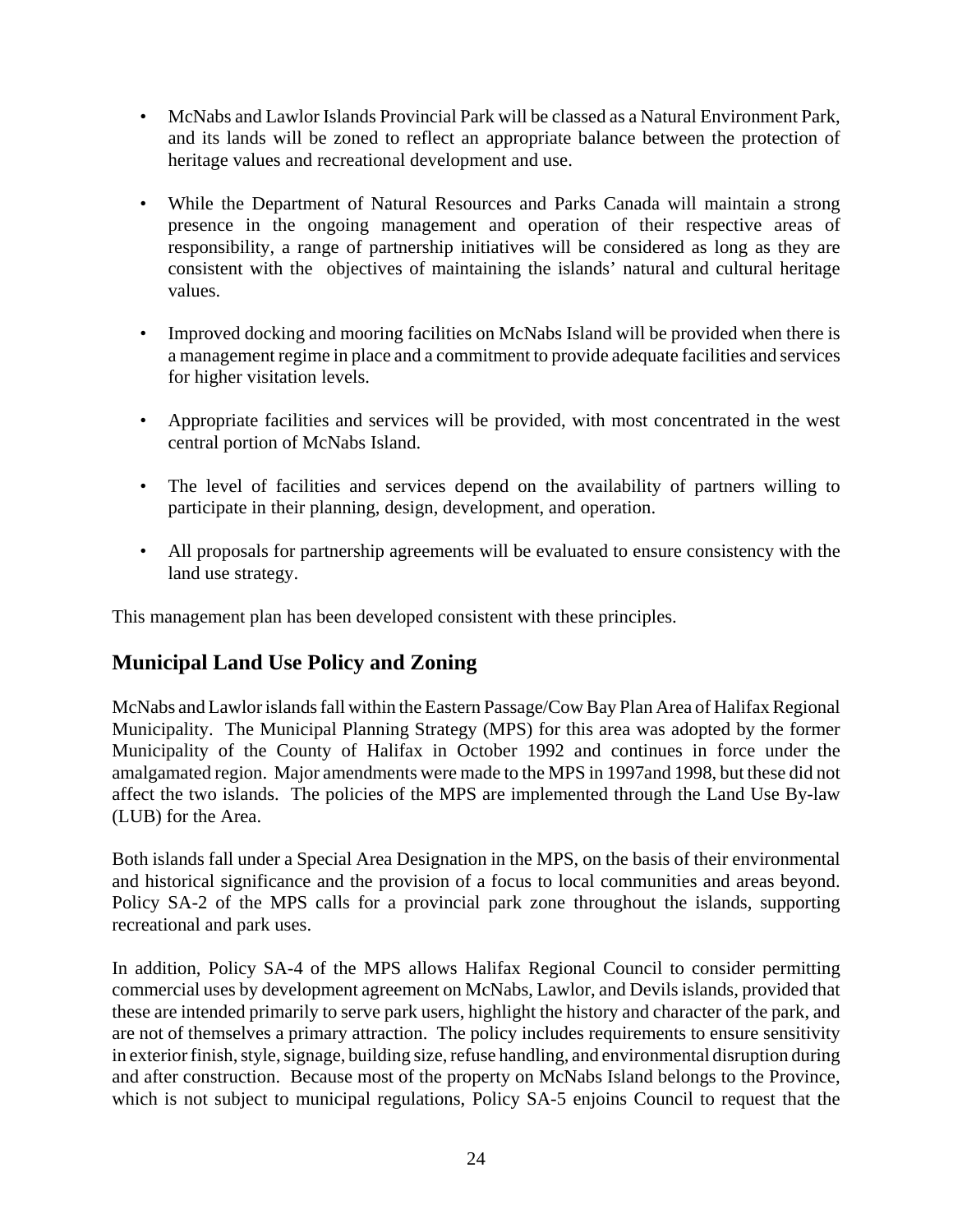- McNabs and Lawlor Islands Provincial Park will be classed as a Natural Environment Park, and its lands will be zoned to reflect an appropriate balance between the protection of heritage values and recreational development and use.
- While the Department of Natural Resources and Parks Canada will maintain a strong presence in the ongoing management and operation of their respective areas of responsibility, a range of partnership initiatives will be considered as long as they are consistent with the objectives of maintaining the islands' natural and cultural heritage values.
- Improved docking and mooring facilities on McNabs Island will be provided when there is a management regime in place and a commitment to provide adequate facilities and services for higher visitation levels.
- Appropriate facilities and services will be provided, with most concentrated in the west central portion of McNabs Island.
- The level of facilities and services depend on the availability of partners willing to participate in their planning, design, development, and operation.
- All proposals for partnership agreements will be evaluated to ensure consistency with the land use strategy.

This management plan has been developed consistent with these principles.

## **Municipal Land Use Policy and Zoning**

McNabs and Lawlor islands fall within the Eastern Passage/Cow Bay Plan Area of Halifax Regional Municipality. The Municipal Planning Strategy (MPS) for this area was adopted by the former Municipality of the County of Halifax in October 1992 and continues in force under the amalgamated region. Major amendments were made to the MPS in 1997and 1998, but these did not affect the two islands. The policies of the MPS are implemented through the Land Use By-law (LUB) for the Area.

Both islands fall under a Special Area Designation in the MPS, on the basis of their environmental and historical significance and the provision of a focus to local communities and areas beyond. Policy SA-2 of the MPS calls for a provincial park zone throughout the islands, supporting recreational and park uses.

In addition, Policy SA-4 of the MPS allows Halifax Regional Council to consider permitting commercial uses by development agreement on McNabs, Lawlor, and Devils islands, provided that these are intended primarily to serve park users, highlight the history and character of the park, and are not of themselves a primary attraction. The policy includes requirements to ensure sensitivity in exterior finish, style, signage, building size, refuse handling, and environmental disruption during and after construction. Because most of the property on McNabs Island belongs to the Province, which is not subject to municipal regulations, Policy SA-5 enjoins Council to request that the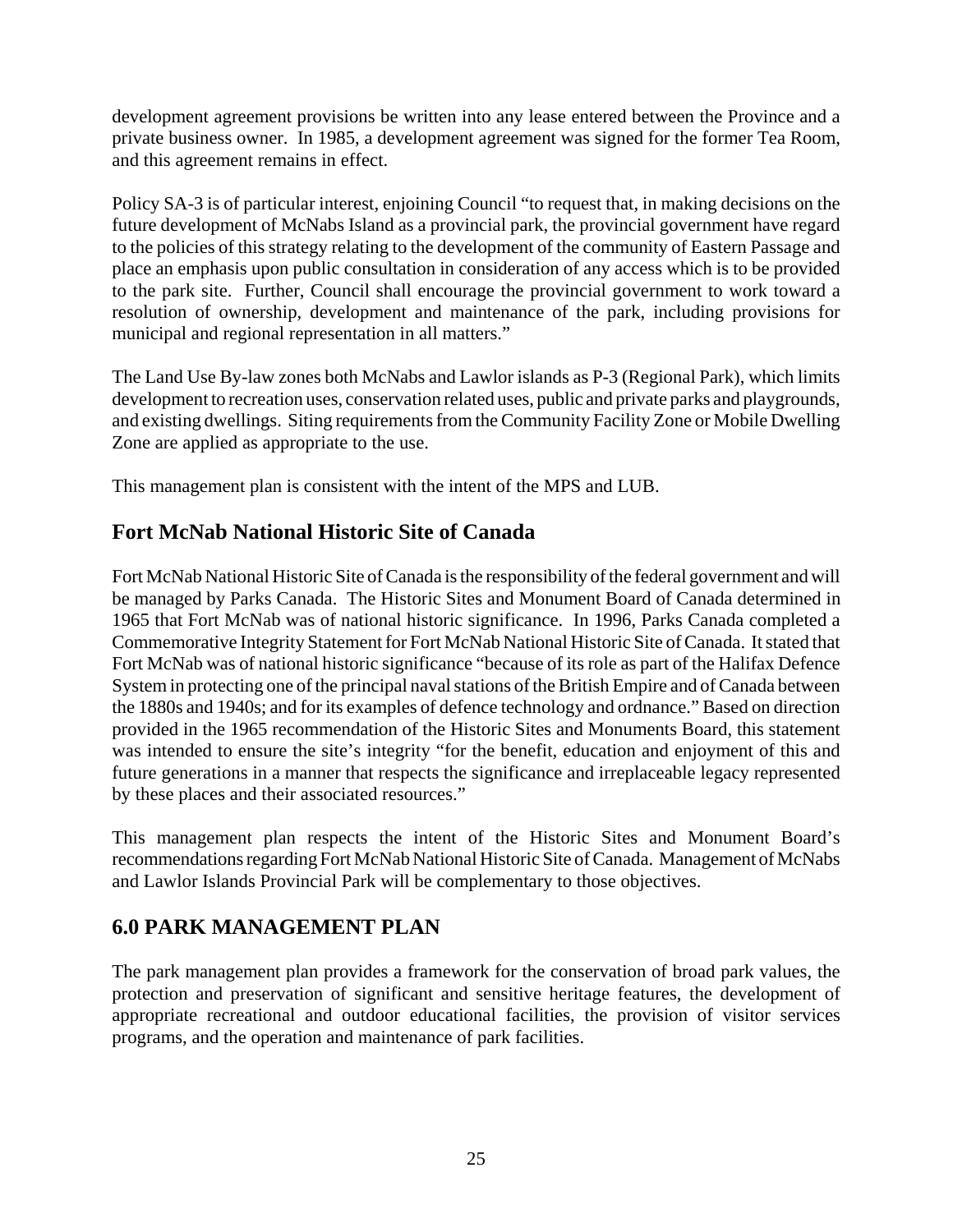development agreement provisions be written into any lease entered between the Province and a private business owner. In 1985, a development agreement was signed for the former Tea Room, and this agreement remains in effect.

Policy SA-3 is of particular interest, enjoining Council "to request that, in making decisions on the future development of McNabs Island as a provincial park, the provincial government have regard to the policies of this strategy relating to the development of the community of Eastern Passage and place an emphasis upon public consultation in consideration of any access which is to be provided to the park site. Further, Council shall encourage the provincial government to work toward a resolution of ownership, development and maintenance of the park, including provisions for municipal and regional representation in all matters."

The Land Use By-law zones both McNabs and Lawlor islands as P-3 (Regional Park), which limits development to recreation uses, conservation related uses, public and private parks and playgrounds, and existing dwellings. Siting requirements from the Community Facility Zone or Mobile Dwelling Zone are applied as appropriate to the use.

This management plan is consistent with the intent of the MPS and LUB.

## **Fort McNab National Historic Site of Canada**

Fort McNab National Historic Site of Canada is the responsibility of the federal government and will be managed by Parks Canada. The Historic Sites and Monument Board of Canada determined in 1965 that Fort McNab was of national historic significance. In 1996, Parks Canada completed a Commemorative Integrity Statement for Fort McNab National Historic Site of Canada. It stated that Fort McNab was of national historic significance "because of its role as part of the Halifax Defence System in protecting one of the principal naval stations of the British Empire and of Canada between the 1880s and 1940s; and for its examples of defence technology and ordnance." Based on direction provided in the 1965 recommendation of the Historic Sites and Monuments Board, this statement was intended to ensure the site's integrity "for the benefit, education and enjoyment of this and future generations in a manner that respects the significance and irreplaceable legacy represented by these places and their associated resources."

This management plan respects the intent of the Historic Sites and Monument Board's recommendations regarding Fort McNab National Historic Site of Canada. Management of McNabs and Lawlor Islands Provincial Park will be complementary to those objectives.

## **6.0 PARK MANAGEMENT PLAN**

The park management plan provides a framework for the conservation of broad park values, the protection and preservation of significant and sensitive heritage features, the development of appropriate recreational and outdoor educational facilities, the provision of visitor services programs, and the operation and maintenance of park facilities.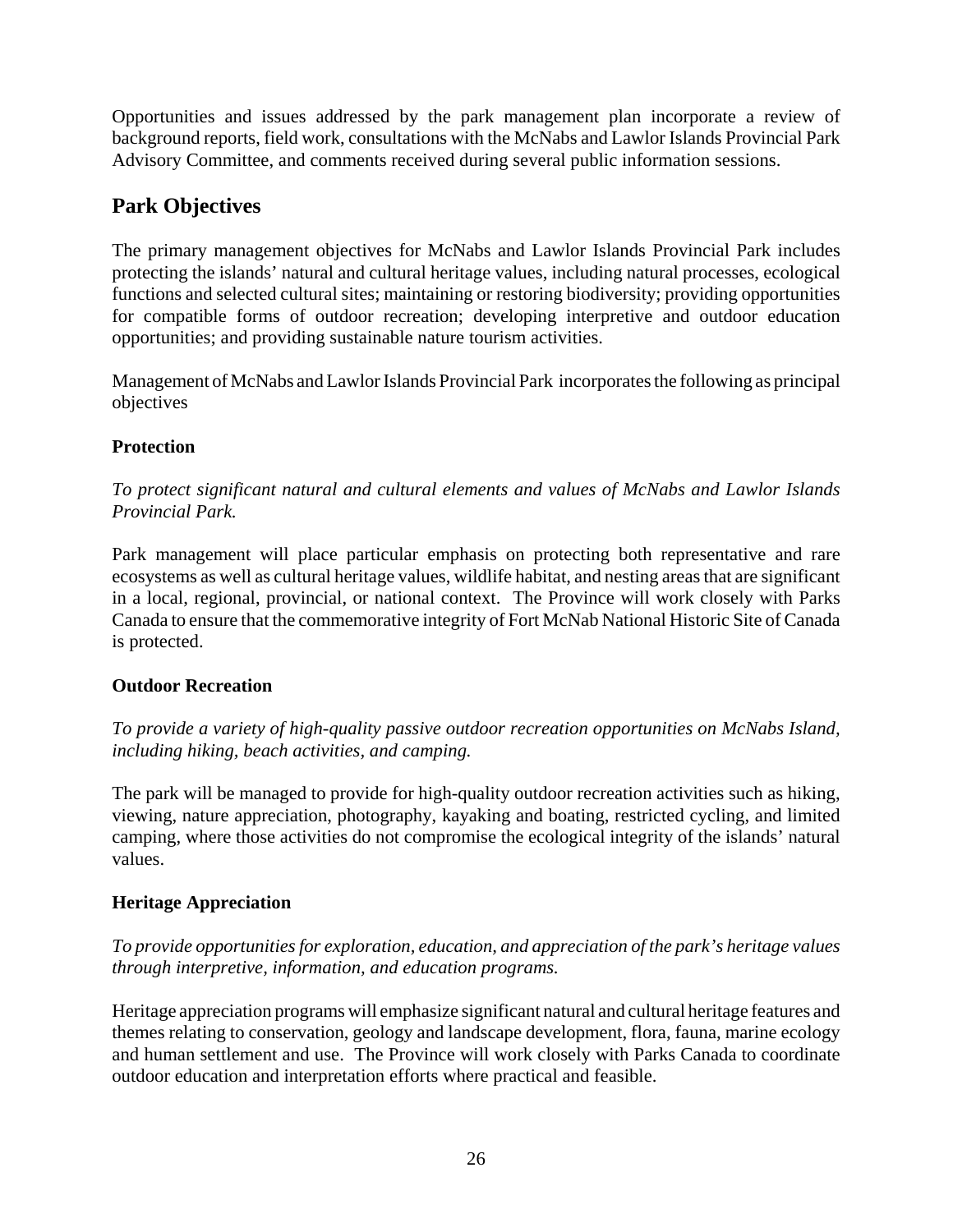Opportunities and issues addressed by the park management plan incorporate a review of background reports, field work, consultations with the McNabs and Lawlor Islands Provincial Park Advisory Committee, and comments received during several public information sessions.

## **Park Objectives**

The primary management objectives for McNabs and Lawlor Islands Provincial Park includes protecting the islands' natural and cultural heritage values, including natural processes, ecological functions and selected cultural sites; maintaining or restoring biodiversity; providing opportunities for compatible forms of outdoor recreation; developing interpretive and outdoor education opportunities; and providing sustainable nature tourism activities.

Management of McNabs and Lawlor Islands Provincial Park incorporates the following as principal objectives

#### **Protection**

*To protect significant natural and cultural elements and values of McNabs and Lawlor Islands Provincial Park.*

Park management will place particular emphasis on protecting both representative and rare ecosystems as well as cultural heritage values, wildlife habitat, and nesting areas that are significant in a local, regional, provincial, or national context. The Province will work closely with Parks Canada to ensure that the commemorative integrity of Fort McNab National Historic Site of Canada is protected.

#### **Outdoor Recreation**

*To provide a variety of high-quality passive outdoor recreation opportunities on McNabs Island, including hiking, beach activities, and camping.*

The park will be managed to provide for high-quality outdoor recreation activities such as hiking, viewing, nature appreciation, photography, kayaking and boating, restricted cycling, and limited camping, where those activities do not compromise the ecological integrity of the islands' natural values.

#### **Heritage Appreciation**

*To provide opportunities for exploration, education, and appreciation of the park's heritage values through interpretive, information, and education programs.*

Heritage appreciation programs will emphasize significant natural and cultural heritage features and themes relating to conservation, geology and landscape development, flora, fauna, marine ecology and human settlement and use. The Province will work closely with Parks Canada to coordinate outdoor education and interpretation efforts where practical and feasible.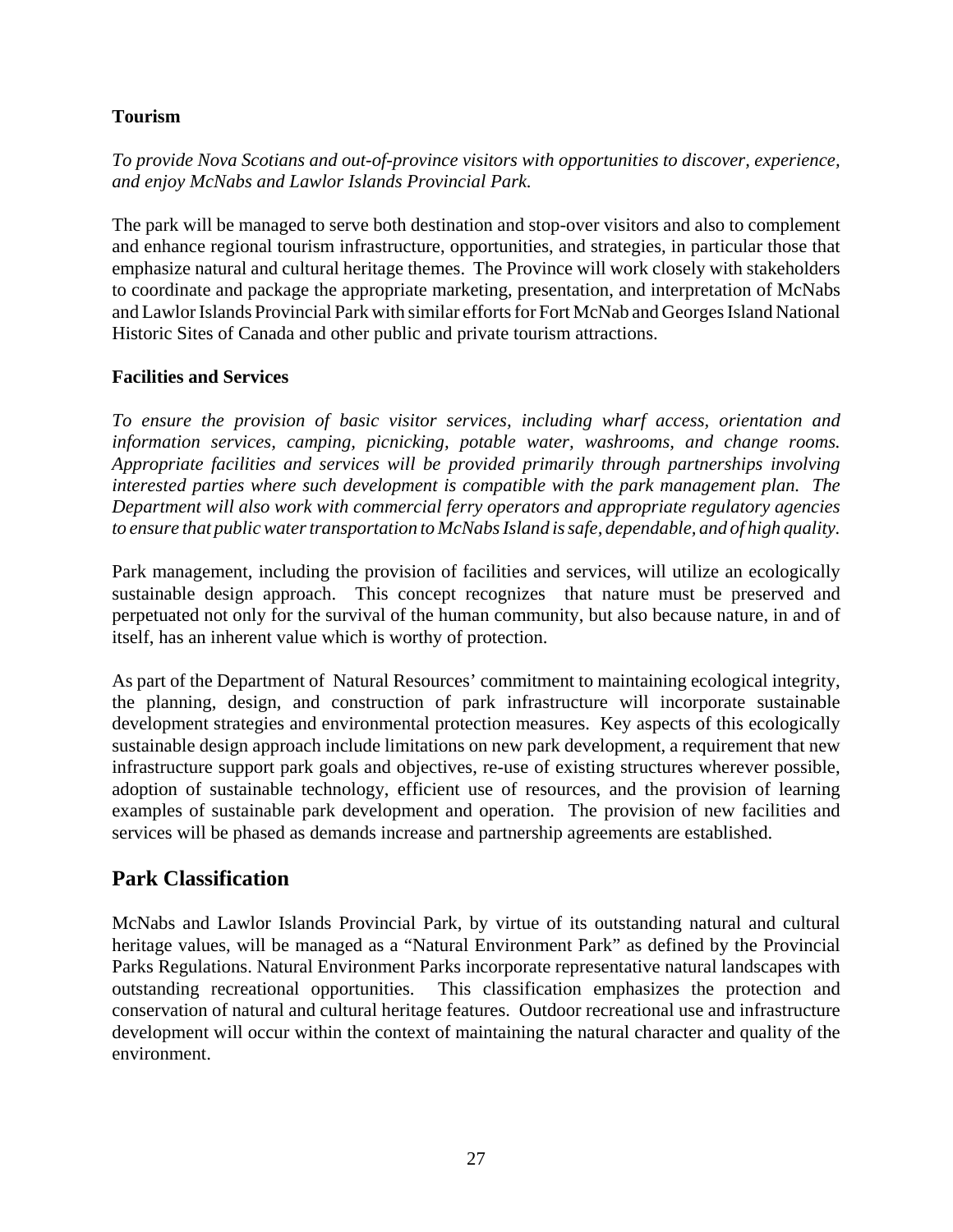#### **Tourism**

*To provide Nova Scotians and out-of-province visitors with opportunities to discover, experience, and enjoy McNabs and Lawlor Islands Provincial Park.*

The park will be managed to serve both destination and stop-over visitors and also to complement and enhance regional tourism infrastructure, opportunities, and strategies, in particular those that emphasize natural and cultural heritage themes. The Province will work closely with stakeholders to coordinate and package the appropriate marketing, presentation, and interpretation of McNabs and Lawlor Islands Provincial Park with similar efforts for Fort McNab and Georges Island National Historic Sites of Canada and other public and private tourism attractions.

#### **Facilities and Services**

*To ensure the provision of basic visitor services, including wharf access, orientation and information services, camping, picnicking, potable water, washrooms, and change rooms. Appropriate facilities and services will be provided primarily through partnerships involving interested parties where such development is compatible with the park management plan. The Department will also work with commercial ferry operators and appropriate regulatory agencies to ensure that public water transportation to McNabs Island is safe, dependable, and of high quality.*

Park management, including the provision of facilities and services, will utilize an ecologically sustainable design approach. This concept recognizes that nature must be preserved and perpetuated not only for the survival of the human community, but also because nature, in and of itself, has an inherent value which is worthy of protection.

As part of the Department of Natural Resources' commitment to maintaining ecological integrity, the planning, design, and construction of park infrastructure will incorporate sustainable development strategies and environmental protection measures. Key aspects of this ecologically sustainable design approach include limitations on new park development, a requirement that new infrastructure support park goals and objectives, re-use of existing structures wherever possible, adoption of sustainable technology, efficient use of resources, and the provision of learning examples of sustainable park development and operation. The provision of new facilities and services will be phased as demands increase and partnership agreements are established.

#### **Park Classification**

McNabs and Lawlor Islands Provincial Park, by virtue of its outstanding natural and cultural heritage values, will be managed as a "Natural Environment Park" as defined by the Provincial Parks Regulations. Natural Environment Parks incorporate representative natural landscapes with outstanding recreational opportunities. This classification emphasizes the protection and conservation of natural and cultural heritage features. Outdoor recreational use and infrastructure development will occur within the context of maintaining the natural character and quality of the environment.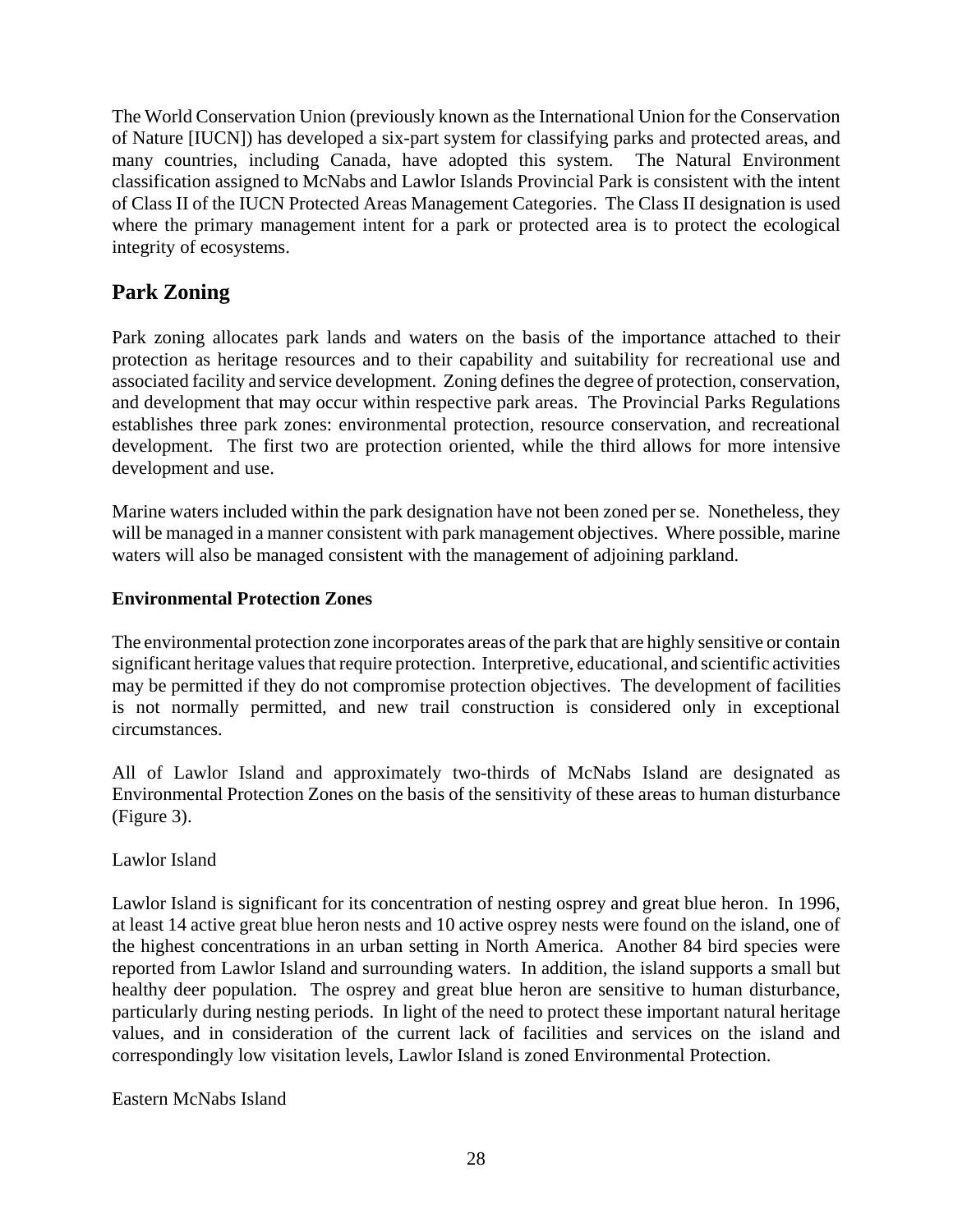The World Conservation Union (previously known as the International Union for the Conservation of Nature [IUCN]) has developed a six-part system for classifying parks and protected areas, and many countries, including Canada, have adopted this system. The Natural Environment classification assigned to McNabs and Lawlor Islands Provincial Park is consistent with the intent of Class II of the IUCN Protected Areas Management Categories. The Class II designation is used where the primary management intent for a park or protected area is to protect the ecological integrity of ecosystems.

## **Park Zoning**

Park zoning allocates park lands and waters on the basis of the importance attached to their protection as heritage resources and to their capability and suitability for recreational use and associated facility and service development. Zoning defines the degree of protection, conservation, and development that may occur within respective park areas. The Provincial Parks Regulations establishes three park zones: environmental protection, resource conservation, and recreational development. The first two are protection oriented, while the third allows for more intensive development and use.

Marine waters included within the park designation have not been zoned per se. Nonetheless, they will be managed in a manner consistent with park management objectives. Where possible, marine waters will also be managed consistent with the management of adjoining parkland.

#### **Environmental Protection Zones**

The environmental protection zone incorporates areas of the park that are highly sensitive or contain significant heritage values that require protection. Interpretive, educational, and scientific activities may be permitted if they do not compromise protection objectives. The development of facilities is not normally permitted, and new trail construction is considered only in exceptional circumstances.

All of Lawlor Island and approximately two-thirds of McNabs Island are designated as Environmental Protection Zones on the basis of the sensitivity of these areas to human disturbance (Figure 3).

Lawlor Island

Lawlor Island is significant for its concentration of nesting osprey and great blue heron. In 1996, at least 14 active great blue heron nests and 10 active osprey nests were found on the island, one of the highest concentrations in an urban setting in North America. Another 84 bird species were reported from Lawlor Island and surrounding waters. In addition, the island supports a small but healthy deer population. The osprey and great blue heron are sensitive to human disturbance, particularly during nesting periods. In light of the need to protect these important natural heritage values, and in consideration of the current lack of facilities and services on the island and correspondingly low visitation levels, Lawlor Island is zoned Environmental Protection.

Eastern McNabs Island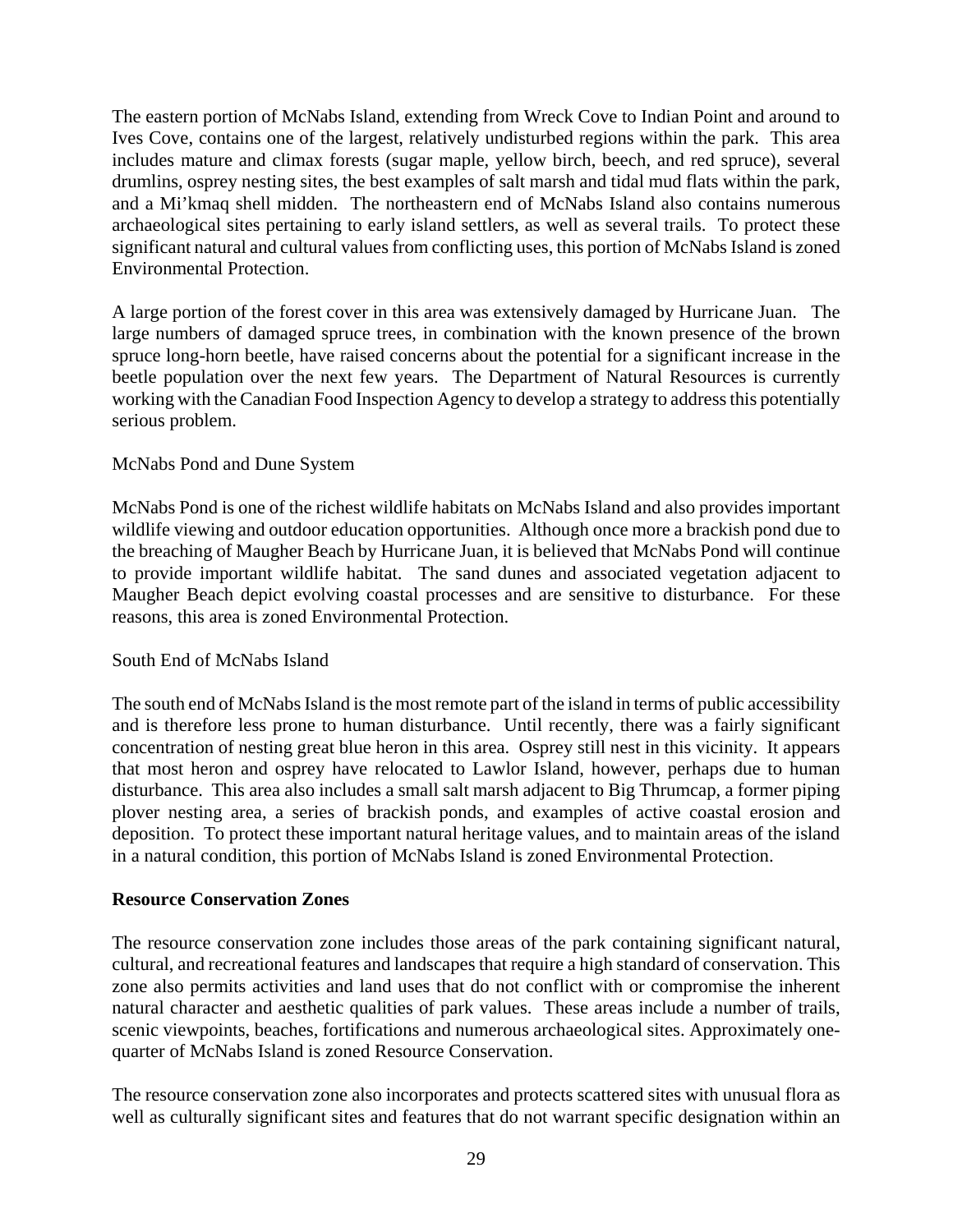The eastern portion of McNabs Island, extending from Wreck Cove to Indian Point and around to Ives Cove, contains one of the largest, relatively undisturbed regions within the park. This area includes mature and climax forests (sugar maple, yellow birch, beech, and red spruce), several drumlins, osprey nesting sites, the best examples of salt marsh and tidal mud flats within the park, and a Mi'kmaq shell midden. The northeastern end of McNabs Island also contains numerous archaeological sites pertaining to early island settlers, as well as several trails. To protect these significant natural and cultural values from conflicting uses, this portion of McNabs Island is zoned Environmental Protection.

A large portion of the forest cover in this area was extensively damaged by Hurricane Juan. The large numbers of damaged spruce trees, in combination with the known presence of the brown spruce long-horn beetle, have raised concerns about the potential for a significant increase in the beetle population over the next few years. The Department of Natural Resources is currently working with the Canadian Food Inspection Agency to develop a strategy to address this potentially serious problem.

#### McNabs Pond and Dune System

McNabs Pond is one of the richest wildlife habitats on McNabs Island and also provides important wildlife viewing and outdoor education opportunities. Although once more a brackish pond due to the breaching of Maugher Beach by Hurricane Juan, it is believed that McNabs Pond will continue to provide important wildlife habitat. The sand dunes and associated vegetation adjacent to Maugher Beach depict evolving coastal processes and are sensitive to disturbance. For these reasons, this area is zoned Environmental Protection.

#### South End of McNabs Island

The south end of McNabs Island is the most remote part of the island in terms of public accessibility and is therefore less prone to human disturbance. Until recently, there was a fairly significant concentration of nesting great blue heron in this area. Osprey still nest in this vicinity. It appears that most heron and osprey have relocated to Lawlor Island, however, perhaps due to human disturbance. This area also includes a small salt marsh adjacent to Big Thrumcap, a former piping plover nesting area, a series of brackish ponds, and examples of active coastal erosion and deposition. To protect these important natural heritage values, and to maintain areas of the island in a natural condition, this portion of McNabs Island is zoned Environmental Protection.

#### **Resource Conservation Zones**

The resource conservation zone includes those areas of the park containing significant natural, cultural, and recreational features and landscapes that require a high standard of conservation. This zone also permits activities and land uses that do not conflict with or compromise the inherent natural character and aesthetic qualities of park values. These areas include a number of trails, scenic viewpoints, beaches, fortifications and numerous archaeological sites. Approximately onequarter of McNabs Island is zoned Resource Conservation.

The resource conservation zone also incorporates and protects scattered sites with unusual flora as well as culturally significant sites and features that do not warrant specific designation within an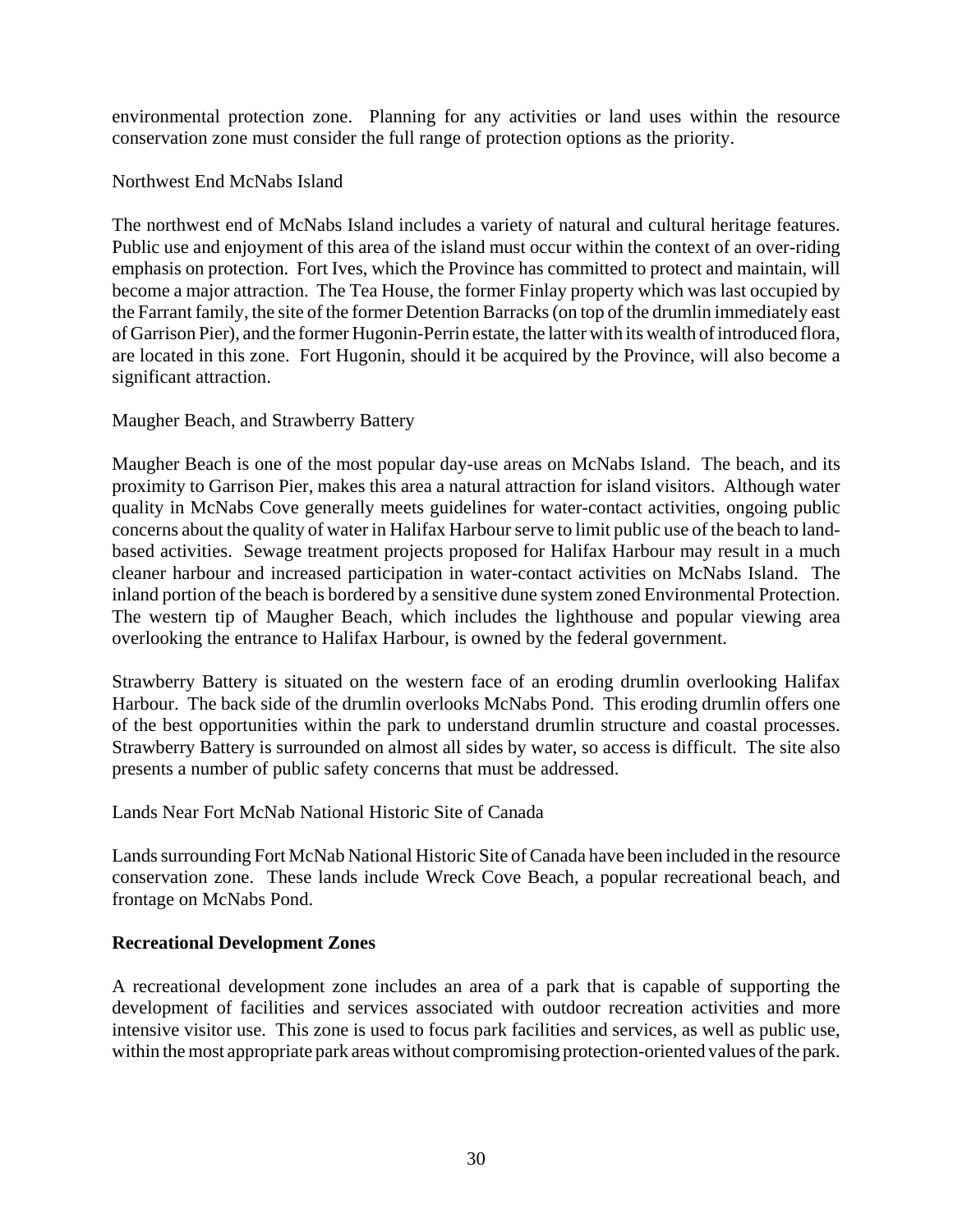environmental protection zone. Planning for any activities or land uses within the resource conservation zone must consider the full range of protection options as the priority.

Northwest End McNabs Island

The northwest end of McNabs Island includes a variety of natural and cultural heritage features. Public use and enjoyment of this area of the island must occur within the context of an over-riding emphasis on protection. Fort Ives, which the Province has committed to protect and maintain, will become a major attraction. The Tea House, the former Finlay property which was last occupied by the Farrant family, the site of the former Detention Barracks (on top of the drumlin immediately east of Garrison Pier), and the former Hugonin-Perrin estate, the latter with its wealth of introduced flora, are located in this zone. Fort Hugonin, should it be acquired by the Province, will also become a significant attraction.

#### Maugher Beach, and Strawberry Battery

Maugher Beach is one of the most popular day-use areas on McNabs Island. The beach, and its proximity to Garrison Pier, makes this area a natural attraction for island visitors. Although water quality in McNabs Cove generally meets guidelines for water-contact activities, ongoing public concerns about the quality of water in Halifax Harbour serve to limit public use of the beach to landbased activities. Sewage treatment projects proposed for Halifax Harbour may result in a much cleaner harbour and increased participation in water-contact activities on McNabs Island. The inland portion of the beach is bordered by a sensitive dune system zoned Environmental Protection. The western tip of Maugher Beach, which includes the lighthouse and popular viewing area overlooking the entrance to Halifax Harbour, is owned by the federal government.

Strawberry Battery is situated on the western face of an eroding drumlin overlooking Halifax Harbour. The back side of the drumlin overlooks McNabs Pond. This eroding drumlin offers one of the best opportunities within the park to understand drumlin structure and coastal processes. Strawberry Battery is surrounded on almost all sides by water, so access is difficult. The site also presents a number of public safety concerns that must be addressed.

#### Lands Near Fort McNab National Historic Site of Canada

Lands surrounding Fort McNab National Historic Site of Canada have been included in the resource conservation zone. These lands include Wreck Cove Beach, a popular recreational beach, and frontage on McNabs Pond.

#### **Recreational Development Zones**

A recreational development zone includes an area of a park that is capable of supporting the development of facilities and services associated with outdoor recreation activities and more intensive visitor use. This zone is used to focus park facilities and services, as well as public use, within the most appropriate park areas without compromising protection-oriented values of the park.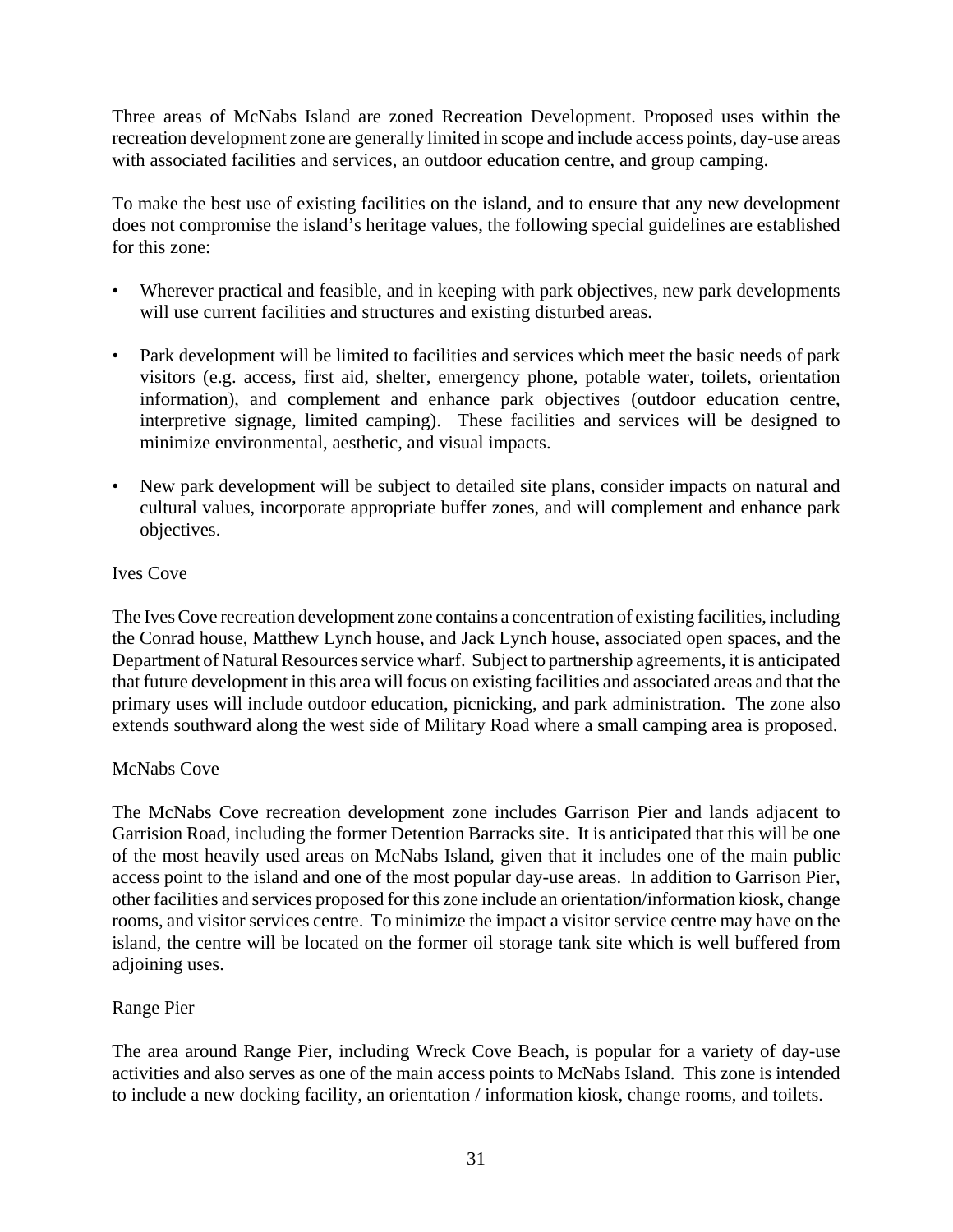Three areas of McNabs Island are zoned Recreation Development. Proposed uses within the recreation development zone are generally limited in scope and include access points, day-use areas with associated facilities and services, an outdoor education centre, and group camping.

To make the best use of existing facilities on the island, and to ensure that any new development does not compromise the island's heritage values, the following special guidelines are established for this zone:

- Wherever practical and feasible, and in keeping with park objectives, new park developments will use current facilities and structures and existing disturbed areas.
- Park development will be limited to facilities and services which meet the basic needs of park visitors (e.g. access, first aid, shelter, emergency phone, potable water, toilets, orientation information), and complement and enhance park objectives (outdoor education centre, interpretive signage, limited camping). These facilities and services will be designed to minimize environmental, aesthetic, and visual impacts.
- New park development will be subject to detailed site plans, consider impacts on natural and cultural values, incorporate appropriate buffer zones, and will complement and enhance park objectives.

#### Ives Cove

The Ives Cove recreation development zone contains a concentration of existing facilities, including the Conrad house, Matthew Lynch house, and Jack Lynch house, associated open spaces, and the Department of Natural Resources service wharf. Subject to partnership agreements, it is anticipated that future development in this area will focus on existing facilities and associated areas and that the primary uses will include outdoor education, picnicking, and park administration. The zone also extends southward along the west side of Military Road where a small camping area is proposed.

#### McNabs Cove

The McNabs Cove recreation development zone includes Garrison Pier and lands adjacent to Garrision Road, including the former Detention Barracks site. It is anticipated that this will be one of the most heavily used areas on McNabs Island, given that it includes one of the main public access point to the island and one of the most popular day-use areas. In addition to Garrison Pier, other facilities and services proposed for this zone include an orientation/information kiosk, change rooms, and visitor services centre. To minimize the impact a visitor service centre may have on the island, the centre will be located on the former oil storage tank site which is well buffered from adjoining uses.

#### Range Pier

The area around Range Pier, including Wreck Cove Beach, is popular for a variety of day-use activities and also serves as one of the main access points to McNabs Island. This zone is intended to include a new docking facility, an orientation / information kiosk, change rooms, and toilets.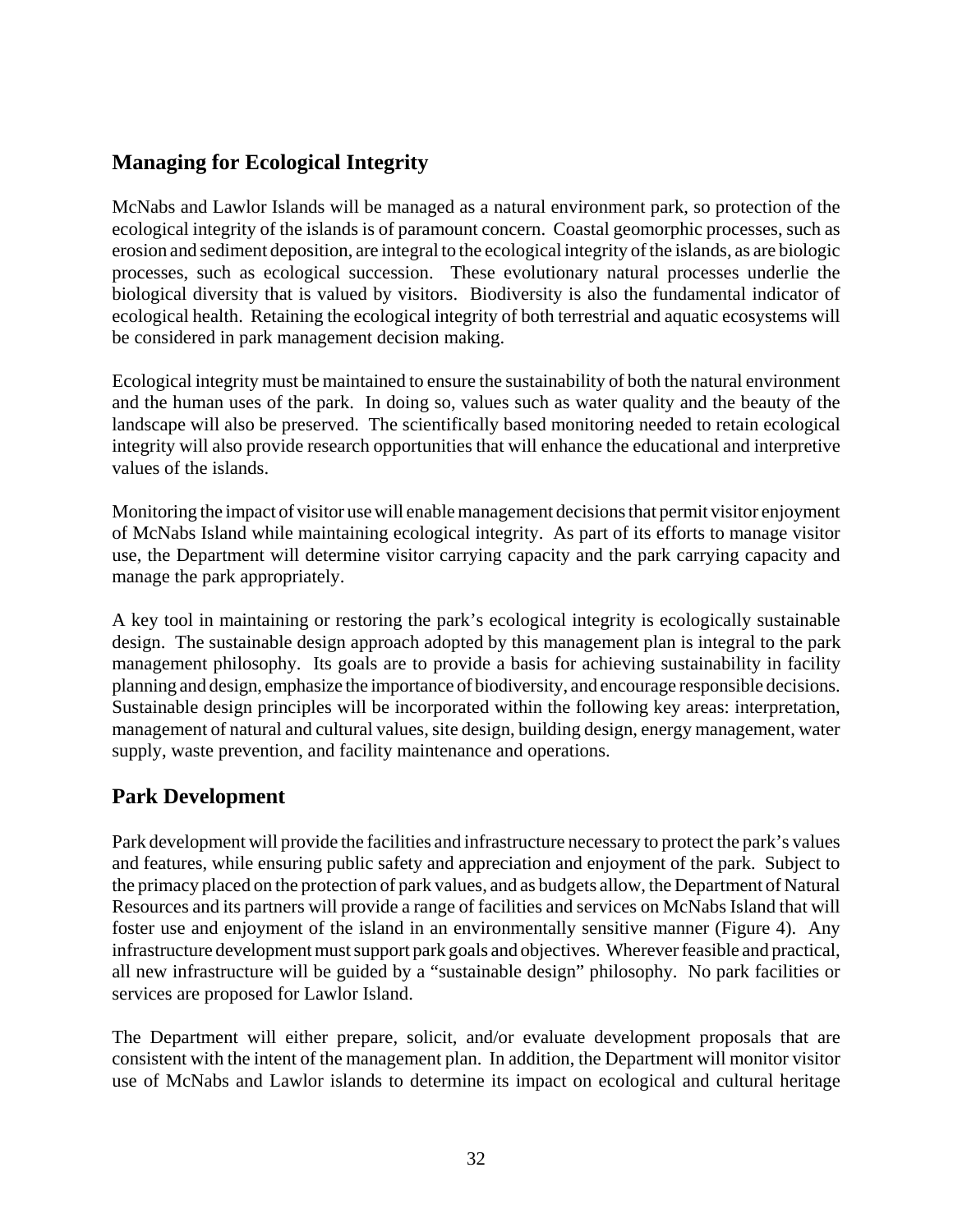## **Managing for Ecological Integrity**

McNabs and Lawlor Islands will be managed as a natural environment park, so protection of the ecological integrity of the islands is of paramount concern. Coastal geomorphic processes, such as erosion and sediment deposition, are integral to the ecological integrity of the islands, as are biologic processes, such as ecological succession. These evolutionary natural processes underlie the biological diversity that is valued by visitors. Biodiversity is also the fundamental indicator of ecological health. Retaining the ecological integrity of both terrestrial and aquatic ecosystems will be considered in park management decision making.

Ecological integrity must be maintained to ensure the sustainability of both the natural environment and the human uses of the park. In doing so, values such as water quality and the beauty of the landscape will also be preserved. The scientifically based monitoring needed to retain ecological integrity will also provide research opportunities that will enhance the educational and interpretive values of the islands.

Monitoring the impact of visitor use will enable management decisions that permit visitor enjoyment of McNabs Island while maintaining ecological integrity. As part of its efforts to manage visitor use, the Department will determine visitor carrying capacity and the park carrying capacity and manage the park appropriately.

A key tool in maintaining or restoring the park's ecological integrity is ecologically sustainable design. The sustainable design approach adopted by this management plan is integral to the park management philosophy. Its goals are to provide a basis for achieving sustainability in facility planning and design, emphasize the importance of biodiversity, and encourage responsible decisions. Sustainable design principles will be incorporated within the following key areas: interpretation, management of natural and cultural values, site design, building design, energy management, water supply, waste prevention, and facility maintenance and operations.

#### **Park Development**

Park development will provide the facilities and infrastructure necessary to protect the park's values and features, while ensuring public safety and appreciation and enjoyment of the park. Subject to the primacy placed on the protection of park values, and as budgets allow, the Department of Natural Resources and its partners will provide a range of facilities and services on McNabs Island that will foster use and enjoyment of the island in an environmentally sensitive manner (Figure 4). Any infrastructure development must support park goals and objectives. Wherever feasible and practical, all new infrastructure will be guided by a "sustainable design" philosophy. No park facilities or services are proposed for Lawlor Island.

The Department will either prepare, solicit, and/or evaluate development proposals that are consistent with the intent of the management plan. In addition, the Department will monitor visitor use of McNabs and Lawlor islands to determine its impact on ecological and cultural heritage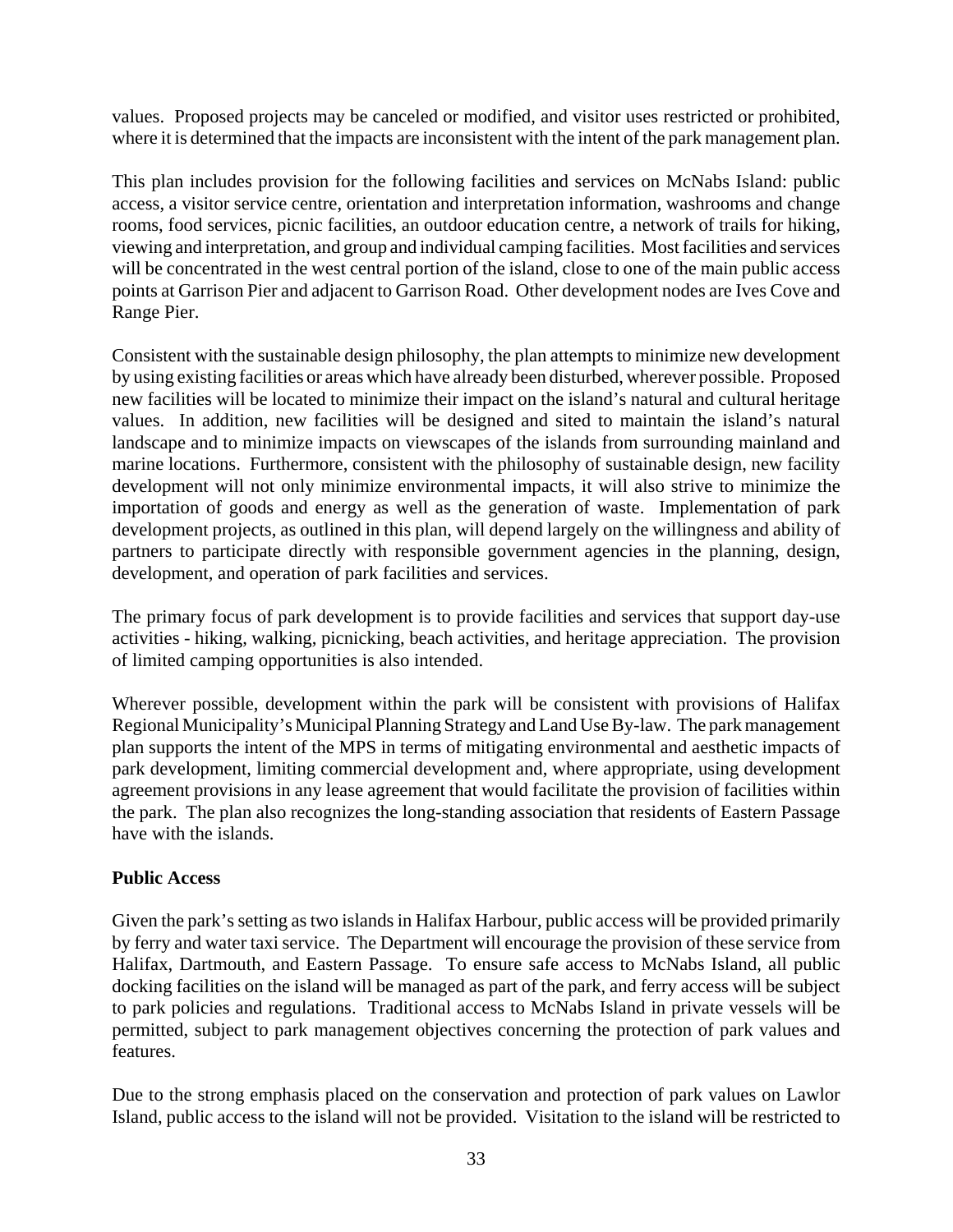values. Proposed projects may be canceled or modified, and visitor uses restricted or prohibited, where it is determined that the impacts are inconsistent with the intent of the park management plan.

This plan includes provision for the following facilities and services on McNabs Island: public access, a visitor service centre, orientation and interpretation information, washrooms and change rooms, food services, picnic facilities, an outdoor education centre, a network of trails for hiking, viewing and interpretation, and group and individual camping facilities. Most facilities and services will be concentrated in the west central portion of the island, close to one of the main public access points at Garrison Pier and adjacent to Garrison Road. Other development nodes are Ives Cove and Range Pier.

Consistent with the sustainable design philosophy, the plan attempts to minimize new development by using existing facilities or areas which have already been disturbed, wherever possible. Proposed new facilities will be located to minimize their impact on the island's natural and cultural heritage values. In addition, new facilities will be designed and sited to maintain the island's natural landscape and to minimize impacts on viewscapes of the islands from surrounding mainland and marine locations. Furthermore, consistent with the philosophy of sustainable design, new facility development will not only minimize environmental impacts, it will also strive to minimize the importation of goods and energy as well as the generation of waste. Implementation of park development projects, as outlined in this plan, will depend largely on the willingness and ability of partners to participate directly with responsible government agencies in the planning, design, development, and operation of park facilities and services.

The primary focus of park development is to provide facilities and services that support day-use activities - hiking, walking, picnicking, beach activities, and heritage appreciation. The provision of limited camping opportunities is also intended.

Wherever possible, development within the park will be consistent with provisions of Halifax Regional Municipality's Municipal Planning Strategy and Land Use By-law. The park management plan supports the intent of the MPS in terms of mitigating environmental and aesthetic impacts of park development, limiting commercial development and, where appropriate, using development agreement provisions in any lease agreement that would facilitate the provision of facilities within the park. The plan also recognizes the long-standing association that residents of Eastern Passage have with the islands.

#### **Public Access**

Given the park's setting as two islands in Halifax Harbour, public access will be provided primarily by ferry and water taxi service. The Department will encourage the provision of these service from Halifax, Dartmouth, and Eastern Passage. To ensure safe access to McNabs Island, all public docking facilities on the island will be managed as part of the park, and ferry access will be subject to park policies and regulations. Traditional access to McNabs Island in private vessels will be permitted, subject to park management objectives concerning the protection of park values and features.

Due to the strong emphasis placed on the conservation and protection of park values on Lawlor Island, public access to the island will not be provided. Visitation to the island will be restricted to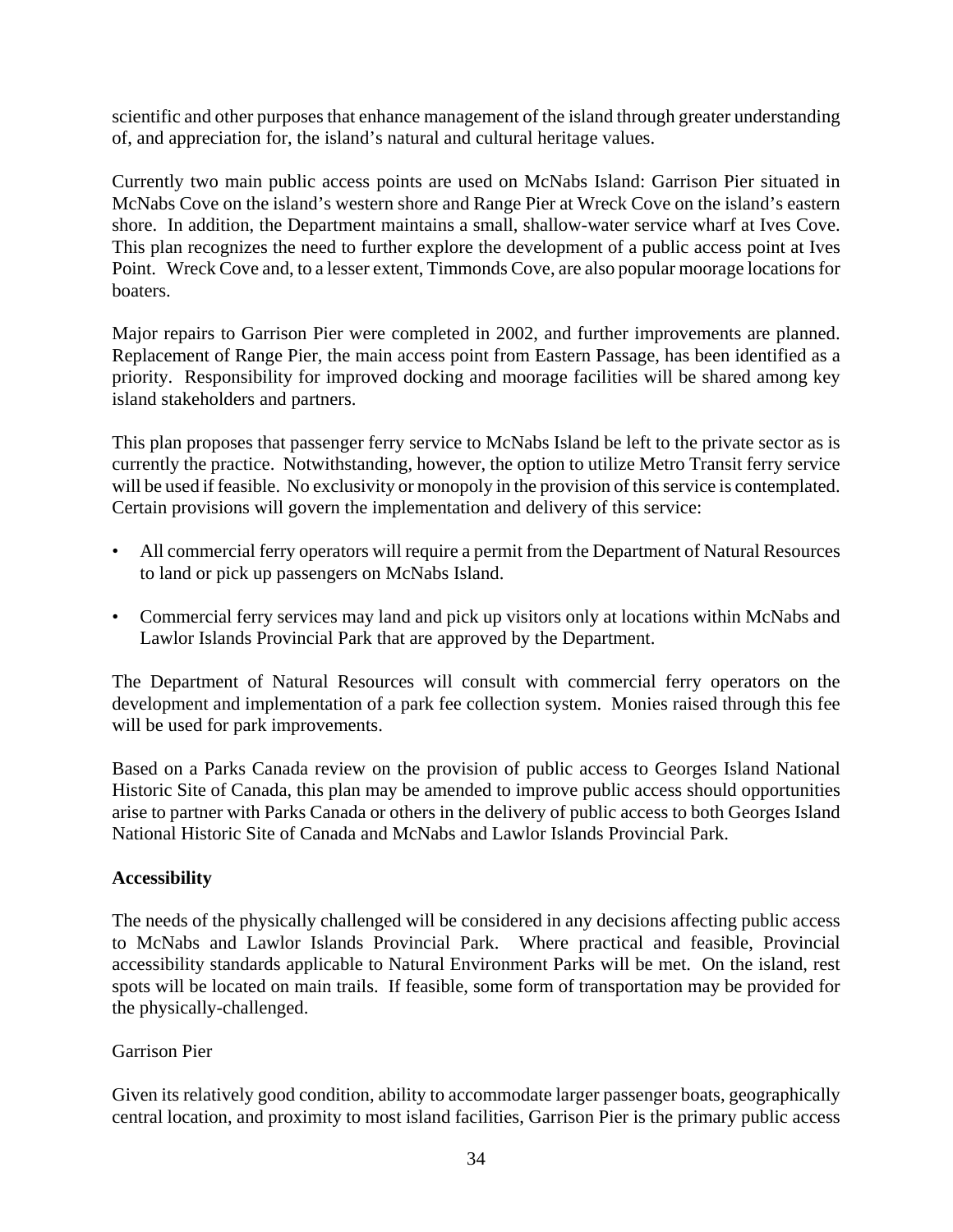scientific and other purposes that enhance management of the island through greater understanding of, and appreciation for, the island's natural and cultural heritage values.

Currently two main public access points are used on McNabs Island: Garrison Pier situated in McNabs Cove on the island's western shore and Range Pier at Wreck Cove on the island's eastern shore. In addition, the Department maintains a small, shallow-water service wharf at Ives Cove. This plan recognizes the need to further explore the development of a public access point at Ives Point. Wreck Cove and, to a lesser extent, Timmonds Cove, are also popular moorage locations for boaters.

Major repairs to Garrison Pier were completed in 2002, and further improvements are planned. Replacement of Range Pier, the main access point from Eastern Passage, has been identified as a priority. Responsibility for improved docking and moorage facilities will be shared among key island stakeholders and partners.

This plan proposes that passenger ferry service to McNabs Island be left to the private sector as is currently the practice. Notwithstanding, however, the option to utilize Metro Transit ferry service will be used if feasible. No exclusivity or monopoly in the provision of this service is contemplated. Certain provisions will govern the implementation and delivery of this service:

- All commercial ferry operators will require a permit from the Department of Natural Resources to land or pick up passengers on McNabs Island.
- Commercial ferry services may land and pick up visitors only at locations within McNabs and Lawlor Islands Provincial Park that are approved by the Department.

The Department of Natural Resources will consult with commercial ferry operators on the development and implementation of a park fee collection system. Monies raised through this fee will be used for park improvements.

Based on a Parks Canada review on the provision of public access to Georges Island National Historic Site of Canada, this plan may be amended to improve public access should opportunities arise to partner with Parks Canada or others in the delivery of public access to both Georges Island National Historic Site of Canada and McNabs and Lawlor Islands Provincial Park.

#### **Accessibility**

The needs of the physically challenged will be considered in any decisions affecting public access to McNabs and Lawlor Islands Provincial Park. Where practical and feasible, Provincial accessibility standards applicable to Natural Environment Parks will be met. On the island, rest spots will be located on main trails. If feasible, some form of transportation may be provided for the physically-challenged.

#### Garrison Pier

Given its relatively good condition, ability to accommodate larger passenger boats, geographically central location, and proximity to most island facilities, Garrison Pier is the primary public access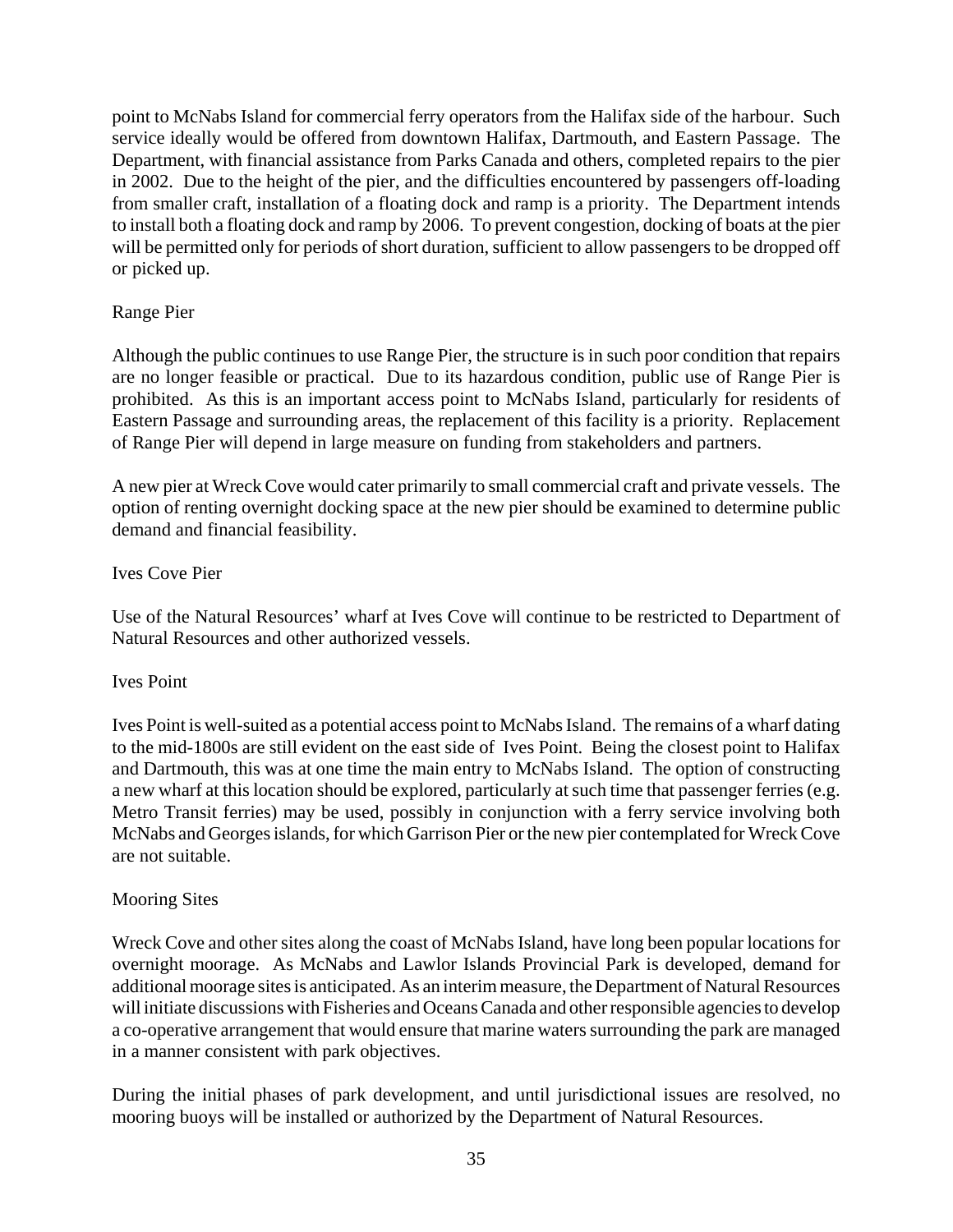point to McNabs Island for commercial ferry operators from the Halifax side of the harbour. Such service ideally would be offered from downtown Halifax, Dartmouth, and Eastern Passage. The Department, with financial assistance from Parks Canada and others, completed repairs to the pier in 2002. Due to the height of the pier, and the difficulties encountered by passengers off-loading from smaller craft, installation of a floating dock and ramp is a priority. The Department intends to install both a floating dock and ramp by 2006. To prevent congestion, docking of boats at the pier will be permitted only for periods of short duration, sufficient to allow passengers to be dropped off or picked up.

#### Range Pier

Although the public continues to use Range Pier, the structure is in such poor condition that repairs are no longer feasible or practical. Due to its hazardous condition, public use of Range Pier is prohibited. As this is an important access point to McNabs Island, particularly for residents of Eastern Passage and surrounding areas, the replacement of this facility is a priority. Replacement of Range Pier will depend in large measure on funding from stakeholders and partners.

A new pier at Wreck Cove would cater primarily to small commercial craft and private vessels. The option of renting overnight docking space at the new pier should be examined to determine public demand and financial feasibility.

#### Ives Cove Pier

Use of the Natural Resources' wharf at Ives Cove will continue to be restricted to Department of Natural Resources and other authorized vessels.

#### Ives Point

Ives Point is well-suited as a potential access point to McNabs Island. The remains of a wharf dating to the mid-1800s are still evident on the east side of Ives Point. Being the closest point to Halifax and Dartmouth, this was at one time the main entry to McNabs Island. The option of constructing a new wharf at this location should be explored, particularly at such time that passenger ferries (e.g. Metro Transit ferries) may be used, possibly in conjunction with a ferry service involving both McNabs and Georges islands, for which Garrison Pier or the new pier contemplated for Wreck Cove are not suitable.

#### Mooring Sites

Wreck Cove and other sites along the coast of McNabs Island, have long been popular locations for overnight moorage. As McNabs and Lawlor Islands Provincial Park is developed, demand for additional moorage sites is anticipated. As an interim measure, the Department of Natural Resources will initiate discussions with Fisheries and Oceans Canada and other responsible agencies to develop a co-operative arrangement that would ensure that marine waters surrounding the park are managed in a manner consistent with park objectives.

During the initial phases of park development, and until jurisdictional issues are resolved, no mooring buoys will be installed or authorized by the Department of Natural Resources.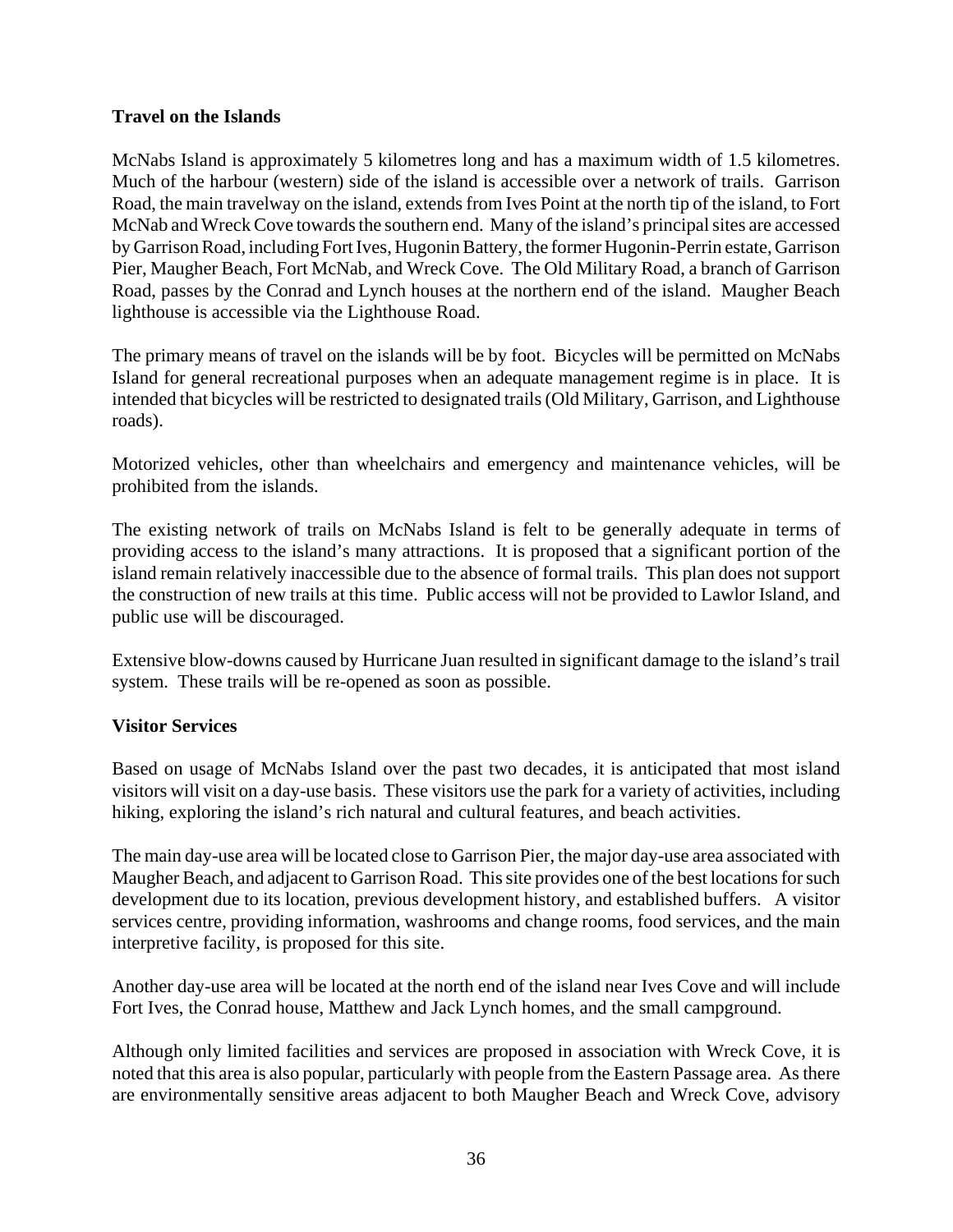#### **Travel on the Islands**

McNabs Island is approximately 5 kilometres long and has a maximum width of 1.5 kilometres. Much of the harbour (western) side of the island is accessible over a network of trails. Garrison Road, the main travelway on the island, extends from Ives Point at the north tip of the island, to Fort McNab and Wreck Cove towards the southern end. Many of the island's principal sites are accessed by Garrison Road, including Fort Ives, Hugonin Battery, the former Hugonin-Perrin estate, Garrison Pier, Maugher Beach, Fort McNab, and Wreck Cove. The Old Military Road, a branch of Garrison Road, passes by the Conrad and Lynch houses at the northern end of the island. Maugher Beach lighthouse is accessible via the Lighthouse Road.

The primary means of travel on the islands will be by foot. Bicycles will be permitted on McNabs Island for general recreational purposes when an adequate management regime is in place. It is intended that bicycles will be restricted to designated trails (Old Military, Garrison, and Lighthouse roads).

Motorized vehicles, other than wheelchairs and emergency and maintenance vehicles, will be prohibited from the islands.

The existing network of trails on McNabs Island is felt to be generally adequate in terms of providing access to the island's many attractions. It is proposed that a significant portion of the island remain relatively inaccessible due to the absence of formal trails. This plan does not support the construction of new trails at this time. Public access will not be provided to Lawlor Island, and public use will be discouraged.

Extensive blow-downs caused by Hurricane Juan resulted in significant damage to the island's trail system. These trails will be re-opened as soon as possible.

#### **Visitor Services**

Based on usage of McNabs Island over the past two decades, it is anticipated that most island visitors will visit on a day-use basis. These visitors use the park for a variety of activities, including hiking, exploring the island's rich natural and cultural features, and beach activities.

The main day-use area will be located close to Garrison Pier, the major day-use area associated with Maugher Beach, and adjacent to Garrison Road. This site provides one of the best locations for such development due to its location, previous development history, and established buffers. A visitor services centre, providing information, washrooms and change rooms, food services, and the main interpretive facility, is proposed for this site.

Another day-use area will be located at the north end of the island near Ives Cove and will include Fort Ives, the Conrad house, Matthew and Jack Lynch homes, and the small campground.

Although only limited facilities and services are proposed in association with Wreck Cove, it is noted that this area is also popular, particularly with people from the Eastern Passage area. As there are environmentally sensitive areas adjacent to both Maugher Beach and Wreck Cove, advisory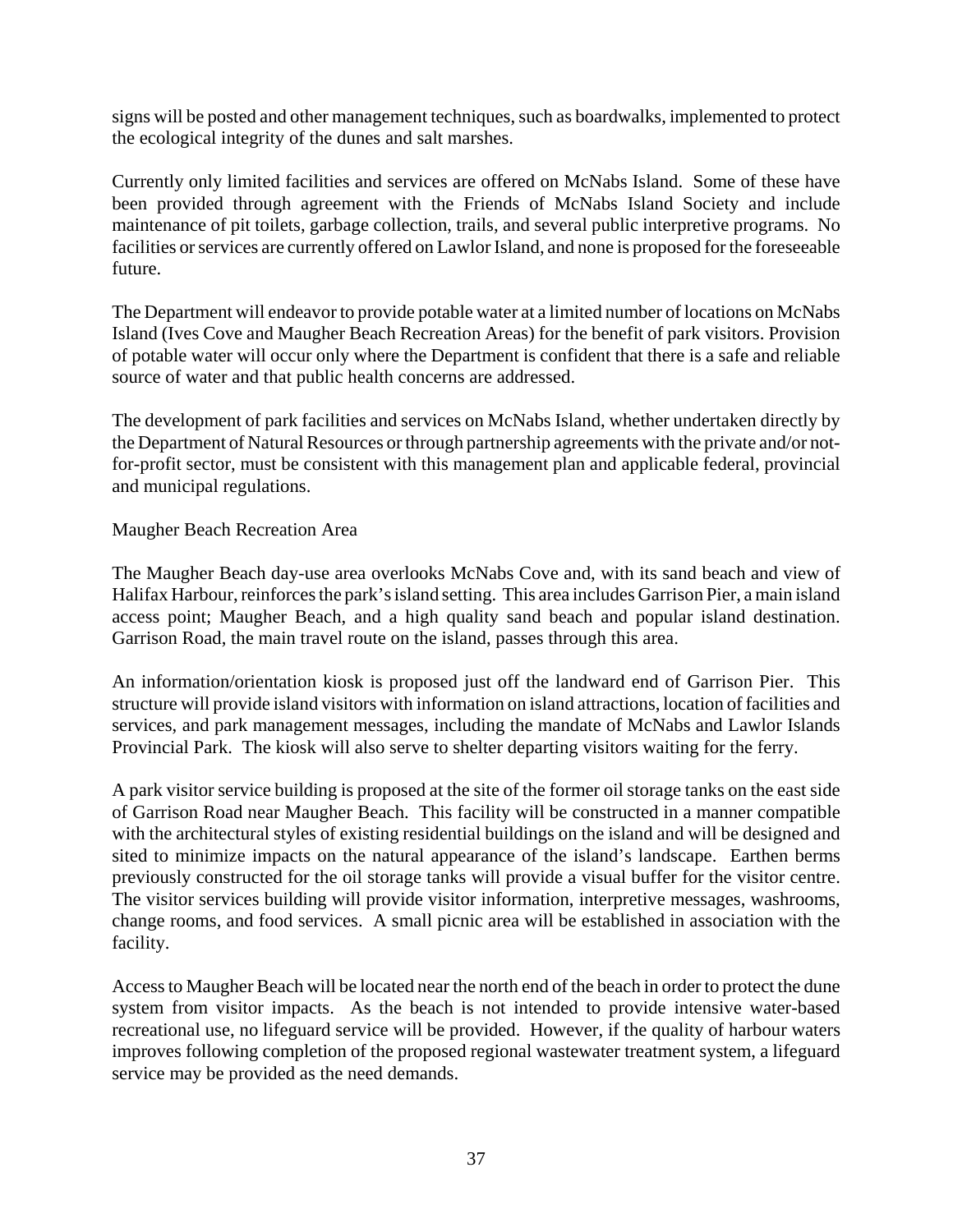signs will be posted and other management techniques, such as boardwalks, implemented to protect the ecological integrity of the dunes and salt marshes.

Currently only limited facilities and services are offered on McNabs Island. Some of these have been provided through agreement with the Friends of McNabs Island Society and include maintenance of pit toilets, garbage collection, trails, and several public interpretive programs. No facilities or services are currently offered on Lawlor Island, and none is proposed for the foreseeable future.

The Department will endeavor to provide potable water at a limited number of locations on McNabs Island (Ives Cove and Maugher Beach Recreation Areas) for the benefit of park visitors. Provision of potable water will occur only where the Department is confident that there is a safe and reliable source of water and that public health concerns are addressed.

The development of park facilities and services on McNabs Island, whether undertaken directly by the Department of Natural Resources or through partnership agreements with the private and/or notfor-profit sector, must be consistent with this management plan and applicable federal, provincial and municipal regulations.

#### Maugher Beach Recreation Area

The Maugher Beach day-use area overlooks McNabs Cove and, with its sand beach and view of Halifax Harbour, reinforces the park's island setting. This area includes Garrison Pier, a main island access point; Maugher Beach, and a high quality sand beach and popular island destination. Garrison Road, the main travel route on the island, passes through this area.

An information/orientation kiosk is proposed just off the landward end of Garrison Pier. This structure will provide island visitors with information on island attractions, location of facilities and services, and park management messages, including the mandate of McNabs and Lawlor Islands Provincial Park. The kiosk will also serve to shelter departing visitors waiting for the ferry.

A park visitor service building is proposed at the site of the former oil storage tanks on the east side of Garrison Road near Maugher Beach. This facility will be constructed in a manner compatible with the architectural styles of existing residential buildings on the island and will be designed and sited to minimize impacts on the natural appearance of the island's landscape. Earthen berms previously constructed for the oil storage tanks will provide a visual buffer for the visitor centre. The visitor services building will provide visitor information, interpretive messages, washrooms, change rooms, and food services. A small picnic area will be established in association with the facility.

Access to Maugher Beach will be located near the north end of the beach in order to protect the dune system from visitor impacts. As the beach is not intended to provide intensive water-based recreational use, no lifeguard service will be provided. However, if the quality of harbour waters improves following completion of the proposed regional wastewater treatment system, a lifeguard service may be provided as the need demands.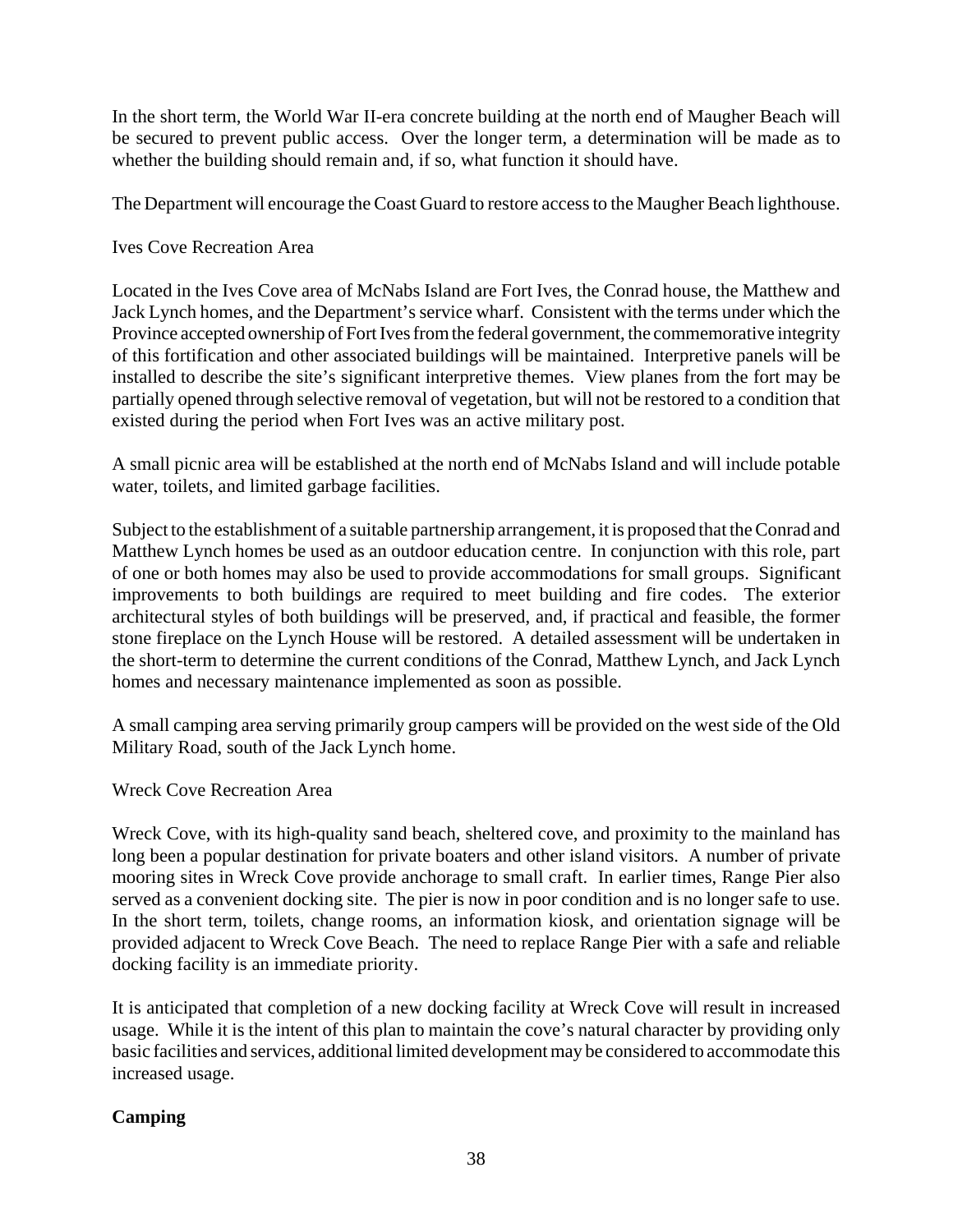In the short term, the World War II-era concrete building at the north end of Maugher Beach will be secured to prevent public access. Over the longer term, a determination will be made as to whether the building should remain and, if so, what function it should have.

The Department will encourage the Coast Guard to restore access to the Maugher Beach lighthouse.

Ives Cove Recreation Area

Located in the Ives Cove area of McNabs Island are Fort Ives, the Conrad house, the Matthew and Jack Lynch homes, and the Department's service wharf. Consistent with the terms under which the Province accepted ownership of Fort Ives from the federal government, the commemorative integrity of this fortification and other associated buildings will be maintained. Interpretive panels will be installed to describe the site's significant interpretive themes. View planes from the fort may be partially opened through selective removal of vegetation, but will not be restored to a condition that existed during the period when Fort Ives was an active military post.

A small picnic area will be established at the north end of McNabs Island and will include potable water, toilets, and limited garbage facilities.

Subject to the establishment of a suitable partnership arrangement, it is proposed that the Conrad and Matthew Lynch homes be used as an outdoor education centre. In conjunction with this role, part of one or both homes may also be used to provide accommodations for small groups. Significant improvements to both buildings are required to meet building and fire codes. The exterior architectural styles of both buildings will be preserved, and, if practical and feasible, the former stone fireplace on the Lynch House will be restored. A detailed assessment will be undertaken in the short-term to determine the current conditions of the Conrad, Matthew Lynch, and Jack Lynch homes and necessary maintenance implemented as soon as possible.

A small camping area serving primarily group campers will be provided on the west side of the Old Military Road, south of the Jack Lynch home.

Wreck Cove Recreation Area

Wreck Cove, with its high-quality sand beach, sheltered cove, and proximity to the mainland has long been a popular destination for private boaters and other island visitors. A number of private mooring sites in Wreck Cove provide anchorage to small craft. In earlier times, Range Pier also served as a convenient docking site. The pier is now in poor condition and is no longer safe to use. In the short term, toilets, change rooms, an information kiosk, and orientation signage will be provided adjacent to Wreck Cove Beach. The need to replace Range Pier with a safe and reliable docking facility is an immediate priority.

It is anticipated that completion of a new docking facility at Wreck Cove will result in increased usage. While it is the intent of this plan to maintain the cove's natural character by providing only basic facilities and services, additional limited development may be considered to accommodate this increased usage.

#### **Camping**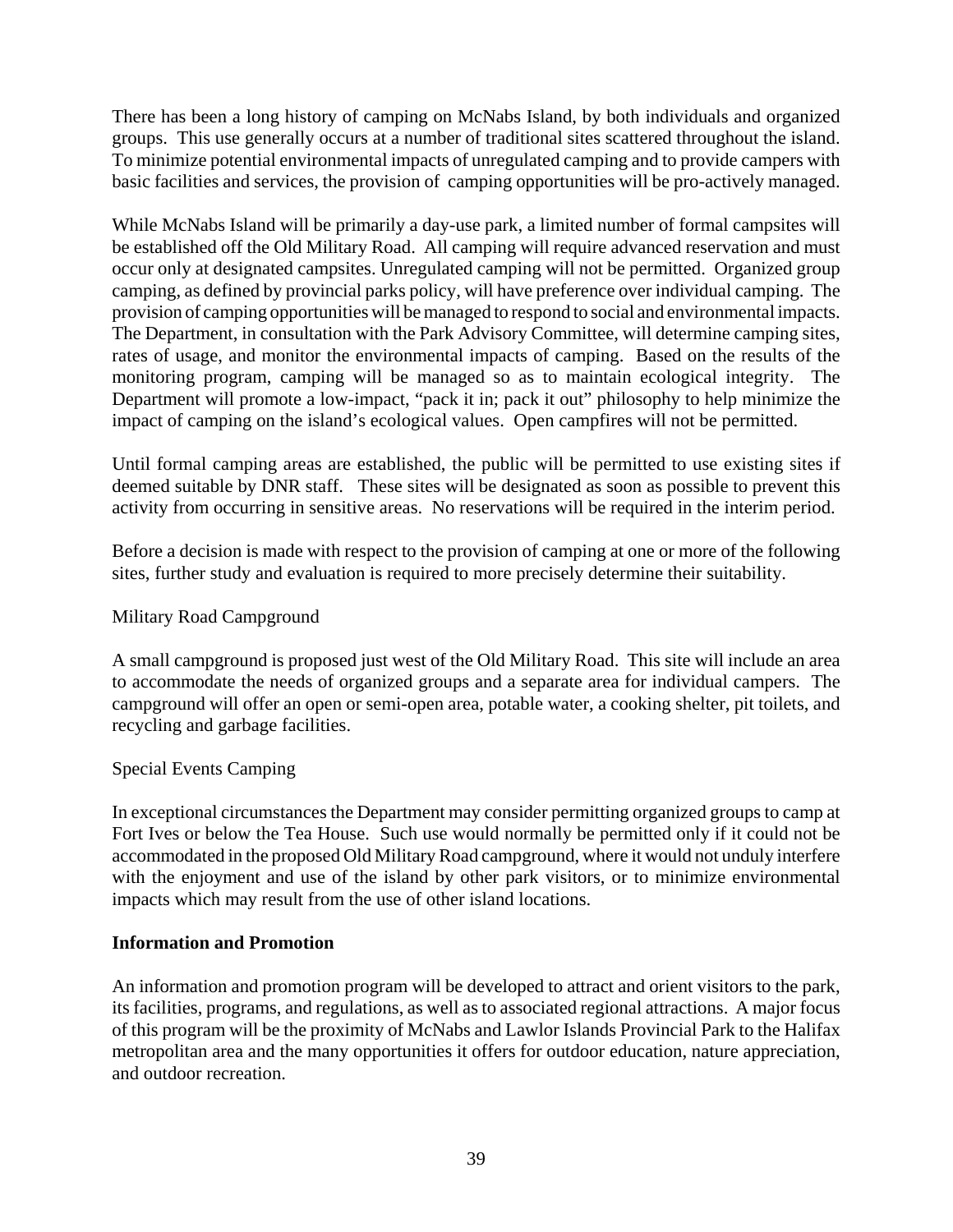There has been a long history of camping on McNabs Island, by both individuals and organized groups. This use generally occurs at a number of traditional sites scattered throughout the island. To minimize potential environmental impacts of unregulated camping and to provide campers with basic facilities and services, the provision of camping opportunities will be pro-actively managed.

While McNabs Island will be primarily a day-use park, a limited number of formal campsites will be established off the Old Military Road. All camping will require advanced reservation and must occur only at designated campsites. Unregulated camping will not be permitted. Organized group camping, as defined by provincial parks policy, will have preference over individual camping. The provision of camping opportunities will be managed to respond to social and environmental impacts. The Department, in consultation with the Park Advisory Committee, will determine camping sites, rates of usage, and monitor the environmental impacts of camping. Based on the results of the monitoring program, camping will be managed so as to maintain ecological integrity. The Department will promote a low-impact, "pack it in; pack it out" philosophy to help minimize the impact of camping on the island's ecological values. Open campfires will not be permitted.

Until formal camping areas are established, the public will be permitted to use existing sites if deemed suitable by DNR staff. These sites will be designated as soon as possible to prevent this activity from occurring in sensitive areas. No reservations will be required in the interim period.

Before a decision is made with respect to the provision of camping at one or more of the following sites, further study and evaluation is required to more precisely determine their suitability.

#### Military Road Campground

A small campground is proposed just west of the Old Military Road. This site will include an area to accommodate the needs of organized groups and a separate area for individual campers. The campground will offer an open or semi-open area, potable water, a cooking shelter, pit toilets, and recycling and garbage facilities.

#### Special Events Camping

In exceptional circumstances the Department may consider permitting organized groups to camp at Fort Ives or below the Tea House. Such use would normally be permitted only if it could not be accommodated in the proposed Old Military Road campground, where it would not unduly interfere with the enjoyment and use of the island by other park visitors, or to minimize environmental impacts which may result from the use of other island locations.

#### **Information and Promotion**

An information and promotion program will be developed to attract and orient visitors to the park, its facilities, programs, and regulations, as well as to associated regional attractions. A major focus of this program will be the proximity of McNabs and Lawlor Islands Provincial Park to the Halifax metropolitan area and the many opportunities it offers for outdoor education, nature appreciation, and outdoor recreation.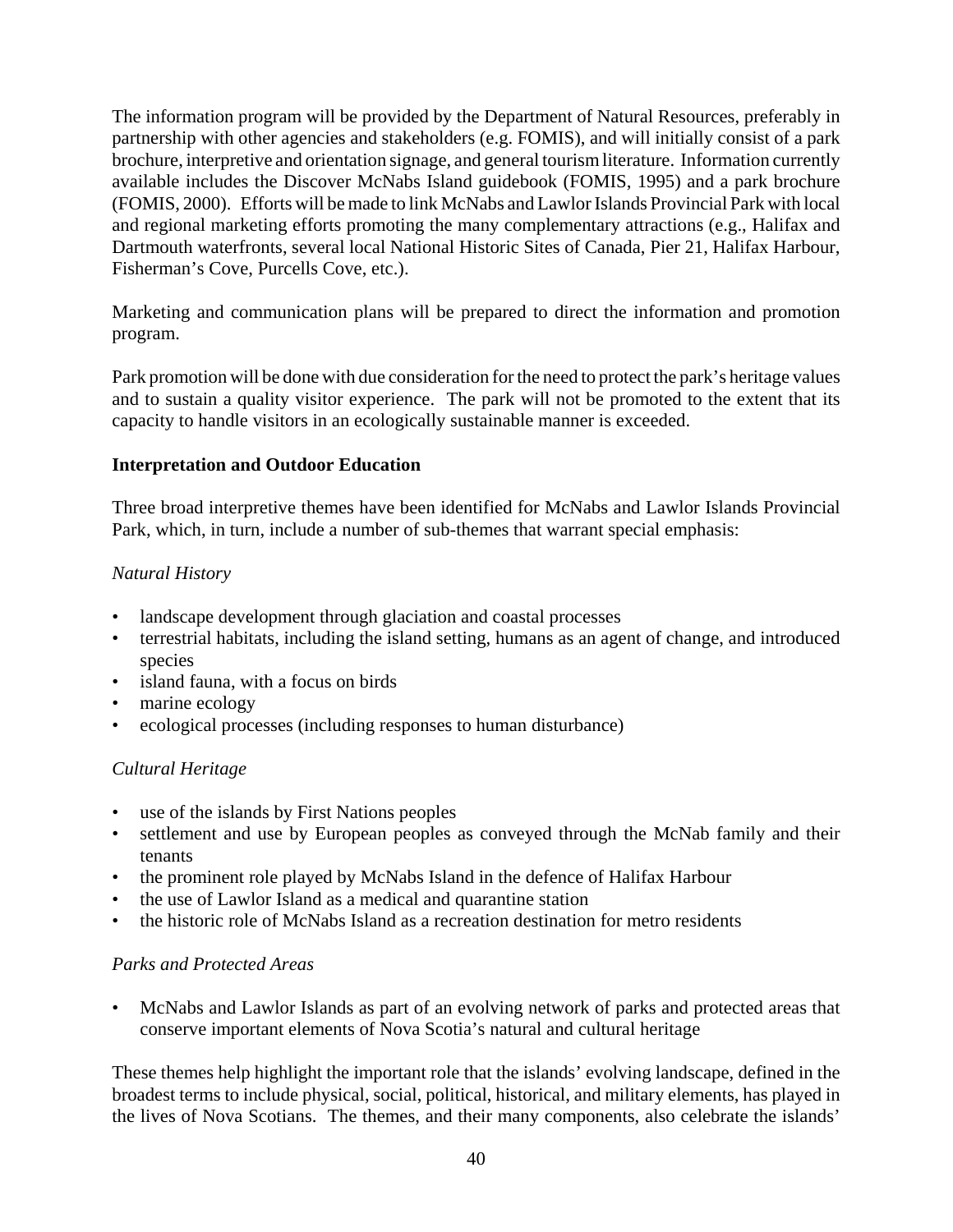The information program will be provided by the Department of Natural Resources, preferably in partnership with other agencies and stakeholders (e.g. FOMIS), and will initially consist of a park brochure, interpretive and orientation signage, and general tourism literature. Information currently available includes the Discover McNabs Island guidebook (FOMIS, 1995) and a park brochure (FOMIS, 2000). Efforts will be made to link McNabs and Lawlor Islands Provincial Park with local and regional marketing efforts promoting the many complementary attractions (e.g., Halifax and Dartmouth waterfronts, several local National Historic Sites of Canada, Pier 21, Halifax Harbour, Fisherman's Cove, Purcells Cove, etc.).

Marketing and communication plans will be prepared to direct the information and promotion program.

Park promotion will be done with due consideration for the need to protect the park's heritage values and to sustain a quality visitor experience. The park will not be promoted to the extent that its capacity to handle visitors in an ecologically sustainable manner is exceeded.

#### **Interpretation and Outdoor Education**

Three broad interpretive themes have been identified for McNabs and Lawlor Islands Provincial Park, which, in turn, include a number of sub-themes that warrant special emphasis:

#### *Natural History*

- landscape development through glaciation and coastal processes
- terrestrial habitats, including the island setting, humans as an agent of change, and introduced species
- island fauna, with a focus on birds
- marine ecology
- ecological processes (including responses to human disturbance)

#### *Cultural Heritage*

- use of the islands by First Nations peoples
- settlement and use by European peoples as conveyed through the McNab family and their tenants
- the prominent role played by McNabs Island in the defence of Halifax Harbour
- the use of Lawlor Island as a medical and quarantine station
- the historic role of McNabs Island as a recreation destination for metro residents

#### *Parks and Protected Areas*

• McNabs and Lawlor Islands as part of an evolving network of parks and protected areas that conserve important elements of Nova Scotia's natural and cultural heritage

These themes help highlight the important role that the islands' evolving landscape, defined in the broadest terms to include physical, social, political, historical, and military elements, has played in the lives of Nova Scotians. The themes, and their many components, also celebrate the islands'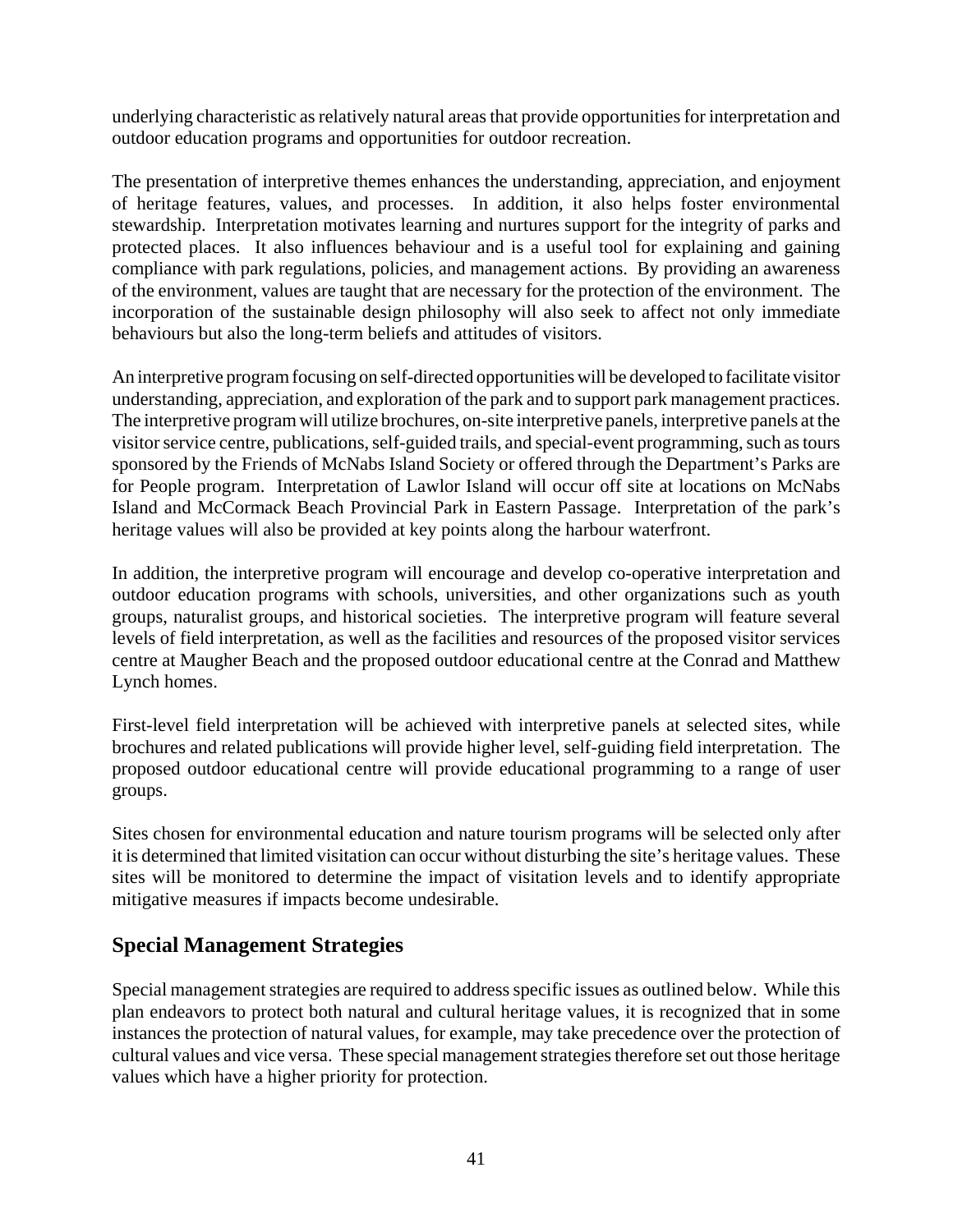underlying characteristic as relatively natural areas that provide opportunities for interpretation and outdoor education programs and opportunities for outdoor recreation.

The presentation of interpretive themes enhances the understanding, appreciation, and enjoyment of heritage features, values, and processes. In addition, it also helps foster environmental stewardship. Interpretation motivates learning and nurtures support for the integrity of parks and protected places. It also influences behaviour and is a useful tool for explaining and gaining compliance with park regulations, policies, and management actions. By providing an awareness of the environment, values are taught that are necessary for the protection of the environment. The incorporation of the sustainable design philosophy will also seek to affect not only immediate behaviours but also the long-term beliefs and attitudes of visitors.

An interpretive program focusing on self-directed opportunities will be developed to facilitate visitor understanding, appreciation, and exploration of the park and to support park management practices. The interpretive program will utilize brochures, on-site interpretive panels, interpretive panels at the visitor service centre, publications, self-guided trails, and special-event programming, such as tours sponsored by the Friends of McNabs Island Society or offered through the Department's Parks are for People program. Interpretation of Lawlor Island will occur off site at locations on McNabs Island and McCormack Beach Provincial Park in Eastern Passage. Interpretation of the park's heritage values will also be provided at key points along the harbour waterfront.

In addition, the interpretive program will encourage and develop co-operative interpretation and outdoor education programs with schools, universities, and other organizations such as youth groups, naturalist groups, and historical societies. The interpretive program will feature several levels of field interpretation, as well as the facilities and resources of the proposed visitor services centre at Maugher Beach and the proposed outdoor educational centre at the Conrad and Matthew Lynch homes.

First-level field interpretation will be achieved with interpretive panels at selected sites, while brochures and related publications will provide higher level, self-guiding field interpretation. The proposed outdoor educational centre will provide educational programming to a range of user groups.

Sites chosen for environmental education and nature tourism programs will be selected only after it is determined that limited visitation can occur without disturbing the site's heritage values. These sites will be monitored to determine the impact of visitation levels and to identify appropriate mitigative measures if impacts become undesirable.

## **Special Management Strategies**

Special management strategies are required to address specific issues as outlined below. While this plan endeavors to protect both natural and cultural heritage values, it is recognized that in some instances the protection of natural values, for example, may take precedence over the protection of cultural values and vice versa. These special management strategies therefore set out those heritage values which have a higher priority for protection.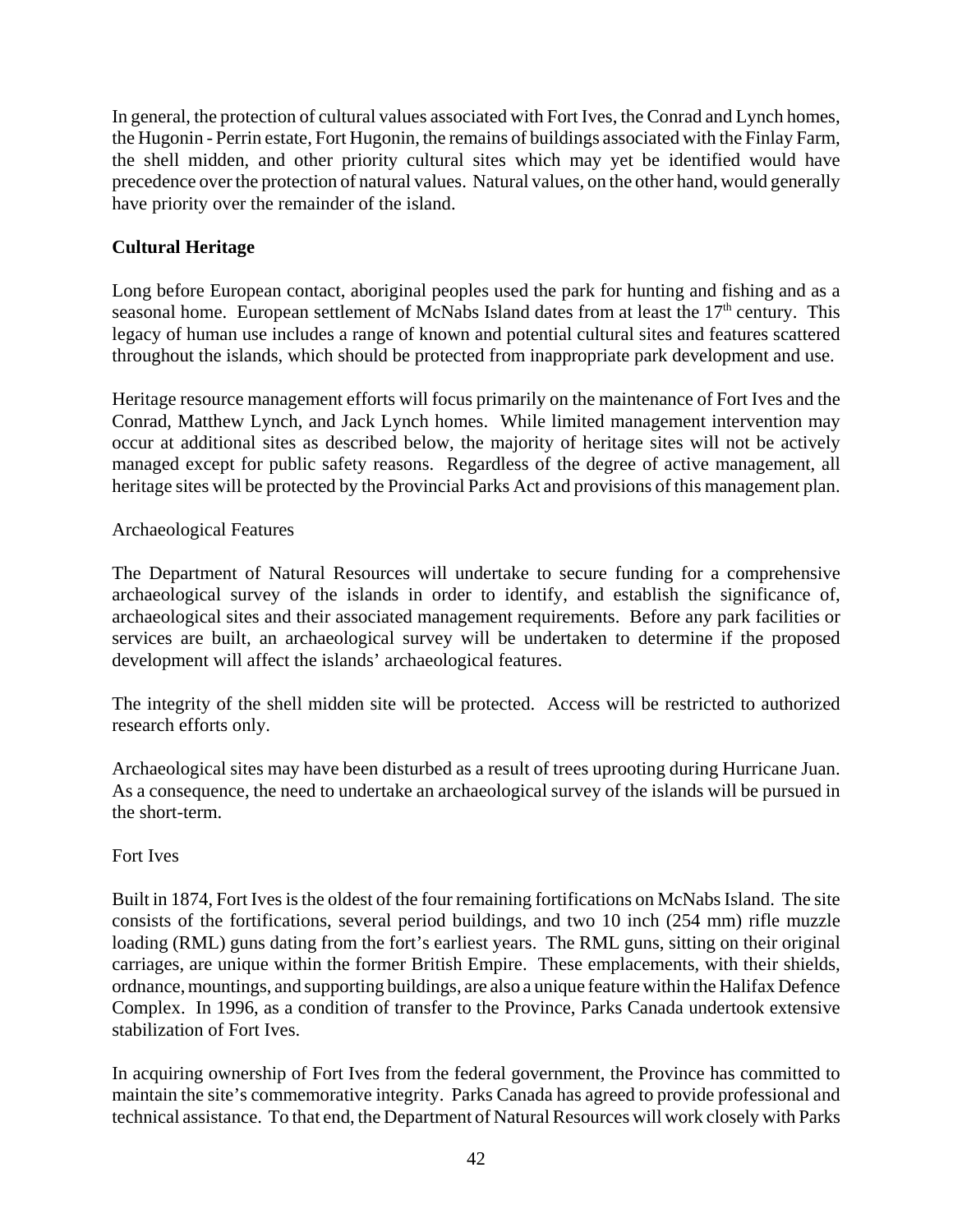In general, the protection of cultural values associated with Fort Ives, the Conrad and Lynch homes, the Hugonin - Perrin estate, Fort Hugonin, the remains of buildings associated with the Finlay Farm, the shell midden, and other priority cultural sites which may yet be identified would have precedence over the protection of natural values. Natural values, on the other hand, would generally have priority over the remainder of the island.

#### **Cultural Heritage**

Long before European contact, aboriginal peoples used the park for hunting and fishing and as a seasonal home. European settlement of McNabs Island dates from at least the  $17<sup>th</sup>$  century. This legacy of human use includes a range of known and potential cultural sites and features scattered throughout the islands, which should be protected from inappropriate park development and use.

Heritage resource management efforts will focus primarily on the maintenance of Fort Ives and the Conrad, Matthew Lynch, and Jack Lynch homes. While limited management intervention may occur at additional sites as described below, the majority of heritage sites will not be actively managed except for public safety reasons. Regardless of the degree of active management, all heritage sites will be protected by the Provincial Parks Act and provisions of this management plan.

#### Archaeological Features

The Department of Natural Resources will undertake to secure funding for a comprehensive archaeological survey of the islands in order to identify, and establish the significance of, archaeological sites and their associated management requirements. Before any park facilities or services are built, an archaeological survey will be undertaken to determine if the proposed development will affect the islands' archaeological features.

The integrity of the shell midden site will be protected. Access will be restricted to authorized research efforts only.

Archaeological sites may have been disturbed as a result of trees uprooting during Hurricane Juan. As a consequence, the need to undertake an archaeological survey of the islands will be pursued in the short-term.

#### Fort Ives

Built in 1874, Fort Ives is the oldest of the four remaining fortifications on McNabs Island. The site consists of the fortifications, several period buildings, and two 10 inch (254 mm) rifle muzzle loading (RML) guns dating from the fort's earliest years. The RML guns, sitting on their original carriages, are unique within the former British Empire. These emplacements, with their shields, ordnance, mountings, and supporting buildings, are also a unique feature within the Halifax Defence Complex. In 1996, as a condition of transfer to the Province, Parks Canada undertook extensive stabilization of Fort Ives.

In acquiring ownership of Fort Ives from the federal government, the Province has committed to maintain the site's commemorative integrity. Parks Canada has agreed to provide professional and technical assistance. To that end, the Department of Natural Resources will work closely with Parks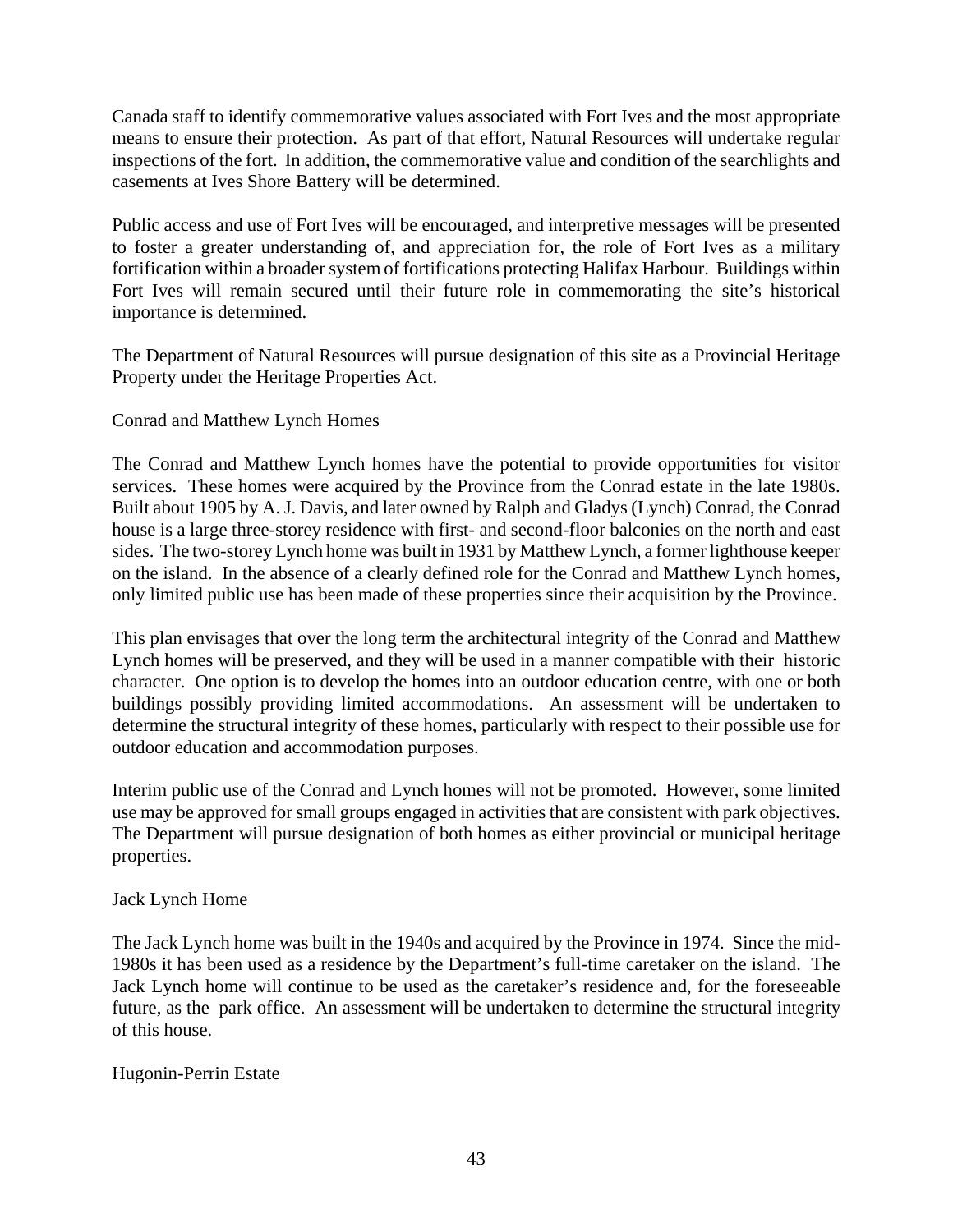Canada staff to identify commemorative values associated with Fort Ives and the most appropriate means to ensure their protection. As part of that effort, Natural Resources will undertake regular inspections of the fort. In addition, the commemorative value and condition of the searchlights and casements at Ives Shore Battery will be determined.

Public access and use of Fort Ives will be encouraged, and interpretive messages will be presented to foster a greater understanding of, and appreciation for, the role of Fort Ives as a military fortification within a broader system of fortifications protecting Halifax Harbour. Buildings within Fort Ives will remain secured until their future role in commemorating the site's historical importance is determined.

The Department of Natural Resources will pursue designation of this site as a Provincial Heritage Property under the Heritage Properties Act.

#### Conrad and Matthew Lynch Homes

The Conrad and Matthew Lynch homes have the potential to provide opportunities for visitor services. These homes were acquired by the Province from the Conrad estate in the late 1980s. Built about 1905 by A. J. Davis, and later owned by Ralph and Gladys (Lynch) Conrad, the Conrad house is a large three-storey residence with first- and second-floor balconies on the north and east sides. The two-storey Lynch home was built in 1931 by Matthew Lynch, a former lighthouse keeper on the island. In the absence of a clearly defined role for the Conrad and Matthew Lynch homes, only limited public use has been made of these properties since their acquisition by the Province.

This plan envisages that over the long term the architectural integrity of the Conrad and Matthew Lynch homes will be preserved, and they will be used in a manner compatible with their historic character. One option is to develop the homes into an outdoor education centre, with one or both buildings possibly providing limited accommodations. An assessment will be undertaken to determine the structural integrity of these homes, particularly with respect to their possible use for outdoor education and accommodation purposes.

Interim public use of the Conrad and Lynch homes will not be promoted. However, some limited use may be approved for small groups engaged in activities that are consistent with park objectives. The Department will pursue designation of both homes as either provincial or municipal heritage properties.

#### Jack Lynch Home

The Jack Lynch home was built in the 1940s and acquired by the Province in 1974. Since the mid-1980s it has been used as a residence by the Department's full-time caretaker on the island. The Jack Lynch home will continue to be used as the caretaker's residence and, for the foreseeable future, as the park office. An assessment will be undertaken to determine the structural integrity of this house.

#### Hugonin-Perrin Estate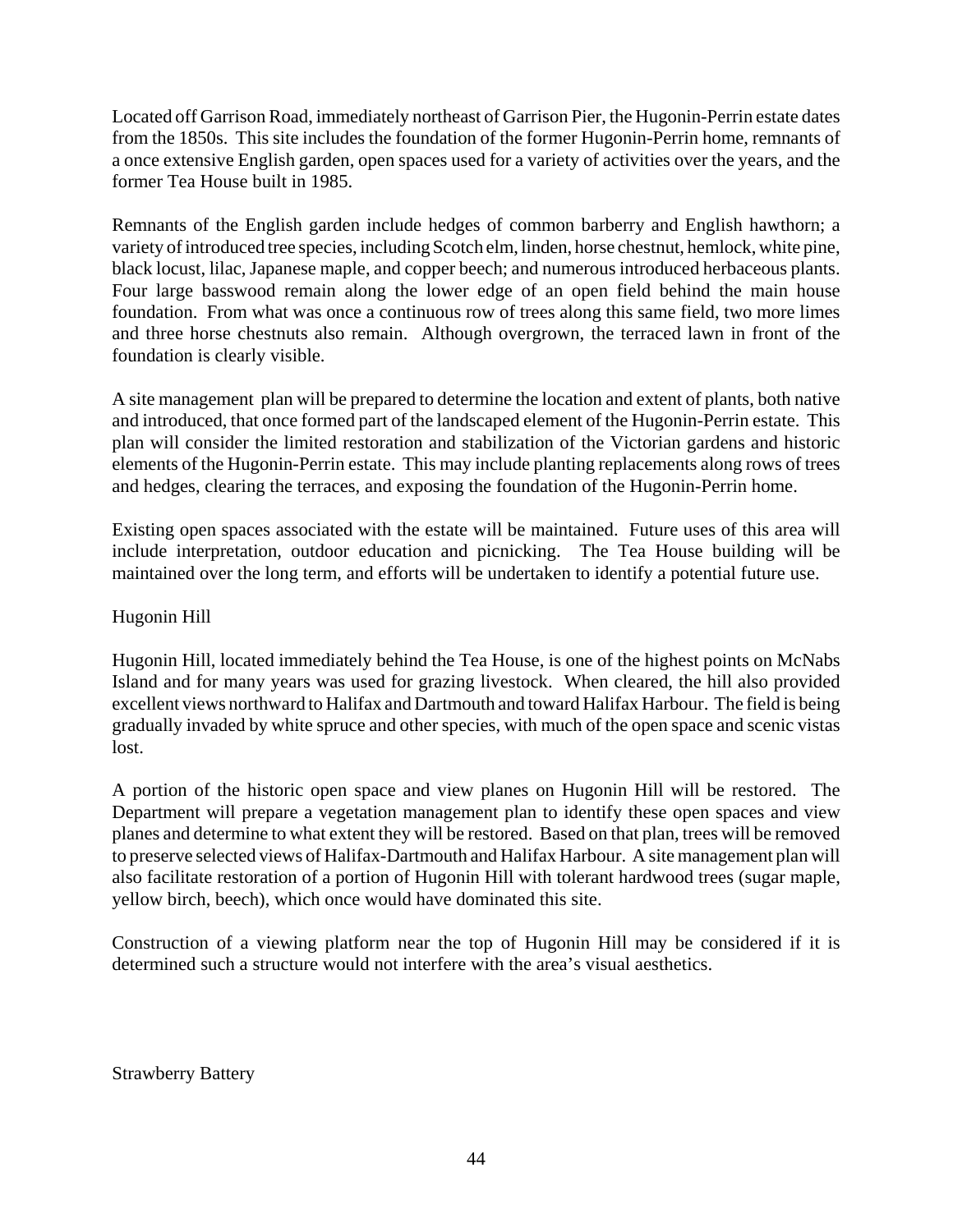Located off Garrison Road, immediately northeast of Garrison Pier, the Hugonin-Perrin estate dates from the 1850s. This site includes the foundation of the former Hugonin-Perrin home, remnants of a once extensive English garden, open spaces used for a variety of activities over the years, and the former Tea House built in 1985.

Remnants of the English garden include hedges of common barberry and English hawthorn; a variety of introduced tree species, including Scotch elm, linden, horse chestnut, hemlock, white pine, black locust, lilac, Japanese maple, and copper beech; and numerous introduced herbaceous plants. Four large basswood remain along the lower edge of an open field behind the main house foundation. From what was once a continuous row of trees along this same field, two more limes and three horse chestnuts also remain. Although overgrown, the terraced lawn in front of the foundation is clearly visible.

A site management plan will be prepared to determine the location and extent of plants, both native and introduced, that once formed part of the landscaped element of the Hugonin-Perrin estate. This plan will consider the limited restoration and stabilization of the Victorian gardens and historic elements of the Hugonin-Perrin estate. This may include planting replacements along rows of trees and hedges, clearing the terraces, and exposing the foundation of the Hugonin-Perrin home.

Existing open spaces associated with the estate will be maintained. Future uses of this area will include interpretation, outdoor education and picnicking. The Tea House building will be maintained over the long term, and efforts will be undertaken to identify a potential future use.

#### Hugonin Hill

Hugonin Hill, located immediately behind the Tea House, is one of the highest points on McNabs Island and for many years was used for grazing livestock. When cleared, the hill also provided excellent views northward to Halifax and Dartmouth and toward Halifax Harbour. The field is being gradually invaded by white spruce and other species, with much of the open space and scenic vistas lost.

A portion of the historic open space and view planes on Hugonin Hill will be restored. The Department will prepare a vegetation management plan to identify these open spaces and view planes and determine to what extent they will be restored. Based on that plan, trees will be removed to preserve selected views of Halifax-Dartmouth and Halifax Harbour. A site management plan will also facilitate restoration of a portion of Hugonin Hill with tolerant hardwood trees (sugar maple, yellow birch, beech), which once would have dominated this site.

Construction of a viewing platform near the top of Hugonin Hill may be considered if it is determined such a structure would not interfere with the area's visual aesthetics.

Strawberry Battery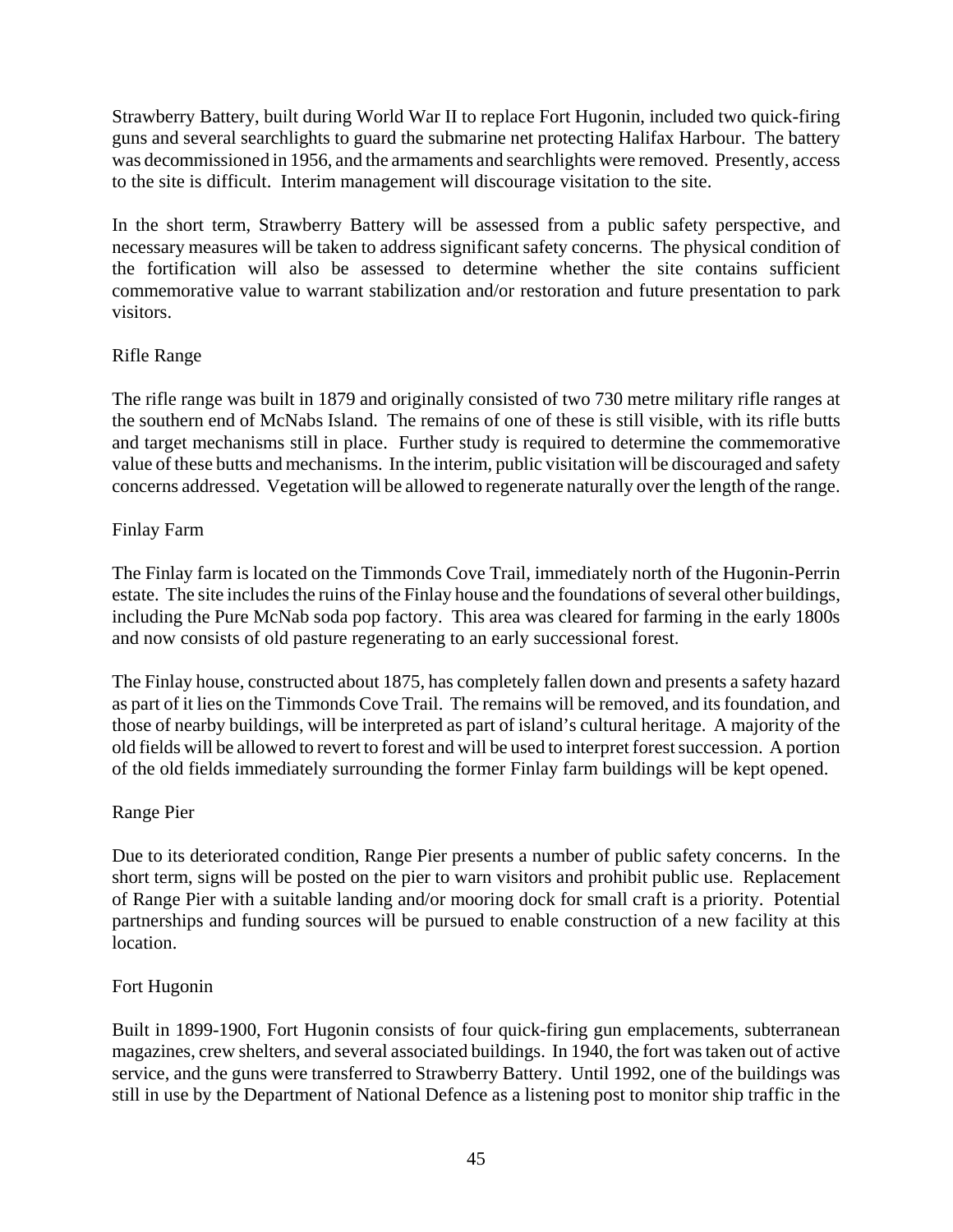Strawberry Battery, built during World War II to replace Fort Hugonin, included two quick-firing guns and several searchlights to guard the submarine net protecting Halifax Harbour. The battery was decommissioned in 1956, and the armaments and searchlights were removed. Presently, access to the site is difficult. Interim management will discourage visitation to the site.

In the short term, Strawberry Battery will be assessed from a public safety perspective, and necessary measures will be taken to address significant safety concerns. The physical condition of the fortification will also be assessed to determine whether the site contains sufficient commemorative value to warrant stabilization and/or restoration and future presentation to park visitors.

#### Rifle Range

The rifle range was built in 1879 and originally consisted of two 730 metre military rifle ranges at the southern end of McNabs Island. The remains of one of these is still visible, with its rifle butts and target mechanisms still in place. Further study is required to determine the commemorative value of these butts and mechanisms. In the interim, public visitation will be discouraged and safety concerns addressed. Vegetation will be allowed to regenerate naturally over the length of the range.

#### Finlay Farm

The Finlay farm is located on the Timmonds Cove Trail, immediately north of the Hugonin-Perrin estate. The site includes the ruins of the Finlay house and the foundations of several other buildings, including the Pure McNab soda pop factory. This area was cleared for farming in the early 1800s and now consists of old pasture regenerating to an early successional forest.

The Finlay house, constructed about 1875, has completely fallen down and presents a safety hazard as part of it lies on the Timmonds Cove Trail. The remains will be removed, and its foundation, and those of nearby buildings, will be interpreted as part of island's cultural heritage. A majority of the old fields will be allowed to revert to forest and will be used to interpret forest succession. A portion of the old fields immediately surrounding the former Finlay farm buildings will be kept opened.

#### Range Pier

Due to its deteriorated condition, Range Pier presents a number of public safety concerns. In the short term, signs will be posted on the pier to warn visitors and prohibit public use. Replacement of Range Pier with a suitable landing and/or mooring dock for small craft is a priority. Potential partnerships and funding sources will be pursued to enable construction of a new facility at this location.

#### Fort Hugonin

Built in 1899-1900, Fort Hugonin consists of four quick-firing gun emplacements, subterranean magazines, crew shelters, and several associated buildings. In 1940, the fort was taken out of active service, and the guns were transferred to Strawberry Battery. Until 1992, one of the buildings was still in use by the Department of National Defence as a listening post to monitor ship traffic in the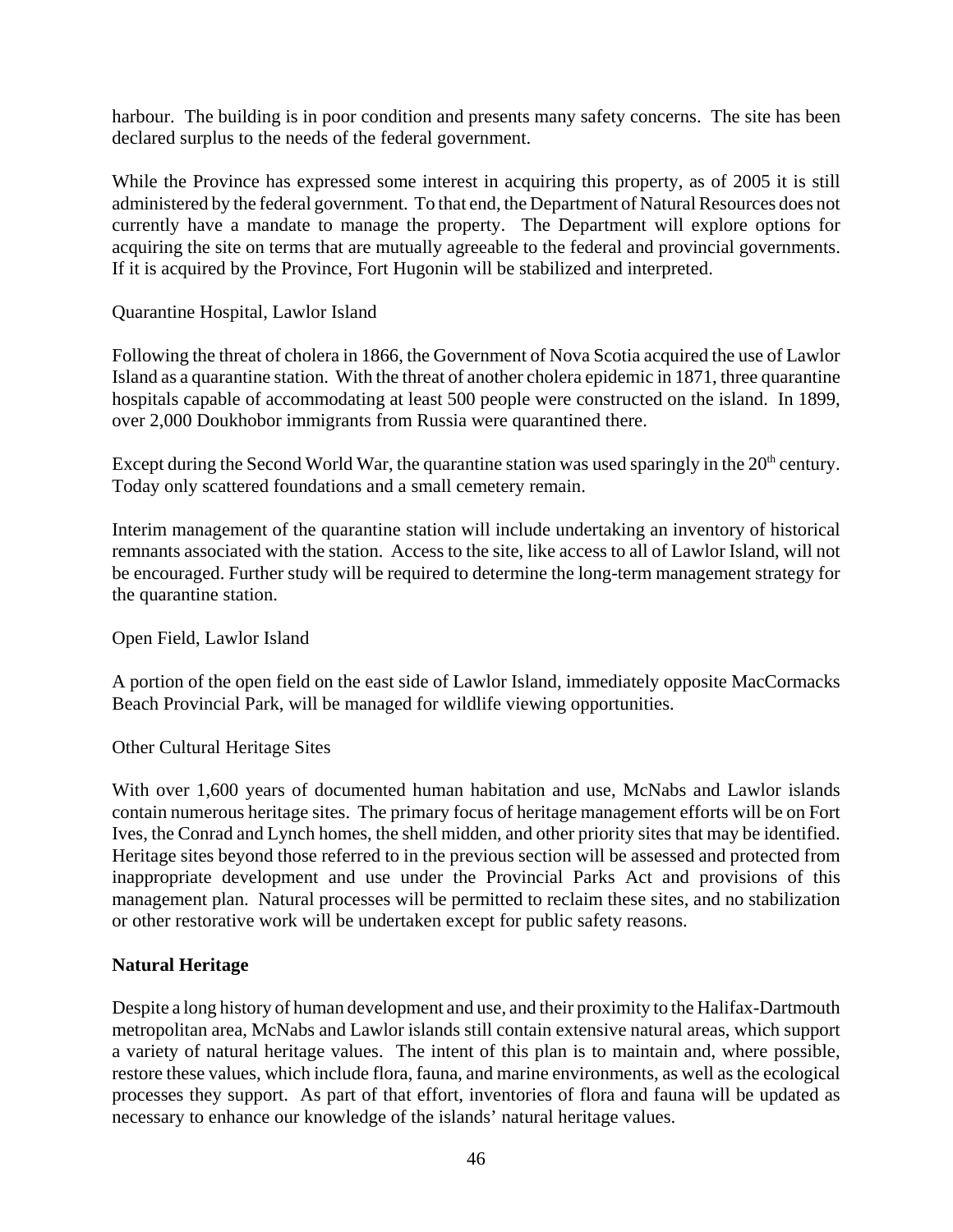harbour. The building is in poor condition and presents many safety concerns. The site has been declared surplus to the needs of the federal government.

While the Province has expressed some interest in acquiring this property, as of 2005 it is still administered by the federal government. To that end, the Department of Natural Resources does not currently have a mandate to manage the property. The Department will explore options for acquiring the site on terms that are mutually agreeable to the federal and provincial governments. If it is acquired by the Province, Fort Hugonin will be stabilized and interpreted.

Quarantine Hospital, Lawlor Island

Following the threat of cholera in 1866, the Government of Nova Scotia acquired the use of Lawlor Island as a quarantine station. With the threat of another cholera epidemic in 1871, three quarantine hospitals capable of accommodating at least 500 people were constructed on the island. In 1899, over 2,000 Doukhobor immigrants from Russia were quarantined there.

Except during the Second World War, the quarantine station was used sparingly in the  $20<sup>th</sup>$  century. Today only scattered foundations and a small cemetery remain.

Interim management of the quarantine station will include undertaking an inventory of historical remnants associated with the station. Access to the site, like access to all of Lawlor Island, will not be encouraged. Further study will be required to determine the long-term management strategy for the quarantine station.

Open Field, Lawlor Island

A portion of the open field on the east side of Lawlor Island, immediately opposite MacCormacks Beach Provincial Park, will be managed for wildlife viewing opportunities.

Other Cultural Heritage Sites

With over 1,600 years of documented human habitation and use, McNabs and Lawlor islands contain numerous heritage sites. The primary focus of heritage management efforts will be on Fort Ives, the Conrad and Lynch homes, the shell midden, and other priority sites that may be identified. Heritage sites beyond those referred to in the previous section will be assessed and protected from inappropriate development and use under the Provincial Parks Act and provisions of this management plan. Natural processes will be permitted to reclaim these sites, and no stabilization or other restorative work will be undertaken except for public safety reasons.

#### **Natural Heritage**

Despite a long history of human development and use, and their proximity to the Halifax-Dartmouth metropolitan area, McNabs and Lawlor islands still contain extensive natural areas, which support a variety of natural heritage values. The intent of this plan is to maintain and, where possible, restore these values, which include flora, fauna, and marine environments, as well as the ecological processes they support. As part of that effort, inventories of flora and fauna will be updated as necessary to enhance our knowledge of the islands' natural heritage values.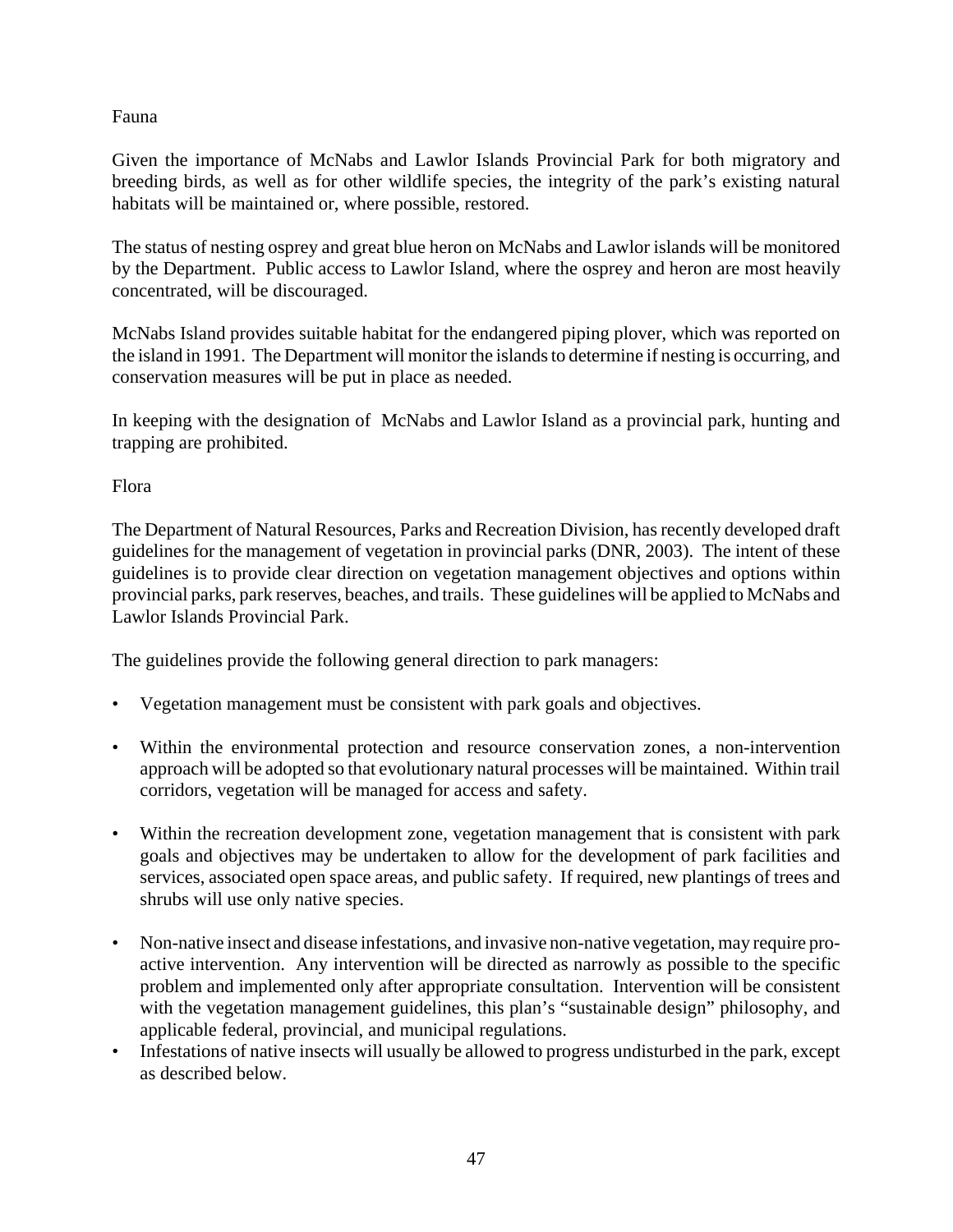#### Fauna

Given the importance of McNabs and Lawlor Islands Provincial Park for both migratory and breeding birds, as well as for other wildlife species, the integrity of the park's existing natural habitats will be maintained or, where possible, restored.

The status of nesting osprey and great blue heron on McNabs and Lawlor islands will be monitored by the Department. Public access to Lawlor Island, where the osprey and heron are most heavily concentrated, will be discouraged.

McNabs Island provides suitable habitat for the endangered piping plover, which was reported on the island in 1991. The Department will monitor the islands to determine if nesting is occurring, and conservation measures will be put in place as needed.

In keeping with the designation of McNabs and Lawlor Island as a provincial park, hunting and trapping are prohibited.

Flora

The Department of Natural Resources, Parks and Recreation Division, has recently developed draft guidelines for the management of vegetation in provincial parks (DNR, 2003). The intent of these guidelines is to provide clear direction on vegetation management objectives and options within provincial parks, park reserves, beaches, and trails. These guidelines will be applied to McNabs and Lawlor Islands Provincial Park.

The guidelines provide the following general direction to park managers:

- Vegetation management must be consistent with park goals and objectives.
- Within the environmental protection and resource conservation zones, a non-intervention approach will be adopted so that evolutionary natural processes will be maintained. Within trail corridors, vegetation will be managed for access and safety.
- Within the recreation development zone, vegetation management that is consistent with park goals and objectives may be undertaken to allow for the development of park facilities and services, associated open space areas, and public safety. If required, new plantings of trees and shrubs will use only native species.
- Non-native insect and disease infestations, and invasive non-native vegetation, may require proactive intervention. Any intervention will be directed as narrowly as possible to the specific problem and implemented only after appropriate consultation. Intervention will be consistent with the vegetation management guidelines, this plan's "sustainable design" philosophy, and applicable federal, provincial, and municipal regulations.
- Infestations of native insects will usually be allowed to progress undisturbed in the park, except as described below.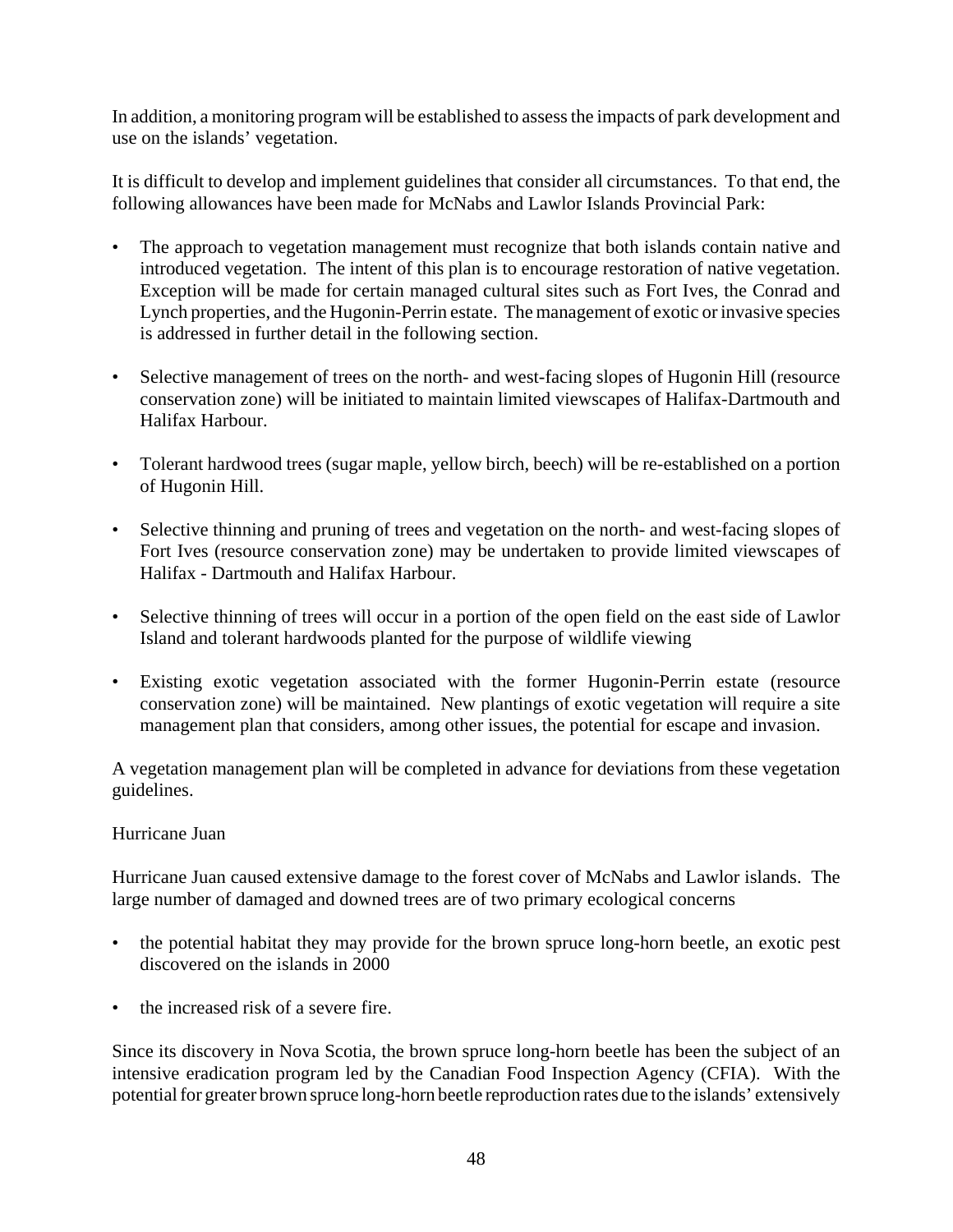In addition, a monitoring program will be established to assess the impacts of park development and use on the islands' vegetation.

It is difficult to develop and implement guidelines that consider all circumstances. To that end, the following allowances have been made for McNabs and Lawlor Islands Provincial Park:

- The approach to vegetation management must recognize that both islands contain native and introduced vegetation. The intent of this plan is to encourage restoration of native vegetation. Exception will be made for certain managed cultural sites such as Fort Ives, the Conrad and Lynch properties, and the Hugonin-Perrin estate. The management of exotic or invasive species is addressed in further detail in the following section.
- Selective management of trees on the north- and west-facing slopes of Hugonin Hill (resource conservation zone) will be initiated to maintain limited viewscapes of Halifax-Dartmouth and Halifax Harbour.
- Tolerant hardwood trees (sugar maple, yellow birch, beech) will be re-established on a portion of Hugonin Hill.
- Selective thinning and pruning of trees and vegetation on the north- and west-facing slopes of Fort Ives (resource conservation zone) may be undertaken to provide limited viewscapes of Halifax - Dartmouth and Halifax Harbour.
- Selective thinning of trees will occur in a portion of the open field on the east side of Lawlor Island and tolerant hardwoods planted for the purpose of wildlife viewing
- Existing exotic vegetation associated with the former Hugonin-Perrin estate (resource conservation zone) will be maintained. New plantings of exotic vegetation will require a site management plan that considers, among other issues, the potential for escape and invasion.

A vegetation management plan will be completed in advance for deviations from these vegetation guidelines.

#### Hurricane Juan

Hurricane Juan caused extensive damage to the forest cover of McNabs and Lawlor islands. The large number of damaged and downed trees are of two primary ecological concerns

- the potential habitat they may provide for the brown spruce long-horn beetle, an exotic pest discovered on the islands in 2000
- the increased risk of a severe fire.

Since its discovery in Nova Scotia, the brown spruce long-horn beetle has been the subject of an intensive eradication program led by the Canadian Food Inspection Agency (CFIA). With the potential for greater brown spruce long-horn beetle reproduction rates due to the islands' extensively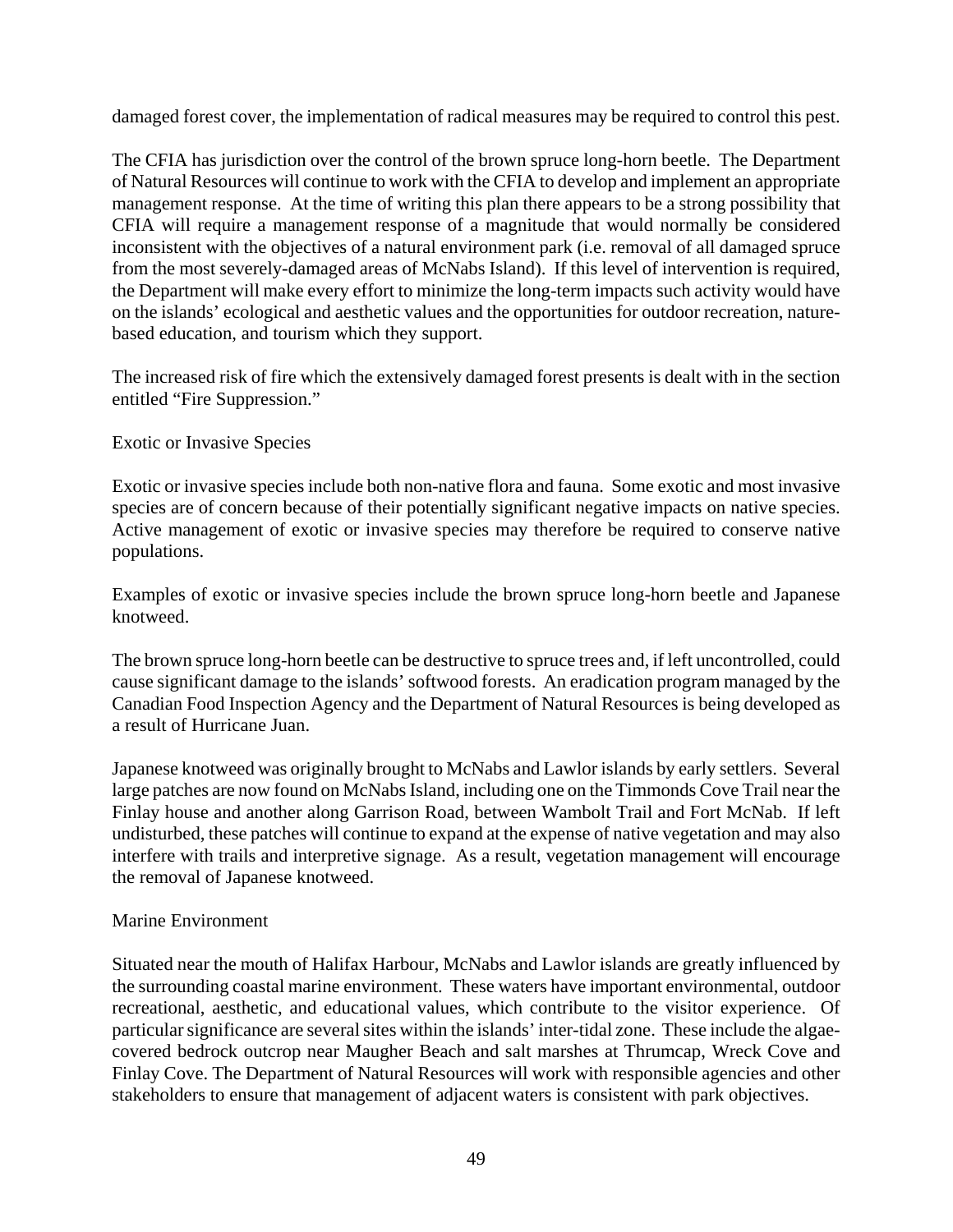damaged forest cover, the implementation of radical measures may be required to control this pest.

The CFIA has jurisdiction over the control of the brown spruce long-horn beetle. The Department of Natural Resources will continue to work with the CFIA to develop and implement an appropriate management response. At the time of writing this plan there appears to be a strong possibility that CFIA will require a management response of a magnitude that would normally be considered inconsistent with the objectives of a natural environment park (i.e. removal of all damaged spruce from the most severely-damaged areas of McNabs Island). If this level of intervention is required, the Department will make every effort to minimize the long-term impacts such activity would have on the islands' ecological and aesthetic values and the opportunities for outdoor recreation, naturebased education, and tourism which they support.

The increased risk of fire which the extensively damaged forest presents is dealt with in the section entitled "Fire Suppression."

#### Exotic or Invasive Species

Exotic or invasive species include both non-native flora and fauna. Some exotic and most invasive species are of concern because of their potentially significant negative impacts on native species. Active management of exotic or invasive species may therefore be required to conserve native populations.

Examples of exotic or invasive species include the brown spruce long-horn beetle and Japanese knotweed.

The brown spruce long-horn beetle can be destructive to spruce trees and, if left uncontrolled, could cause significant damage to the islands' softwood forests. An eradication program managed by the Canadian Food Inspection Agency and the Department of Natural Resources is being developed as a result of Hurricane Juan.

Japanese knotweed was originally brought to McNabs and Lawlor islands by early settlers. Several large patches are now found on McNabs Island, including one on the Timmonds Cove Trail near the Finlay house and another along Garrison Road, between Wambolt Trail and Fort McNab. If left undisturbed, these patches will continue to expand at the expense of native vegetation and may also interfere with trails and interpretive signage. As a result, vegetation management will encourage the removal of Japanese knotweed.

#### Marine Environment

Situated near the mouth of Halifax Harbour, McNabs and Lawlor islands are greatly influenced by the surrounding coastal marine environment. These waters have important environmental, outdoor recreational, aesthetic, and educational values, which contribute to the visitor experience. Of particular significance are several sites within the islands' inter-tidal zone. These include the algaecovered bedrock outcrop near Maugher Beach and salt marshes at Thrumcap, Wreck Cove and Finlay Cove. The Department of Natural Resources will work with responsible agencies and other stakeholders to ensure that management of adjacent waters is consistent with park objectives.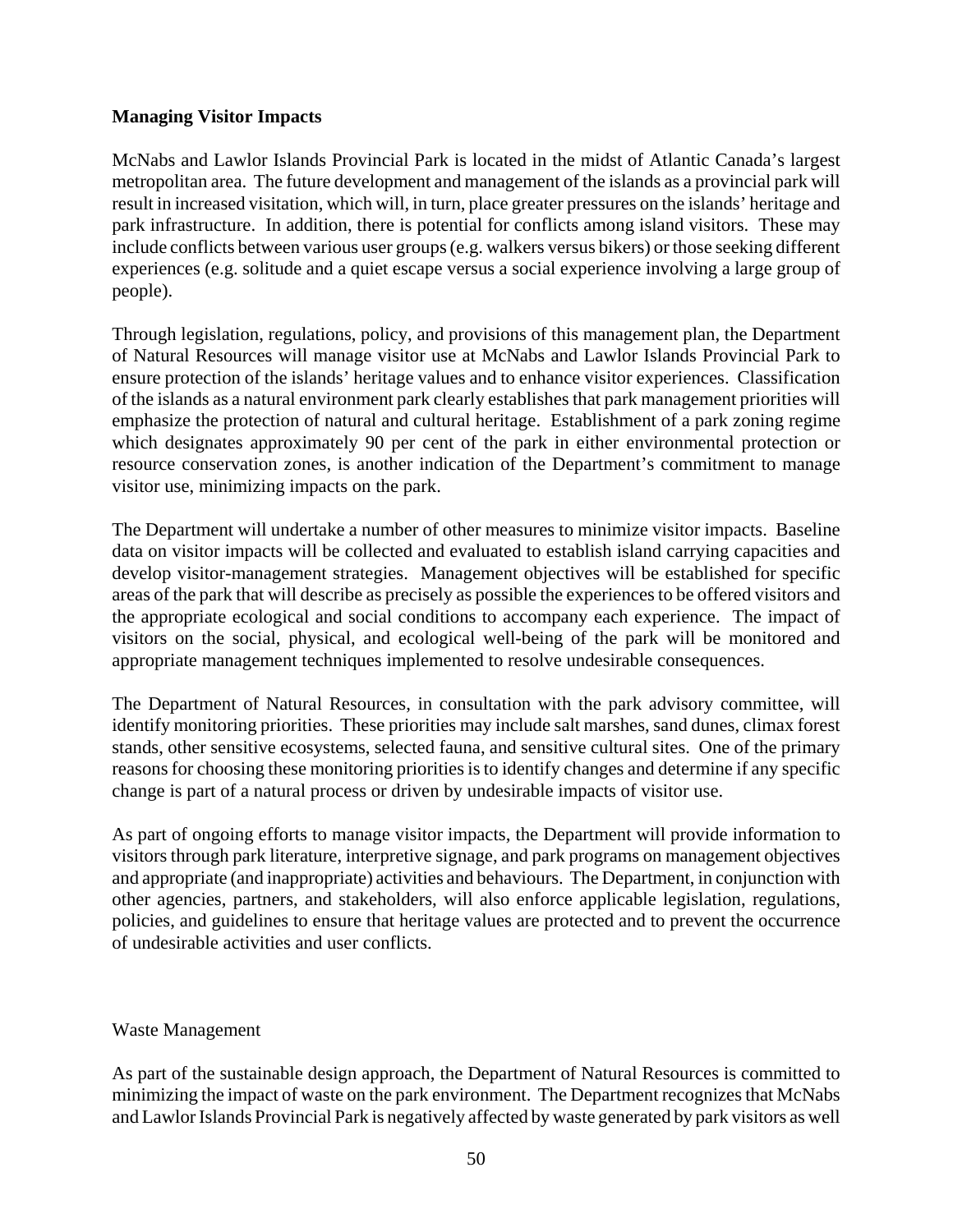#### **Managing Visitor Impacts**

McNabs and Lawlor Islands Provincial Park is located in the midst of Atlantic Canada's largest metropolitan area. The future development and management of the islands as a provincial park will result in increased visitation, which will, in turn, place greater pressures on the islands' heritage and park infrastructure. In addition, there is potential for conflicts among island visitors. These may include conflicts between various user groups (e.g. walkers versus bikers) or those seeking different experiences (e.g. solitude and a quiet escape versus a social experience involving a large group of people).

Through legislation, regulations, policy, and provisions of this management plan, the Department of Natural Resources will manage visitor use at McNabs and Lawlor Islands Provincial Park to ensure protection of the islands' heritage values and to enhance visitor experiences. Classification of the islands as a natural environment park clearly establishes that park management priorities will emphasize the protection of natural and cultural heritage. Establishment of a park zoning regime which designates approximately 90 per cent of the park in either environmental protection or resource conservation zones, is another indication of the Department's commitment to manage visitor use, minimizing impacts on the park.

The Department will undertake a number of other measures to minimize visitor impacts. Baseline data on visitor impacts will be collected and evaluated to establish island carrying capacities and develop visitor-management strategies. Management objectives will be established for specific areas of the park that will describe as precisely as possible the experiences to be offered visitors and the appropriate ecological and social conditions to accompany each experience. The impact of visitors on the social, physical, and ecological well-being of the park will be monitored and appropriate management techniques implemented to resolve undesirable consequences.

The Department of Natural Resources, in consultation with the park advisory committee, will identify monitoring priorities. These priorities may include salt marshes, sand dunes, climax forest stands, other sensitive ecosystems, selected fauna, and sensitive cultural sites. One of the primary reasons for choosing these monitoring priorities is to identify changes and determine if any specific change is part of a natural process or driven by undesirable impacts of visitor use.

As part of ongoing efforts to manage visitor impacts, the Department will provide information to visitors through park literature, interpretive signage, and park programs on management objectives and appropriate (and inappropriate) activities and behaviours. The Department, in conjunction with other agencies, partners, and stakeholders, will also enforce applicable legislation, regulations, policies, and guidelines to ensure that heritage values are protected and to prevent the occurrence of undesirable activities and user conflicts.

#### Waste Management

As part of the sustainable design approach, the Department of Natural Resources is committed to minimizing the impact of waste on the park environment. The Department recognizes that McNabs and Lawlor Islands Provincial Park is negatively affected by waste generated by park visitors as well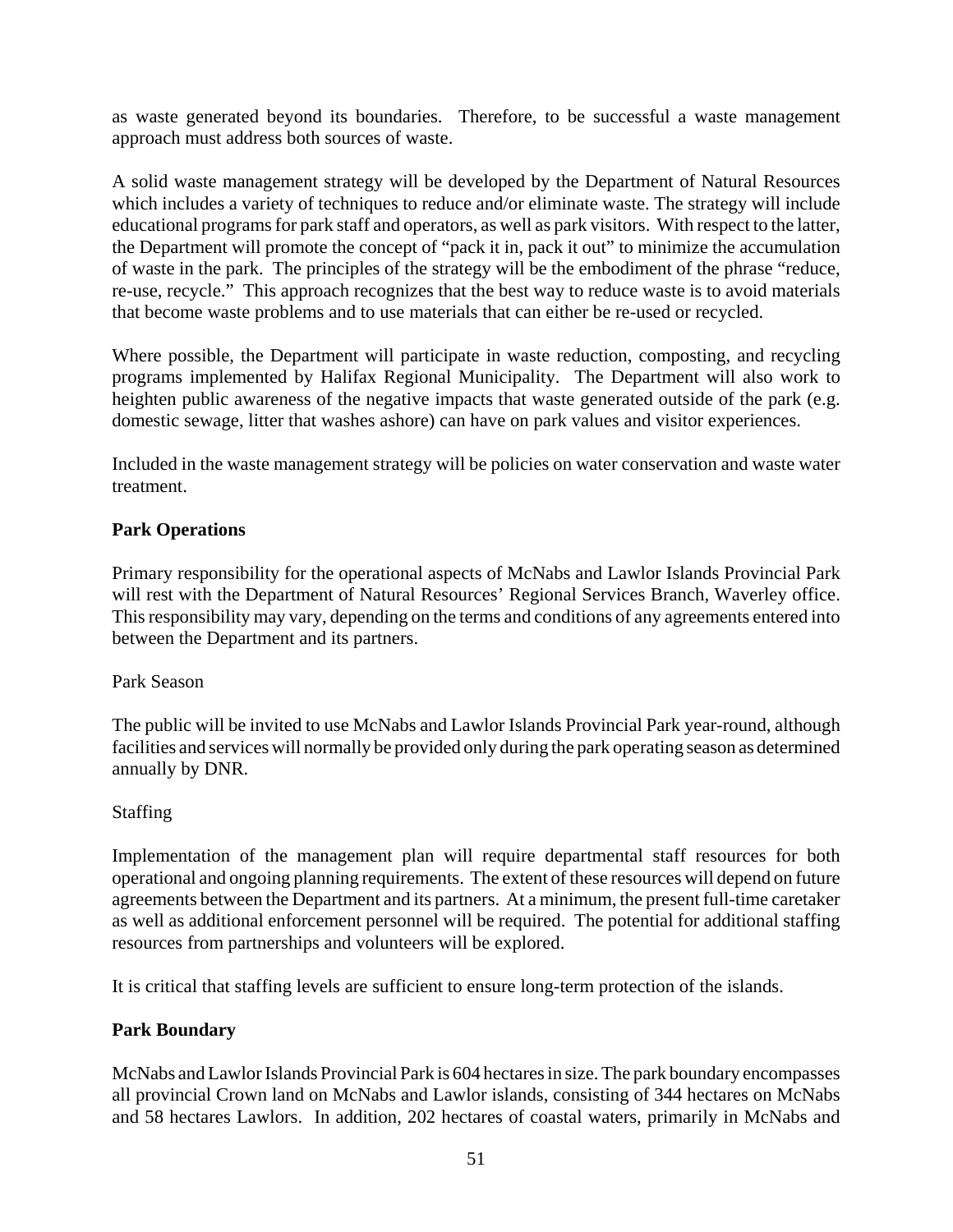as waste generated beyond its boundaries. Therefore, to be successful a waste management approach must address both sources of waste.

A solid waste management strategy will be developed by the Department of Natural Resources which includes a variety of techniques to reduce and/or eliminate waste. The strategy will include educational programs for park staff and operators, as well as park visitors. With respect to the latter, the Department will promote the concept of "pack it in, pack it out" to minimize the accumulation of waste in the park. The principles of the strategy will be the embodiment of the phrase "reduce, re-use, recycle." This approach recognizes that the best way to reduce waste is to avoid materials that become waste problems and to use materials that can either be re-used or recycled.

Where possible, the Department will participate in waste reduction, composting, and recycling programs implemented by Halifax Regional Municipality. The Department will also work to heighten public awareness of the negative impacts that waste generated outside of the park (e.g. domestic sewage, litter that washes ashore) can have on park values and visitor experiences.

Included in the waste management strategy will be policies on water conservation and waste water treatment.

#### **Park Operations**

Primary responsibility for the operational aspects of McNabs and Lawlor Islands Provincial Park will rest with the Department of Natural Resources' Regional Services Branch, Waverley office. This responsibility may vary, depending on the terms and conditions of any agreements entered into between the Department and its partners.

#### Park Season

The public will be invited to use McNabs and Lawlor Islands Provincial Park year-round, although facilities and services will normally be provided only during the park operating season as determined annually by DNR.

#### Staffing

Implementation of the management plan will require departmental staff resources for both operational and ongoing planning requirements. The extent of these resources will depend on future agreements between the Department and its partners. At a minimum, the present full-time caretaker as well as additional enforcement personnel will be required. The potential for additional staffing resources from partnerships and volunteers will be explored.

It is critical that staffing levels are sufficient to ensure long-term protection of the islands.

#### **Park Boundary**

McNabs and Lawlor Islands Provincial Park is 604 hectares in size. The park boundary encompasses all provincial Crown land on McNabs and Lawlor islands, consisting of 344 hectares on McNabs and 58 hectares Lawlors. In addition, 202 hectares of coastal waters, primarily in McNabs and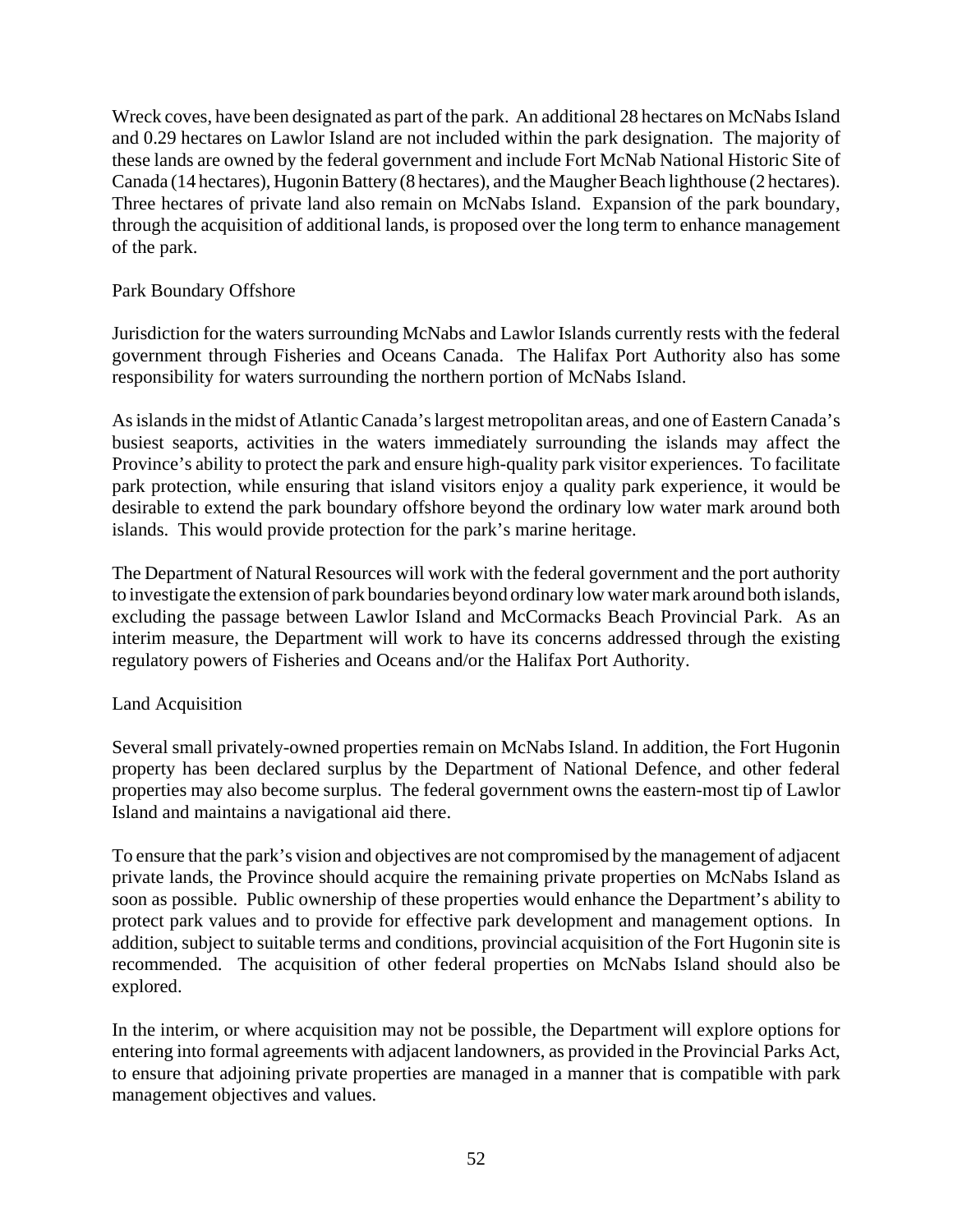Wreck coves, have been designated as part of the park. An additional 28 hectares on McNabs Island and 0.29 hectares on Lawlor Island are not included within the park designation. The majority of these lands are owned by the federal government and include Fort McNab National Historic Site of Canada (14 hectares), Hugonin Battery (8 hectares), and the Maugher Beach lighthouse (2 hectares). Three hectares of private land also remain on McNabs Island. Expansion of the park boundary, through the acquisition of additional lands, is proposed over the long term to enhance management of the park.

#### Park Boundary Offshore

Jurisdiction for the waters surrounding McNabs and Lawlor Islands currently rests with the federal government through Fisheries and Oceans Canada. The Halifax Port Authority also has some responsibility for waters surrounding the northern portion of McNabs Island.

As islands in the midst of Atlantic Canada's largest metropolitan areas, and one of Eastern Canada's busiest seaports, activities in the waters immediately surrounding the islands may affect the Province's ability to protect the park and ensure high-quality park visitor experiences. To facilitate park protection, while ensuring that island visitors enjoy a quality park experience, it would be desirable to extend the park boundary offshore beyond the ordinary low water mark around both islands. This would provide protection for the park's marine heritage.

The Department of Natural Resources will work with the federal government and the port authority to investigate the extension of park boundaries beyond ordinary low water mark around both islands, excluding the passage between Lawlor Island and McCormacks Beach Provincial Park. As an interim measure, the Department will work to have its concerns addressed through the existing regulatory powers of Fisheries and Oceans and/or the Halifax Port Authority.

#### Land Acquisition

Several small privately-owned properties remain on McNabs Island. In addition, the Fort Hugonin property has been declared surplus by the Department of National Defence, and other federal properties may also become surplus. The federal government owns the eastern-most tip of Lawlor Island and maintains a navigational aid there.

To ensure that the park's vision and objectives are not compromised by the management of adjacent private lands, the Province should acquire the remaining private properties on McNabs Island as soon as possible. Public ownership of these properties would enhance the Department's ability to protect park values and to provide for effective park development and management options. In addition, subject to suitable terms and conditions, provincial acquisition of the Fort Hugonin site is recommended. The acquisition of other federal properties on McNabs Island should also be explored.

In the interim, or where acquisition may not be possible, the Department will explore options for entering into formal agreements with adjacent landowners, as provided in the Provincial Parks Act, to ensure that adjoining private properties are managed in a manner that is compatible with park management objectives and values.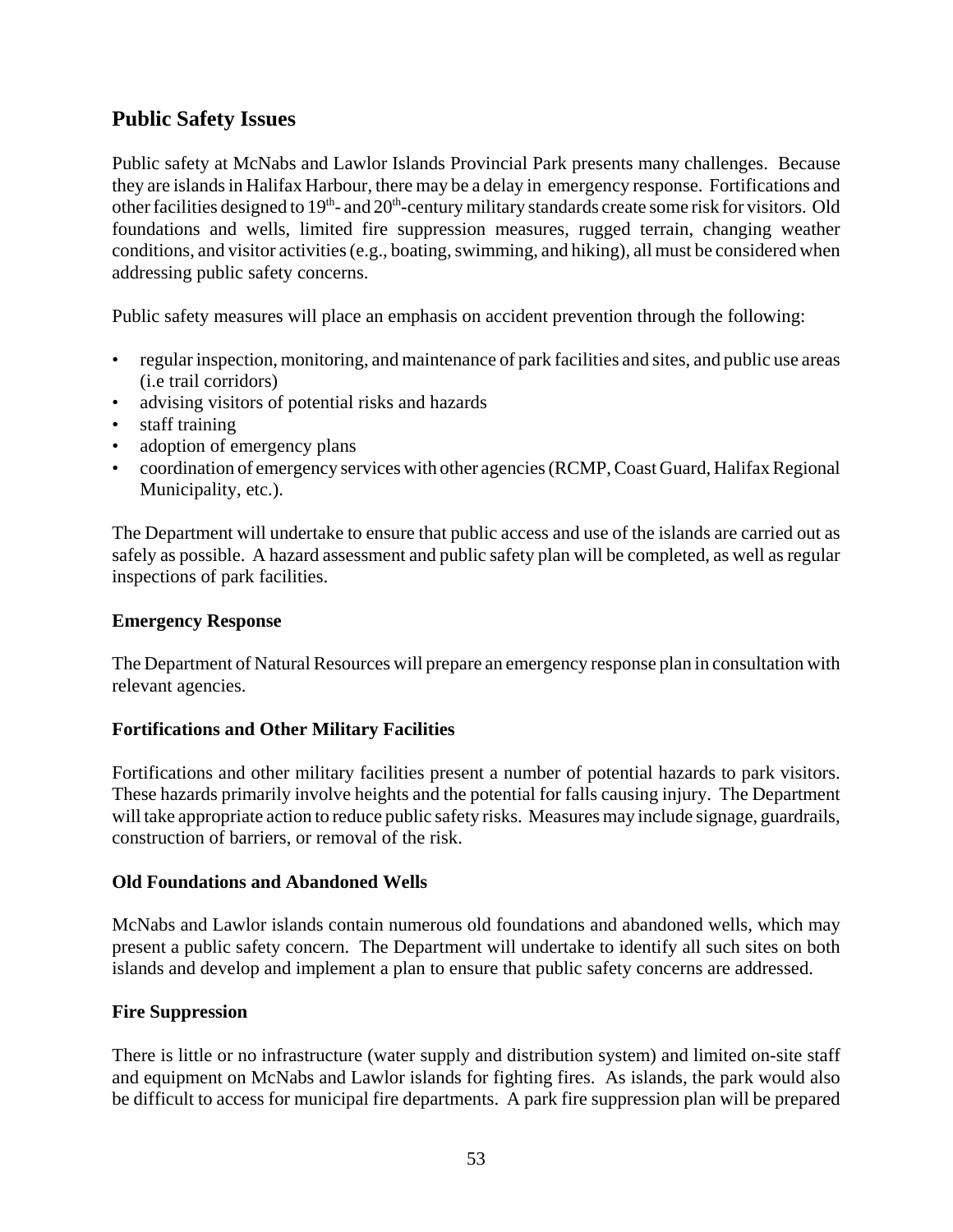## **Public Safety Issues**

Public safety at McNabs and Lawlor Islands Provincial Park presents many challenges. Because they are islands in Halifax Harbour, there may be a delay in emergency response. Fortifications and other facilities designed to  $19<sup>th</sup>$ - and  $20<sup>th</sup>$ -century military standards create some risk for visitors. Old foundations and wells, limited fire suppression measures, rugged terrain, changing weather conditions, and visitor activities (e.g., boating, swimming, and hiking), all must be considered when addressing public safety concerns.

Public safety measures will place an emphasis on accident prevention through the following:

- regular inspection, monitoring, and maintenance of park facilities and sites, and public use areas (i.e trail corridors)
- advising visitors of potential risks and hazards
- staff training
- adoption of emergency plans
- coordination of emergency services with other agencies (RCMP, Coast Guard, Halifax Regional Municipality, etc.).

The Department will undertake to ensure that public access and use of the islands are carried out as safely as possible. A hazard assessment and public safety plan will be completed, as well as regular inspections of park facilities.

#### **Emergency Response**

The Department of Natural Resources will prepare an emergency response plan in consultation with relevant agencies.

#### **Fortifications and Other Military Facilities**

Fortifications and other military facilities present a number of potential hazards to park visitors. These hazards primarily involve heights and the potential for falls causing injury. The Department will take appropriate action to reduce public safety risks. Measures may include signage, guardrails, construction of barriers, or removal of the risk.

#### **Old Foundations and Abandoned Wells**

McNabs and Lawlor islands contain numerous old foundations and abandoned wells, which may present a public safety concern. The Department will undertake to identify all such sites on both islands and develop and implement a plan to ensure that public safety concerns are addressed.

#### **Fire Suppression**

There is little or no infrastructure (water supply and distribution system) and limited on-site staff and equipment on McNabs and Lawlor islands for fighting fires. As islands, the park would also be difficult to access for municipal fire departments. A park fire suppression plan will be prepared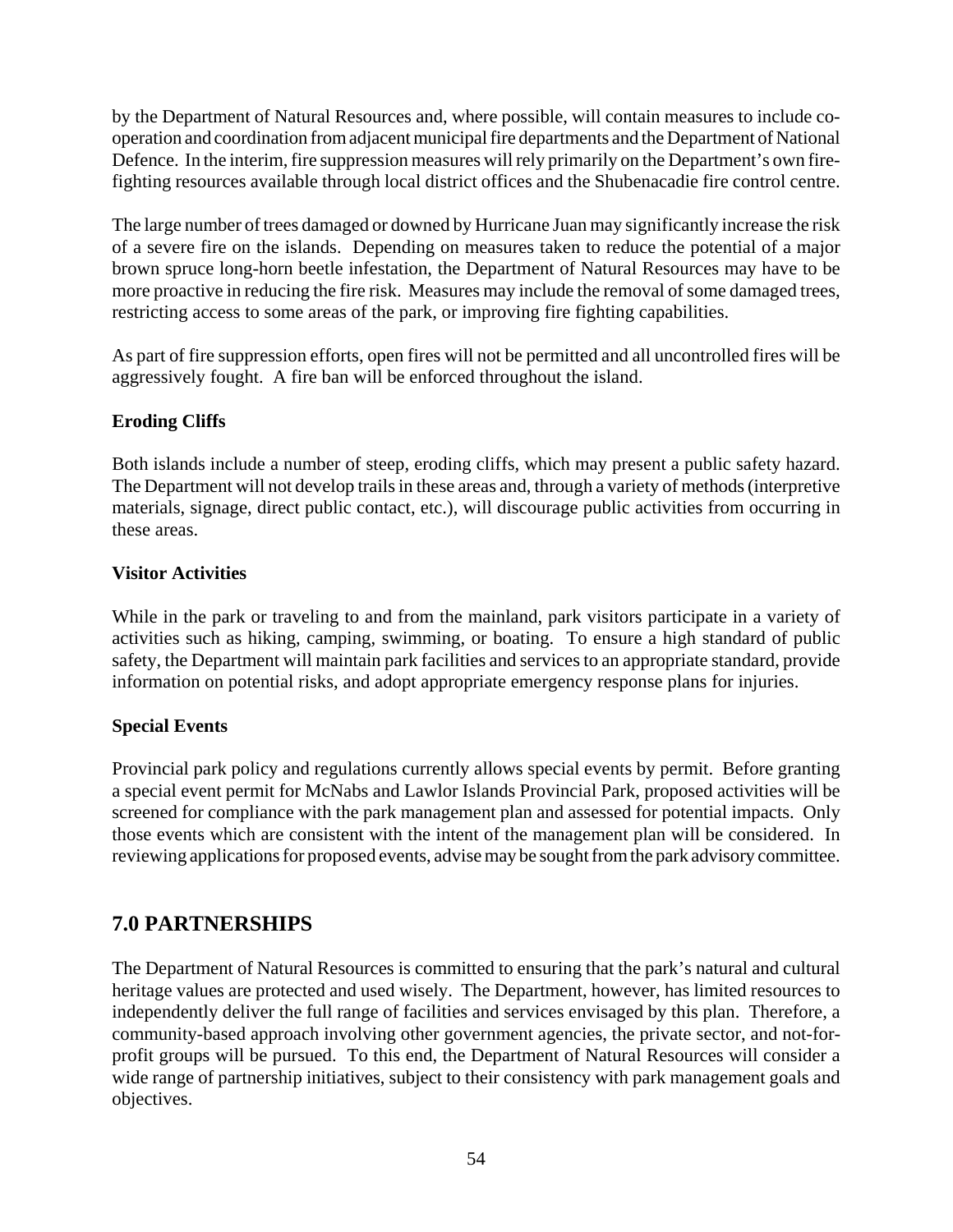by the Department of Natural Resources and, where possible, will contain measures to include cooperation and coordination from adjacent municipal fire departments and the Department of National Defence. In the interim, fire suppression measures will rely primarily on the Department's own firefighting resources available through local district offices and the Shubenacadie fire control centre.

The large number of trees damaged or downed by Hurricane Juan may significantly increase the risk of a severe fire on the islands. Depending on measures taken to reduce the potential of a major brown spruce long-horn beetle infestation, the Department of Natural Resources may have to be more proactive in reducing the fire risk. Measures may include the removal of some damaged trees, restricting access to some areas of the park, or improving fire fighting capabilities.

As part of fire suppression efforts, open fires will not be permitted and all uncontrolled fires will be aggressively fought. A fire ban will be enforced throughout the island.

#### **Eroding Cliffs**

Both islands include a number of steep, eroding cliffs, which may present a public safety hazard. The Department will not develop trails in these areas and, through a variety of methods (interpretive materials, signage, direct public contact, etc.), will discourage public activities from occurring in these areas.

#### **Visitor Activities**

While in the park or traveling to and from the mainland, park visitors participate in a variety of activities such as hiking, camping, swimming, or boating. To ensure a high standard of public safety, the Department will maintain park facilities and services to an appropriate standard, provide information on potential risks, and adopt appropriate emergency response plans for injuries.

#### **Special Events**

Provincial park policy and regulations currently allows special events by permit. Before granting a special event permit for McNabs and Lawlor Islands Provincial Park, proposed activities will be screened for compliance with the park management plan and assessed for potential impacts. Only those events which are consistent with the intent of the management plan will be considered. In reviewing applications for proposed events, advise may be sought from the park advisory committee.

## **7.0 PARTNERSHIPS**

The Department of Natural Resources is committed to ensuring that the park's natural and cultural heritage values are protected and used wisely. The Department, however, has limited resources to independently deliver the full range of facilities and services envisaged by this plan. Therefore, a community-based approach involving other government agencies, the private sector, and not-forprofit groups will be pursued. To this end, the Department of Natural Resources will consider a wide range of partnership initiatives, subject to their consistency with park management goals and objectives.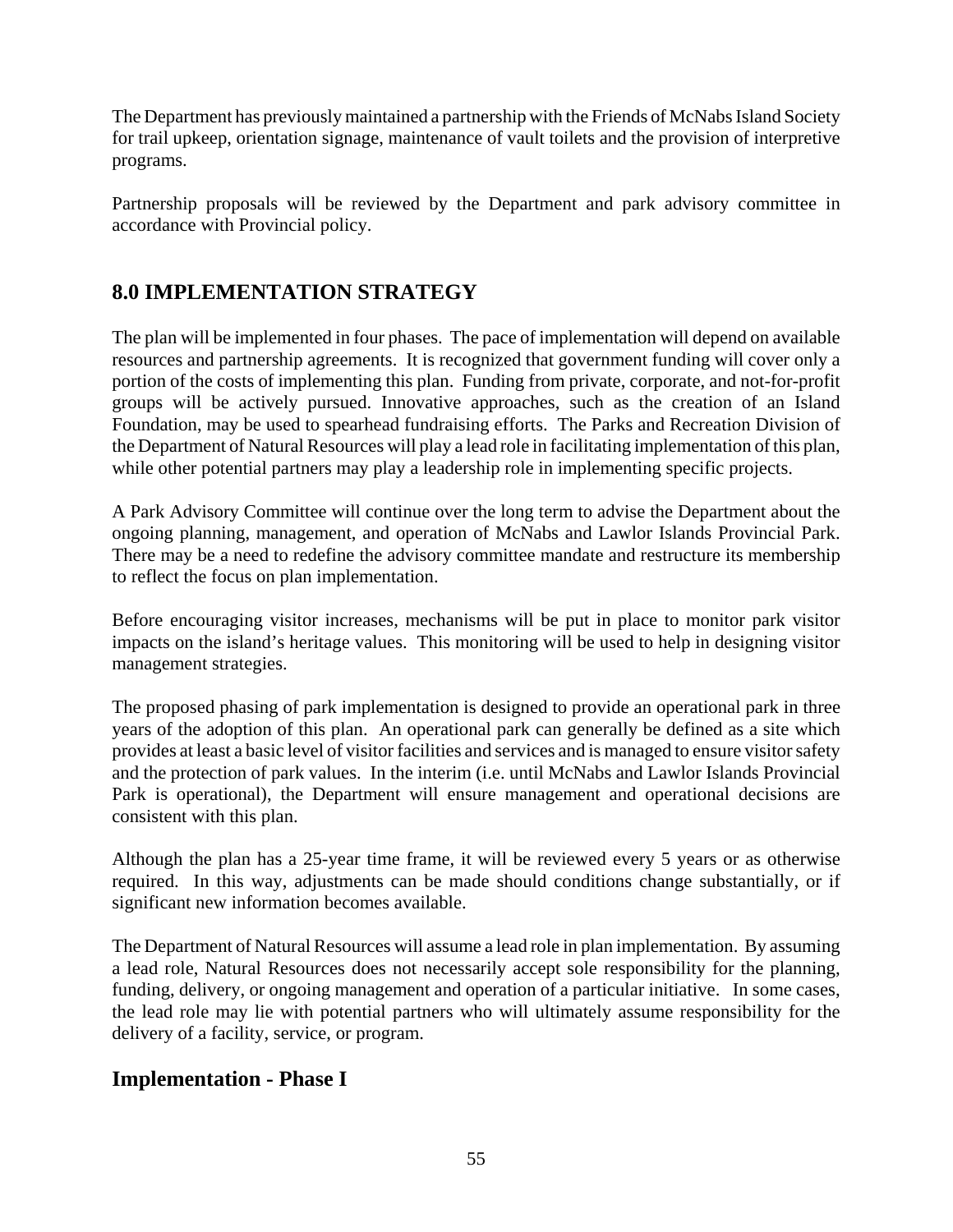The Department has previously maintained a partnership with the Friends of McNabs Island Society for trail upkeep, orientation signage, maintenance of vault toilets and the provision of interpretive programs.

Partnership proposals will be reviewed by the Department and park advisory committee in accordance with Provincial policy.

## **8.0 IMPLEMENTATION STRATEGY**

The plan will be implemented in four phases. The pace of implementation will depend on available resources and partnership agreements. It is recognized that government funding will cover only a portion of the costs of implementing this plan. Funding from private, corporate, and not-for-profit groups will be actively pursued. Innovative approaches, such as the creation of an Island Foundation, may be used to spearhead fundraising efforts. The Parks and Recreation Division of the Department of Natural Resources will play a lead role in facilitating implementation of this plan, while other potential partners may play a leadership role in implementing specific projects.

A Park Advisory Committee will continue over the long term to advise the Department about the ongoing planning, management, and operation of McNabs and Lawlor Islands Provincial Park. There may be a need to redefine the advisory committee mandate and restructure its membership to reflect the focus on plan implementation.

Before encouraging visitor increases, mechanisms will be put in place to monitor park visitor impacts on the island's heritage values. This monitoring will be used to help in designing visitor management strategies.

The proposed phasing of park implementation is designed to provide an operational park in three years of the adoption of this plan. An operational park can generally be defined as a site which provides at least a basic level of visitor facilities and services and is managed to ensure visitor safety and the protection of park values. In the interim (i.e. until McNabs and Lawlor Islands Provincial Park is operational), the Department will ensure management and operational decisions are consistent with this plan.

Although the plan has a 25-year time frame, it will be reviewed every 5 years or as otherwise required. In this way, adjustments can be made should conditions change substantially, or if significant new information becomes available.

The Department of Natural Resources will assume a lead role in plan implementation. By assuming a lead role, Natural Resources does not necessarily accept sole responsibility for the planning, funding, delivery, or ongoing management and operation of a particular initiative. In some cases, the lead role may lie with potential partners who will ultimately assume responsibility for the delivery of a facility, service, or program.

#### **Implementation - Phase I**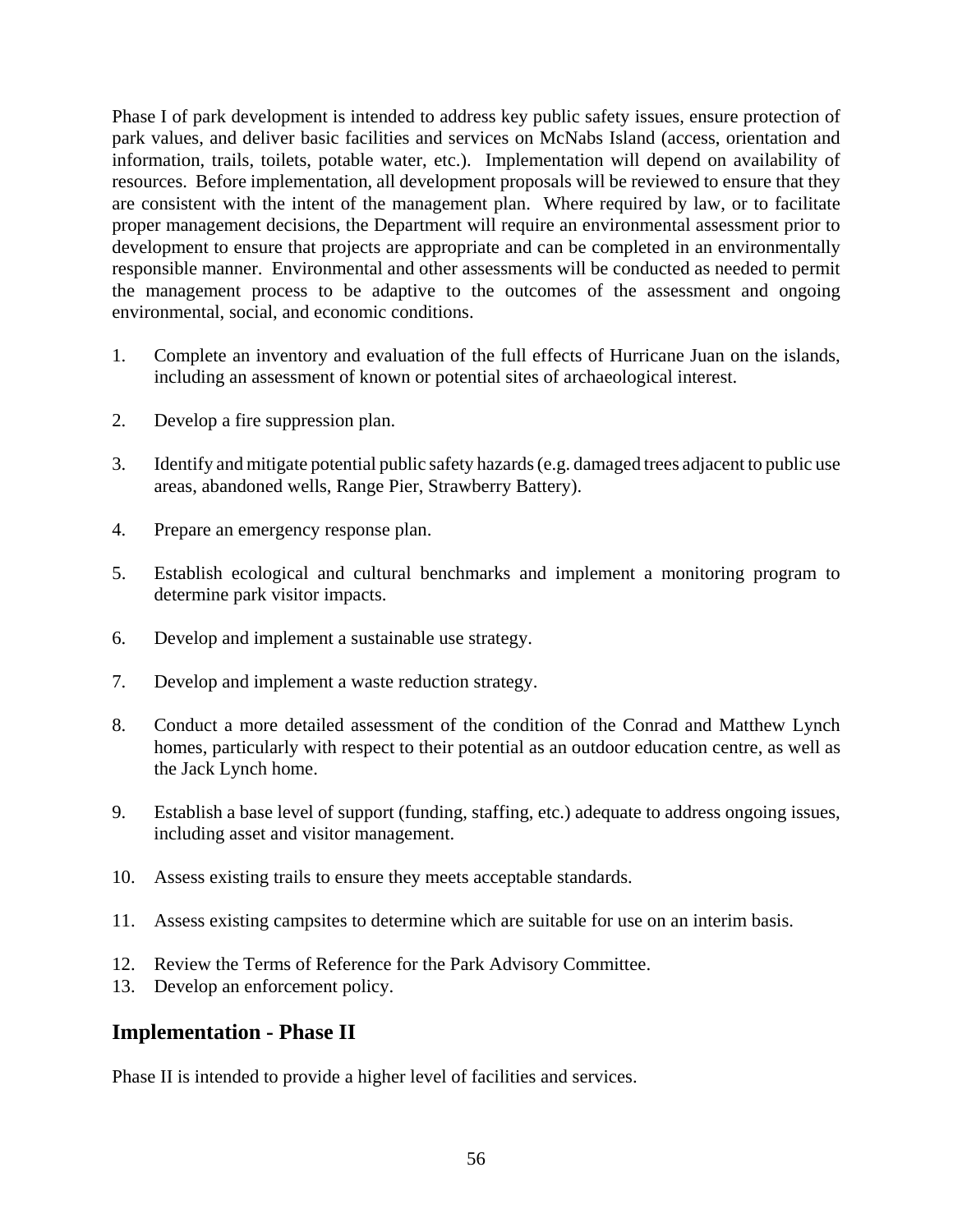Phase I of park development is intended to address key public safety issues, ensure protection of park values, and deliver basic facilities and services on McNabs Island (access, orientation and information, trails, toilets, potable water, etc.). Implementation will depend on availability of resources. Before implementation, all development proposals will be reviewed to ensure that they are consistent with the intent of the management plan. Where required by law, or to facilitate proper management decisions, the Department will require an environmental assessment prior to development to ensure that projects are appropriate and can be completed in an environmentally responsible manner. Environmental and other assessments will be conducted as needed to permit the management process to be adaptive to the outcomes of the assessment and ongoing environmental, social, and economic conditions.

- 1. Complete an inventory and evaluation of the full effects of Hurricane Juan on the islands, including an assessment of known or potential sites of archaeological interest.
- 2. Develop a fire suppression plan.
- 3. Identify and mitigate potential public safety hazards (e.g. damaged trees adjacent to public use areas, abandoned wells, Range Pier, Strawberry Battery).
- 4. Prepare an emergency response plan.
- 5. Establish ecological and cultural benchmarks and implement a monitoring program to determine park visitor impacts.
- 6. Develop and implement a sustainable use strategy.
- 7. Develop and implement a waste reduction strategy.
- 8. Conduct a more detailed assessment of the condition of the Conrad and Matthew Lynch homes, particularly with respect to their potential as an outdoor education centre, as well as the Jack Lynch home.
- 9. Establish a base level of support (funding, staffing, etc.) adequate to address ongoing issues, including asset and visitor management.
- 10. Assess existing trails to ensure they meets acceptable standards.
- 11. Assess existing campsites to determine which are suitable for use on an interim basis.
- 12. Review the Terms of Reference for the Park Advisory Committee.
- 13. Develop an enforcement policy.

#### **Implementation - Phase II**

Phase II is intended to provide a higher level of facilities and services.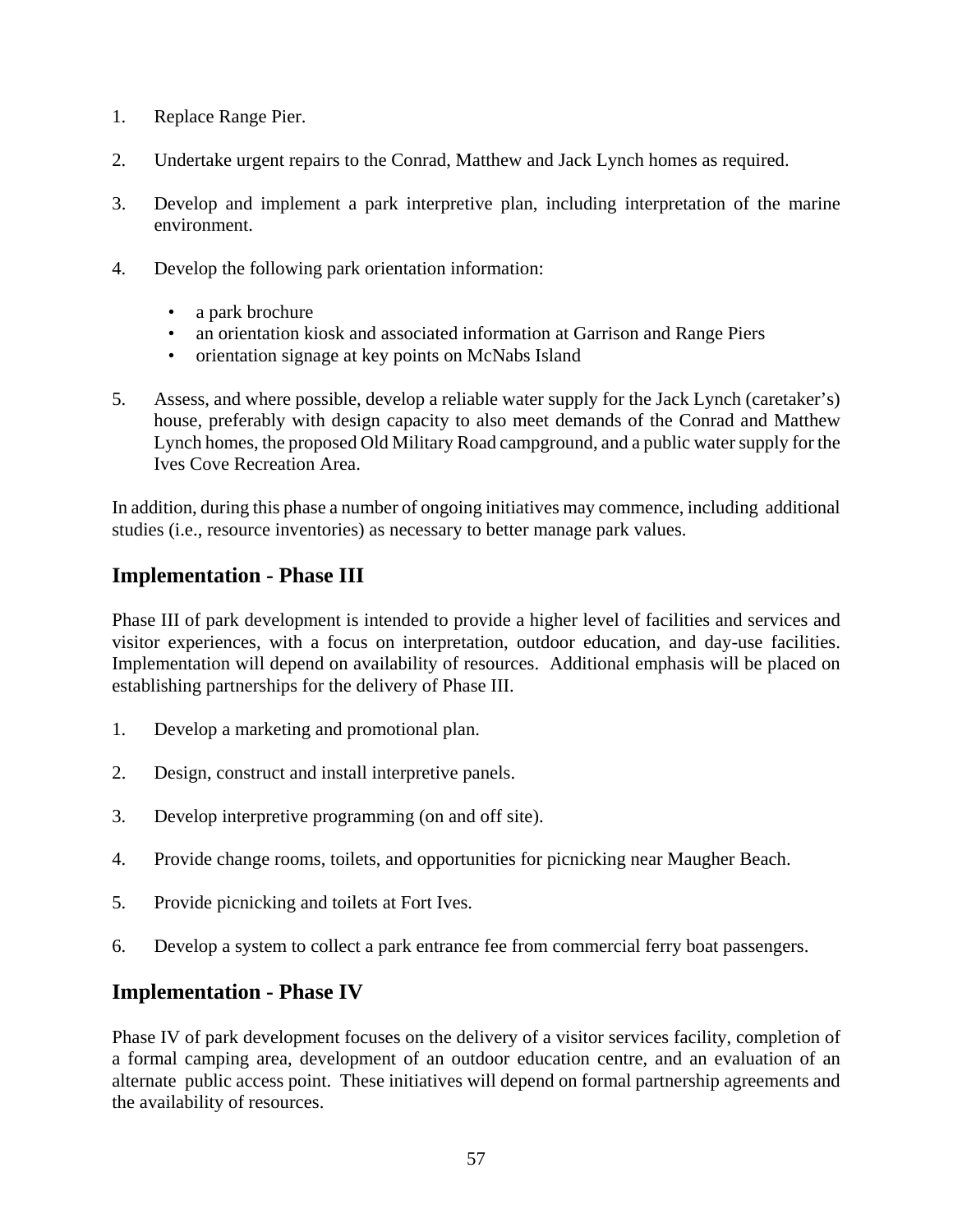- 1. Replace Range Pier.
- 2. Undertake urgent repairs to the Conrad, Matthew and Jack Lynch homes as required.
- 3. Develop and implement a park interpretive plan, including interpretation of the marine environment.
- 4. Develop the following park orientation information:
	- a park brochure
	- an orientation kiosk and associated information at Garrison and Range Piers
	- orientation signage at key points on McNabs Island
- 5. Assess, and where possible, develop a reliable water supply for the Jack Lynch (caretaker's) house, preferably with design capacity to also meet demands of the Conrad and Matthew Lynch homes, the proposed Old Military Road campground, and a public water supply for the Ives Cove Recreation Area.

In addition, during this phase a number of ongoing initiatives may commence, including additional studies (i.e., resource inventories) as necessary to better manage park values.

#### **Implementation - Phase III**

Phase III of park development is intended to provide a higher level of facilities and services and visitor experiences, with a focus on interpretation, outdoor education, and day-use facilities. Implementation will depend on availability of resources. Additional emphasis will be placed on establishing partnerships for the delivery of Phase III.

- 1. Develop a marketing and promotional plan.
- 2. Design, construct and install interpretive panels.
- 3. Develop interpretive programming (on and off site).
- 4. Provide change rooms, toilets, and opportunities for picnicking near Maugher Beach.
- 5. Provide picnicking and toilets at Fort Ives.
- 6. Develop a system to collect a park entrance fee from commercial ferry boat passengers.

#### **Implementation - Phase IV**

Phase IV of park development focuses on the delivery of a visitor services facility, completion of a formal camping area, development of an outdoor education centre, and an evaluation of an alternate public access point. These initiatives will depend on formal partnership agreements and the availability of resources.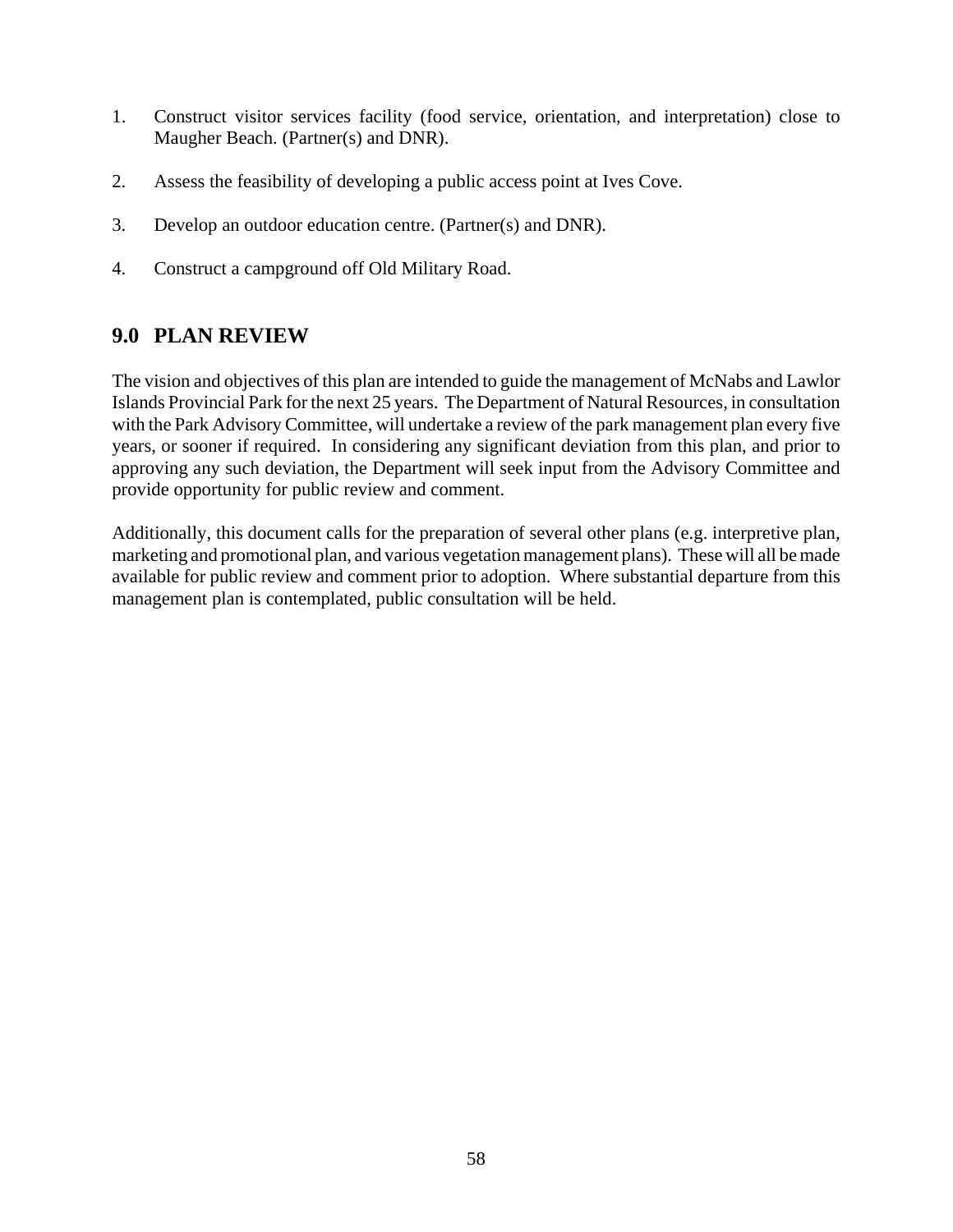- 1. Construct visitor services facility (food service, orientation, and interpretation) close to Maugher Beach. (Partner(s) and DNR).
- 2. Assess the feasibility of developing a public access point at Ives Cove.
- 3. Develop an outdoor education centre. (Partner(s) and DNR).
- 4. Construct a campground off Old Military Road.

## **9.0 PLAN REVIEW**

The vision and objectives of this plan are intended to guide the management of McNabs and Lawlor Islands Provincial Park for the next 25 years. The Department of Natural Resources, in consultation with the Park Advisory Committee, will undertake a review of the park management plan every five years, or sooner if required. In considering any significant deviation from this plan, and prior to approving any such deviation, the Department will seek input from the Advisory Committee and provide opportunity for public review and comment.

Additionally, this document calls for the preparation of several other plans (e.g. interpretive plan, marketing and promotional plan, and various vegetation management plans). These will all be made available for public review and comment prior to adoption. Where substantial departure from this management plan is contemplated, public consultation will be held.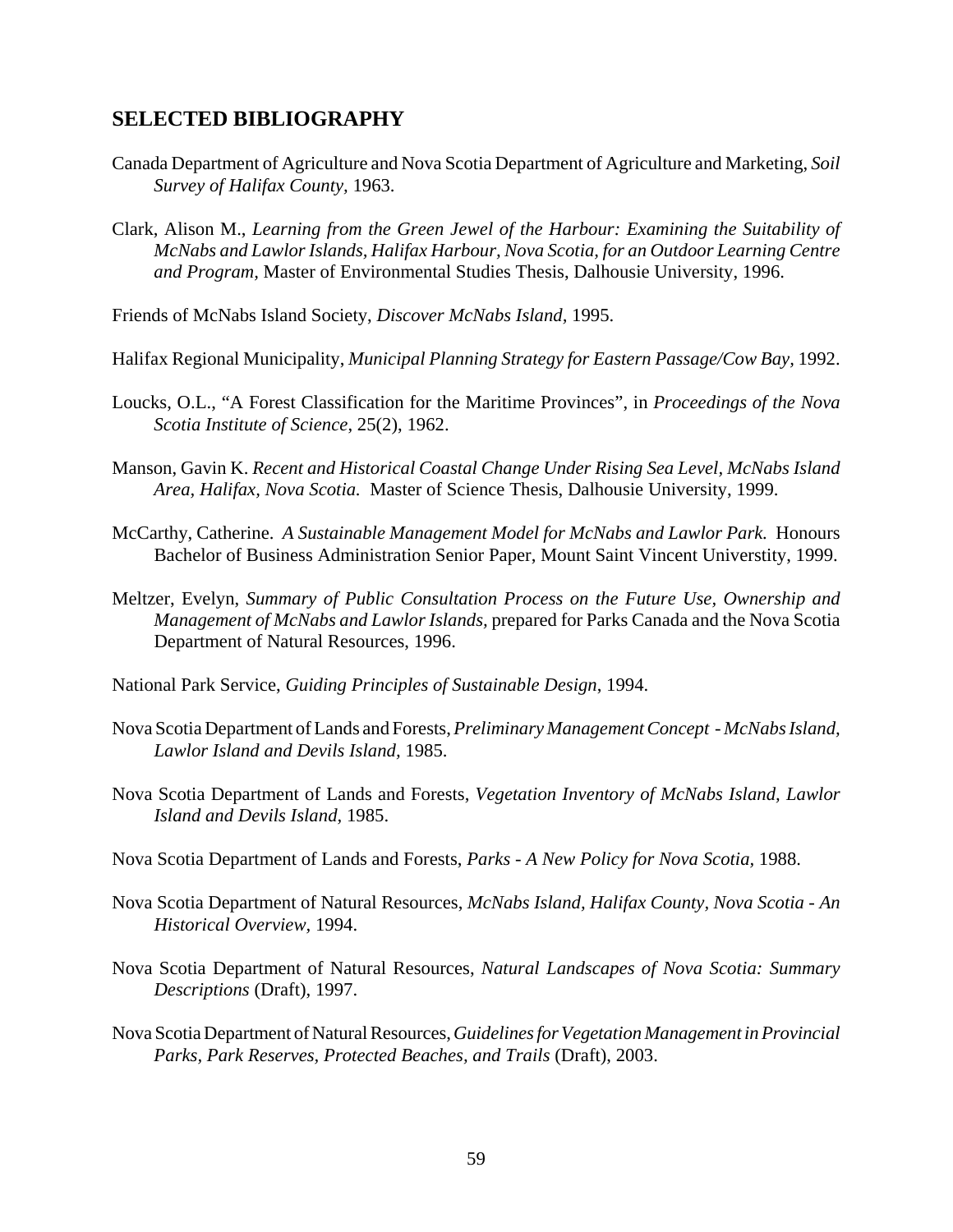#### **SELECTED BIBLIOGRAPHY**

- Canada Department of Agriculture and Nova Scotia Department of Agriculture and Marketing, *Soil Survey of Halifax County,* 1963.
- Clark, Alison M., *Learning from the Green Jewel of the Harbour: Examining the Suitability of McNabs and Lawlor Islands, Halifax Harbour, Nova Scotia, for an Outdoor Learning Centre and Program,* Master of Environmental Studies Thesis, Dalhousie University, 1996.
- Friends of McNabs Island Society, *Discover McNabs Island,* 1995.
- Halifax Regional Municipality, *Municipal Planning Strategy for Eastern Passage/Cow Bay,* 1992.
- Loucks, O.L., "A Forest Classification for the Maritime Provinces", in *Proceedings of the Nova Scotia Institute of Science*, 25(2), 1962.
- Manson, Gavin K. *Recent and Historical Coastal Change Under Rising Sea Level, McNabs Island Area, Halifax, Nova Scotia.* Master of Science Thesis, Dalhousie University, 1999.
- McCarthy, Catherine. *A Sustainable Management Model for McNabs and Lawlor Park.* Honours Bachelor of Business Administration Senior Paper, Mount Saint Vincent Universtity, 1999.
- Meltzer, Evelyn, *Summary of Public Consultation Process on the Future Use, Ownership and Management of McNabs and Lawlor Islands,* prepared for Parks Canada and the Nova Scotia Department of Natural Resources, 1996.
- National Park Service, *Guiding Principles of Sustainable Design*, 1994.
- Nova Scotia Department of Lands and Forests, *Preliminary Management Concept McNabs Island, Lawlor Island and Devils Island,* 1985.
- Nova Scotia Department of Lands and Forests, *Vegetation Inventory of McNabs Island, Lawlor Island and Devils Island,* 1985.
- Nova Scotia Department of Lands and Forests, *Parks A New Policy for Nova Scotia,* 1988.
- Nova Scotia Department of Natural Resources, *McNabs Island, Halifax County, Nova Scotia An Historical Overview,* 1994.
- Nova Scotia Department of Natural Resources, *Natural Landscapes of Nova Scotia: Summary Descriptions* (Draft), 1997.
- Nova Scotia Department of Natural Resources, *Guidelines for Vegetation Management in Provincial Parks, Park Reserves, Protected Beaches, and Trails* (Draft), 2003.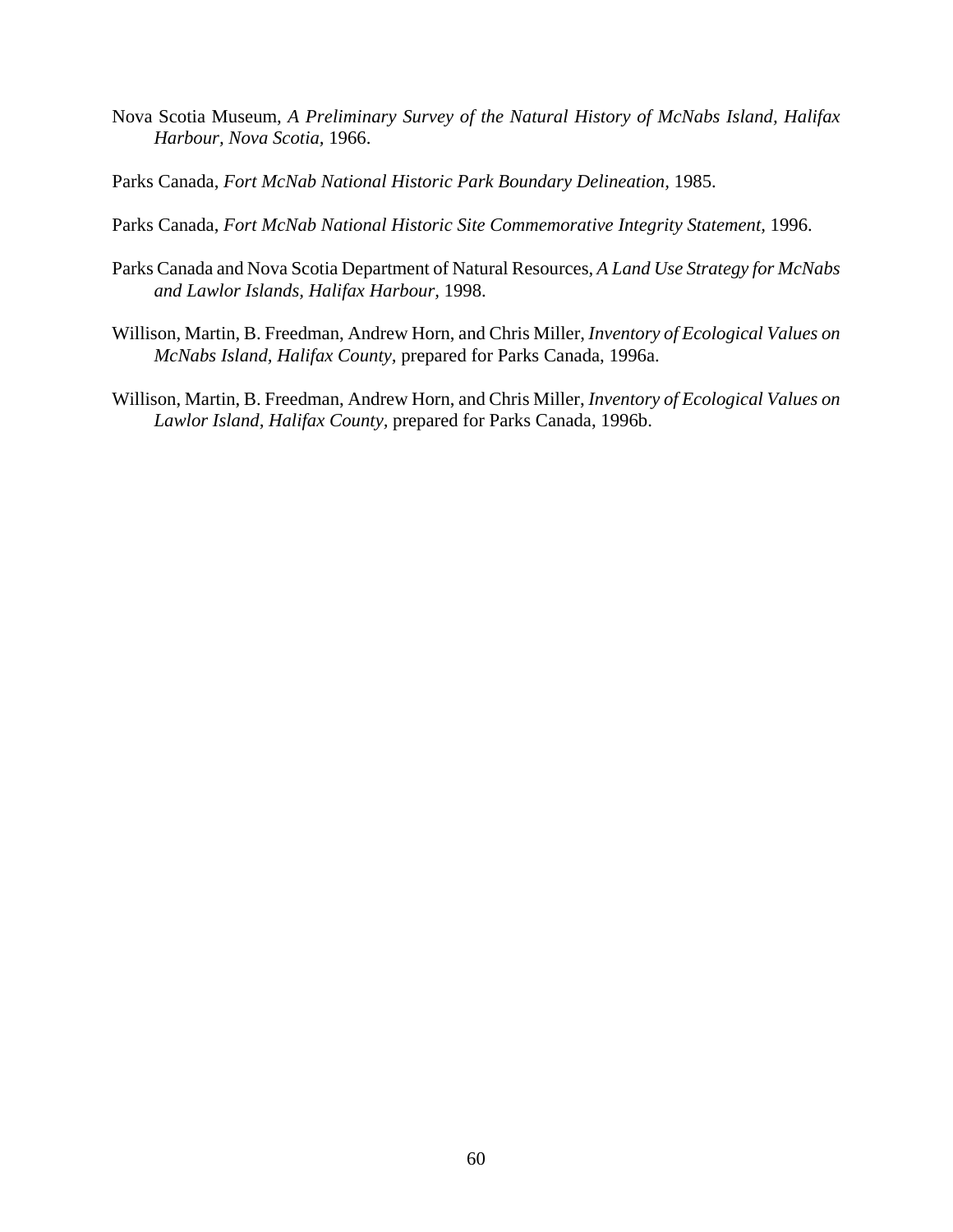- Nova Scotia Museum, *A Preliminary Survey of the Natural History of McNabs Island, Halifax Harbour, Nova Scotia,* 1966.
- Parks Canada, *Fort McNab National Historic Park Boundary Delineation,* 1985.
- Parks Canada, *Fort McNab National Historic Site Commemorative Integrity Statement,* 1996.
- Parks Canada and Nova Scotia Department of Natural Resources, *A Land Use Strategy for McNabs and Lawlor Islands, Halifax Harbour,* 1998.
- Willison, Martin, B. Freedman, Andrew Horn, and Chris Miller, *Inventory of Ecological Values on McNabs Island, Halifax County,* prepared for Parks Canada, 1996a.
- Willison, Martin, B. Freedman, Andrew Horn, and Chris Miller, *Inventory of Ecological Values on Lawlor Island, Halifax County,* prepared for Parks Canada, 1996b.